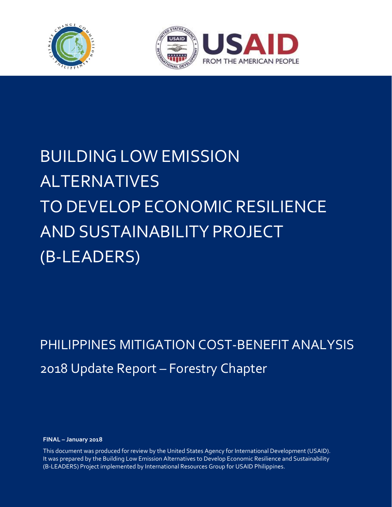



# BUILDINGLOW EMISSION ALTERNATIVES TO DEVELOP ECONOMIC RESILIENCE ANDSUSTAINABILITY PROJECT (B‐LEADERS)

PHILIPPINES MITIGATION COST‐BENEFIT ANALYSIS 2018 Update Report – Forestry Chapter

**FINAL – January 2018**

This document was produced for review by the United States Agency for International Development (USAID). It was prepared by the Building Low Emission Alternatives to Develop Economic Resilience and Sustainability (B‐LEADERS) Project implemented by International Resources Group for USAID Philippines.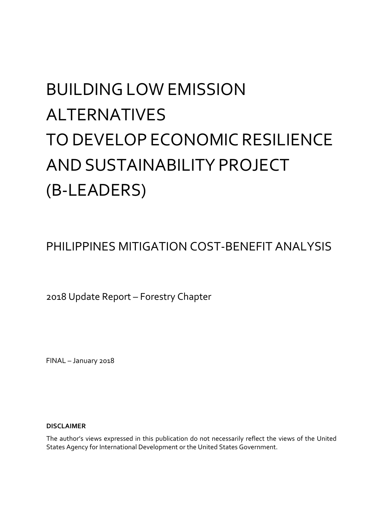# BUILDINGLOW EMISSION ALTERNATIVES TO DEVELOP ECONOMIC RESILIENCE ANDSUSTAINABILITY PROJECT (B‐LEADERS)

PHILIPPINES MITIGATION COST‐BENEFIT ANALYSIS

2018 Update Report – Forestry Chapter

FINAL – January 2018

## **DISCLAIMER**

The author's views expressed in this publication do not necessarily reflect the views of the United States Agency for International Development or the United States Government.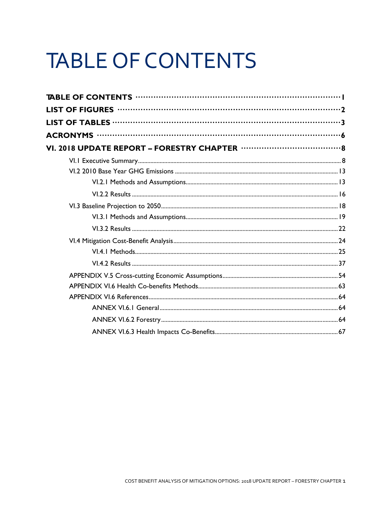# **TABLE OF CONTENTS**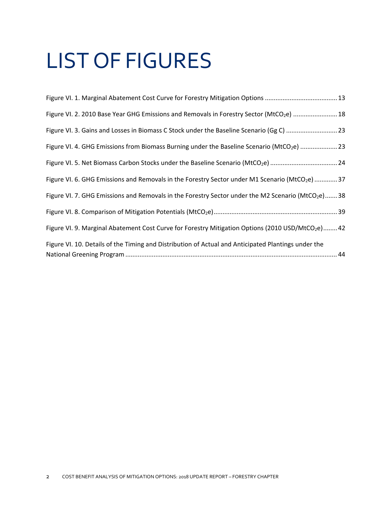# LIST OF FIGURES

| Figure VI. 2. 2010 Base Year GHG Emissions and Removals in Forestry Sector (MtCO <sub>2</sub> e)  18          |
|---------------------------------------------------------------------------------------------------------------|
| Figure VI. 3. Gains and Losses in Biomass C Stock under the Baseline Scenario (Gg C)  23                      |
| Figure VI. 4. GHG Emissions from Biomass Burning under the Baseline Scenario (MtCO2e)  23                     |
| Figure VI. 5. Net Biomass Carbon Stocks under the Baseline Scenario (MtCO <sub>2</sub> e) 24                  |
| Figure VI. 6. GHG Emissions and Removals in the Forestry Sector under M1 Scenario (MtCO <sub>2</sub> e) 37    |
| Figure VI. 7. GHG Emissions and Removals in the Forestry Sector under the M2 Scenario (MtCO <sub>2</sub> e)38 |
|                                                                                                               |
| Figure VI. 9. Marginal Abatement Cost Curve for Forestry Mitigation Options (2010 USD/MtCO <sub>2</sub> e) 42 |
| Figure VI. 10. Details of the Timing and Distribution of Actual and Anticipated Plantings under the           |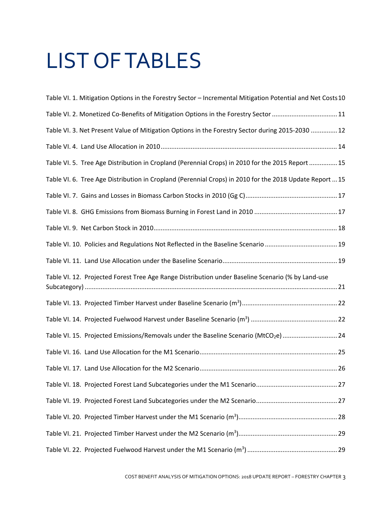# LIST OFTABLES

| Table VI. 1. Mitigation Options in the Forestry Sector - Incremental Mitigation Potential and Net Costs 10 |  |
|------------------------------------------------------------------------------------------------------------|--|
| Table VI. 2. Monetized Co-Benefits of Mitigation Options in the Forestry Sector  11                        |  |
| Table VI. 3. Net Present Value of Mitigation Options in the Forestry Sector during 2015-2030  12           |  |
|                                                                                                            |  |
| Table VI. 5. Tree Age Distribution in Cropland (Perennial Crops) in 2010 for the 2015 Report  15           |  |
| Table VI. 6. Tree Age Distribution in Cropland (Perennial Crops) in 2010 for the 2018 Update Report  15    |  |
|                                                                                                            |  |
|                                                                                                            |  |
|                                                                                                            |  |
|                                                                                                            |  |
|                                                                                                            |  |
| Table VI. 12. Projected Forest Tree Age Range Distribution under Baseline Scenario (% by Land-use          |  |
|                                                                                                            |  |
|                                                                                                            |  |
| Table VI. 15. Projected Emissions/Removals under the Baseline Scenario (MtCO <sub>2</sub> e)  24           |  |
|                                                                                                            |  |
|                                                                                                            |  |
|                                                                                                            |  |
|                                                                                                            |  |
|                                                                                                            |  |
|                                                                                                            |  |
|                                                                                                            |  |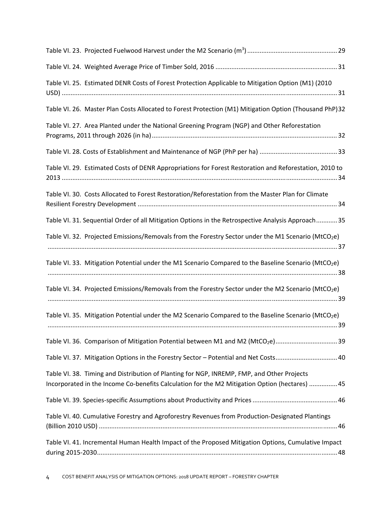| Table VI. 25. Estimated DENR Costs of Forest Protection Applicable to Mitigation Option (M1) (2010                                                                                          |
|---------------------------------------------------------------------------------------------------------------------------------------------------------------------------------------------|
| Table VI. 26. Master Plan Costs Allocated to Forest Protection (M1) Mitigation Option (Thousand PhP)32                                                                                      |
| Table VI. 27. Area Planted under the National Greening Program (NGP) and Other Reforestation                                                                                                |
|                                                                                                                                                                                             |
| Table VI. 29. Estimated Costs of DENR Appropriations for Forest Restoration and Reforestation, 2010 to                                                                                      |
| Table VI. 30. Costs Allocated to Forest Restoration/Reforestation from the Master Plan for Climate                                                                                          |
| Table VI. 31. Sequential Order of all Mitigation Options in the Retrospective Analysis Approach 35                                                                                          |
| Table VI. 32. Projected Emissions/Removals from the Forestry Sector under the M1 Scenario (MtCO <sub>2</sub> e)                                                                             |
| Table VI. 33. Mitigation Potential under the M1 Scenario Compared to the Baseline Scenario (MtCO <sub>2</sub> e)                                                                            |
| Table VI. 34. Projected Emissions/Removals from the Forestry Sector under the M2 Scenario (MtCO <sub>2</sub> e)                                                                             |
| Table VI. 35. Mitigation Potential under the M2 Scenario Compared to the Baseline Scenario (MtCO <sub>2</sub> e)                                                                            |
| Table VI. 36. Comparison of Mitigation Potential between M1 and M2 (MtCO <sub>2</sub> e)39                                                                                                  |
| Table VI. 37. Mitigation Options in the Forestry Sector - Potential and Net Costs 40                                                                                                        |
| Table VI. 38. Timing and Distribution of Planting for NGP, INREMP, FMP, and Other Projects<br>Incorporated in the Income Co-benefits Calculation for the M2 Mitigation Option (hectares) 45 |
|                                                                                                                                                                                             |
| Table VI. 40. Cumulative Forestry and Agroforestry Revenues from Production-Designated Plantings                                                                                            |
| Table VI. 41. Incremental Human Health Impact of the Proposed Mitigation Options, Cumulative Impact                                                                                         |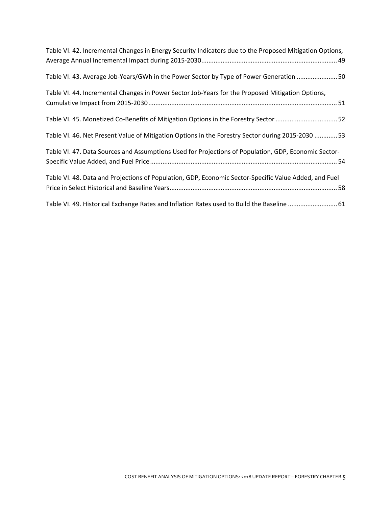| Table VI. 42. Incremental Changes in Energy Security Indicators due to the Proposed Mitigation Options, |
|---------------------------------------------------------------------------------------------------------|
| Table VI. 43. Average Job-Years/GWh in the Power Sector by Type of Power Generation 50                  |
| Table VI. 44. Incremental Changes in Power Sector Job-Years for the Proposed Mitigation Options,        |
| Table VI. 45. Monetized Co-Benefits of Mitigation Options in the Forestry Sector 52                     |
| Table VI. 46. Net Present Value of Mitigation Options in the Forestry Sector during 2015-2030  53       |
| Table VI. 47. Data Sources and Assumptions Used for Projections of Population, GDP, Economic Sector-    |
| Table VI. 48. Data and Projections of Population, GDP, Economic Sector-Specific Value Added, and Fuel   |
| Table VI. 49. Historical Exchange Rates and Inflation Rates used to Build the Baseline  61              |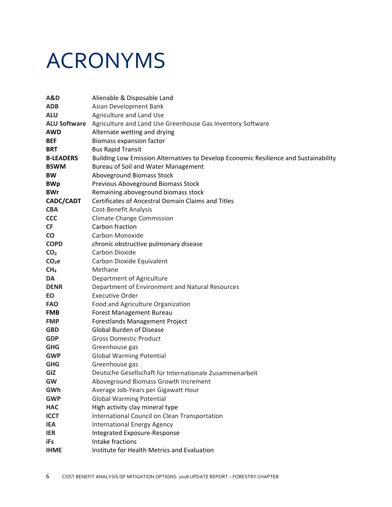# ACRONYMS

| Building Low Emission Alternatives to Develop Economic Resilience and Sustainability |
|--------------------------------------------------------------------------------------|
|                                                                                      |
|                                                                                      |
|                                                                                      |
|                                                                                      |
|                                                                                      |
|                                                                                      |
|                                                                                      |
|                                                                                      |
|                                                                                      |
|                                                                                      |
|                                                                                      |
|                                                                                      |
|                                                                                      |
|                                                                                      |
|                                                                                      |
|                                                                                      |
|                                                                                      |
|                                                                                      |
|                                                                                      |
|                                                                                      |
|                                                                                      |
|                                                                                      |
|                                                                                      |
|                                                                                      |
|                                                                                      |
|                                                                                      |
|                                                                                      |
|                                                                                      |
|                                                                                      |
|                                                                                      |
|                                                                                      |
|                                                                                      |
|                                                                                      |
|                                                                                      |
|                                                                                      |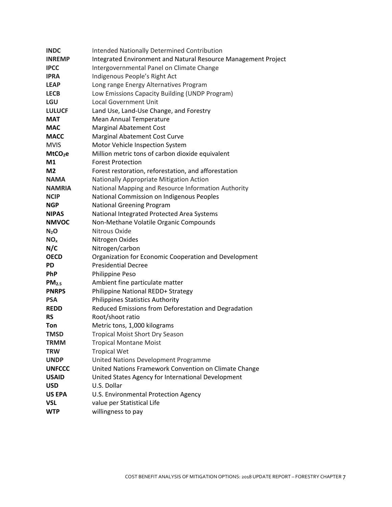| <b>INDC</b>         | <b>Intended Nationally Determined Contribution</b>             |
|---------------------|----------------------------------------------------------------|
| <b>INREMP</b>       | Integrated Environment and Natural Resource Management Project |
| <b>IPCC</b>         | Intergovernmental Panel on Climate Change                      |
| <b>IPRA</b>         | Indigenous People's Right Act                                  |
| <b>LEAP</b>         | Long range Energy Alternatives Program                         |
| <b>LECB</b>         | Low Emissions Capacity Building (UNDP Program)                 |
| <b>LGU</b>          | <b>Local Government Unit</b>                                   |
| <b>LULUCF</b>       | Land Use, Land-Use Change, and Forestry                        |
| <b>MAT</b>          | Mean Annual Temperature                                        |
| <b>MAC</b>          | <b>Marginal Abatement Cost</b>                                 |
| <b>MACC</b>         | <b>Marginal Abatement Cost Curve</b>                           |
| <b>MVIS</b>         | Motor Vehicle Inspection System                                |
| MtCO <sub>2</sub> e | Million metric tons of carbon dioxide equivalent               |
| M1                  | <b>Forest Protection</b>                                       |
| M <sub>2</sub>      | Forest restoration, reforestation, and afforestation           |
| <b>NAMA</b>         | Nationally Appropriate Mitigation Action                       |
| <b>NAMRIA</b>       | National Mapping and Resource Information Authority            |
| <b>NCIP</b>         | National Commission on Indigenous Peoples                      |
| <b>NGP</b>          | <b>National Greening Program</b>                               |
| <b>NIPAS</b>        | National Integrated Protected Area Systems                     |
| <b>NMVOC</b>        | Non-Methane Volatile Organic Compounds                         |
| $N_2$ O             | Nitrous Oxide                                                  |
| NO <sub>x</sub>     | Nitrogen Oxides                                                |
| N/C                 | Nitrogen/carbon                                                |
| <b>OECD</b>         | Organization for Economic Cooperation and Development          |
| <b>PD</b>           | <b>Presidential Decree</b>                                     |
| <b>PhP</b>          | Philippine Peso                                                |
| PM <sub>2.5</sub>   | Ambient fine particulate matter                                |
| <b>PNRPS</b>        | Philippine National REDD+ Strategy                             |
| <b>PSA</b>          | <b>Philippines Statistics Authority</b>                        |
| <b>REDD</b>         | Reduced Emissions from Deforestation and Degradation           |
| <b>RS</b>           | Root/shoot ratio                                               |
| Ton                 | Metric tons, 1,000 kilograms                                   |
| <b>TMSD</b>         | <b>Tropical Moist Short Dry Season</b>                         |
| <b>TRMM</b>         | <b>Tropical Montane Moist</b>                                  |
| <b>TRW</b>          | <b>Tropical Wet</b>                                            |
| <b>UNDP</b>         | United Nations Development Programme                           |
| <b>UNFCCC</b>       | United Nations Framework Convention on Climate Change          |
| <b>USAID</b>        | United States Agency for International Development             |
| <b>USD</b>          | U.S. Dollar                                                    |
| <b>US EPA</b>       | U.S. Environmental Protection Agency                           |
| <b>VSL</b>          | value per Statistical Life                                     |
| <b>WTP</b>          | willingness to pay                                             |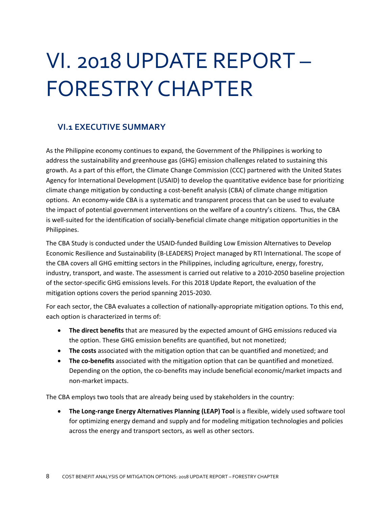# VI. 2018 UPDATE REPORT – FORESTRY CHAPTER

# **VI.1 EXECUTIVE SUMMARY**

As the Philippine economy continues to expand, the Government of the Philippines is working to address the sustainability and greenhouse gas (GHG) emission challenges related to sustaining this growth. As a part of this effort, the Climate Change Commission (CCC) partnered with the United States Agency for International Development (USAID) to develop the quantitative evidence base for prioritizing climate change mitigation by conducting a cost‐benefit analysis (CBA) of climate change mitigation options. An economy‐wide CBA is a systematic and transparent process that can be used to evaluate the impact of potential government interventions on the welfare of a country's citizens. Thus, the CBA is well‐suited for the identification of socially‐beneficial climate change mitigation opportunities in the Philippines.

The CBA Study is conducted under the USAID‐funded Building Low Emission Alternatives to Develop Economic Resilience and Sustainability (B‐LEADERS) Project managed by RTI International. The scope of the CBA covers all GHG emitting sectors in the Philippines, including agriculture, energy, forestry, industry, transport, and waste. The assessment is carried out relative to a 2010‐2050 baseline projection of the sector‐specific GHG emissions levels. For this 2018 Update Report, the evaluation of the mitigation options covers the period spanning 2015‐2030.

For each sector, the CBA evaluates a collection of nationally‐appropriate mitigation options. To this end, each option is characterized in terms of:

- **The direct benefits** that are measured by the expected amount of GHG emissions reduced via the option. These GHG emission benefits are quantified, but not monetized;
- **The costs** associated with the mitigation option that can be quantified and monetized; and
- **The co-benefits** associated with the mitigation option that can be quantified and monetized. Depending on the option, the co-benefits may include beneficial economic/market impacts and non‐market impacts.

The CBA employs two tools that are already being used by stakeholders in the country:

 **The Long‐range Energy Alternatives Planning (LEAP) Tool** is a flexible, widely used software tool for optimizing energy demand and supply and for modeling mitigation technologies and policies across the energy and transport sectors, as well as other sectors.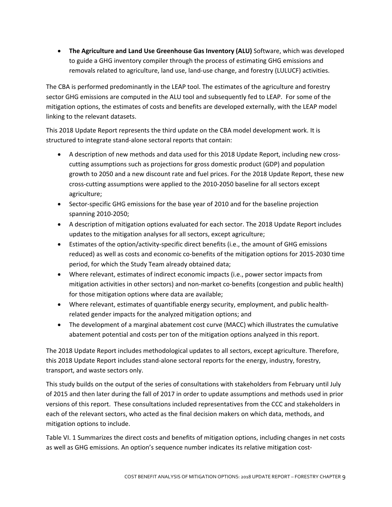**The Agriculture and Land Use Greenhouse Gas Inventory (ALU)** Software, which was developed to guide a GHG inventory compiler through the process of estimating GHG emissions and removals related to agriculture, land use, land‐use change, and forestry (LULUCF) activities.

The CBA is performed predominantly in the LEAP tool. The estimates of the agriculture and forestry sector GHG emissions are computed in the ALU tool and subsequently fed to LEAP. For some of the mitigation options, the estimates of costs and benefits are developed externally, with the LEAP model linking to the relevant datasets.

This 2018 Update Report represents the third update on the CBA model development work. It is structured to integrate stand‐alone sectoral reports that contain:

- A description of new methods and data used for this 2018 Update Report, including new crosscutting assumptions such as projections for gross domestic product (GDP) and population growth to 2050 and a new discount rate and fuel prices. For the 2018 Update Report, these new cross‐cutting assumptions were applied to the 2010‐2050 baseline for all sectors except agriculture;
- Sector-specific GHG emissions for the base year of 2010 and for the baseline projection spanning 2010‐2050;
- A description of mitigation options evaluated for each sector. The 2018 Update Report includes updates to the mitigation analyses for all sectors, except agriculture;
- Estimates of the option/activity‐specific direct benefits (i.e., the amount of GHG emissions reduced) as well as costs and economic co-benefits of the mitigation options for 2015-2030 time period, for which the Study Team already obtained data;
- Where relevant, estimates of indirect economic impacts (i.e., power sector impacts from mitigation activities in other sectors) and non-market co-benefits (congestion and public health) for those mitigation options where data are available;
- Where relevant, estimates of quantifiable energy security, employment, and public healthrelated gender impacts for the analyzed mitigation options; and
- The development of a marginal abatement cost curve (MACC) which illustrates the cumulative abatement potential and costs per ton of the mitigation options analyzed in this report.

The 2018 Update Report includes methodological updates to all sectors, except agriculture. Therefore, this 2018 Update Report includes stand‐alone sectoral reports for the energy, industry, forestry, transport, and waste sectors only.

This study builds on the output of the series of consultations with stakeholders from February until July of 2015 and then later during the fall of 2017 in order to update assumptions and methods used in prior versions of this report. These consultations included representatives from the CCC and stakeholders in each of the relevant sectors, who acted as the final decision makers on which data, methods, and mitigation options to include.

Table VI. 1 Summarizes the direct costs and benefits of mitigation options, including changes in net costs as well as GHG emissions. An option's sequence number indicates its relative mitigation cost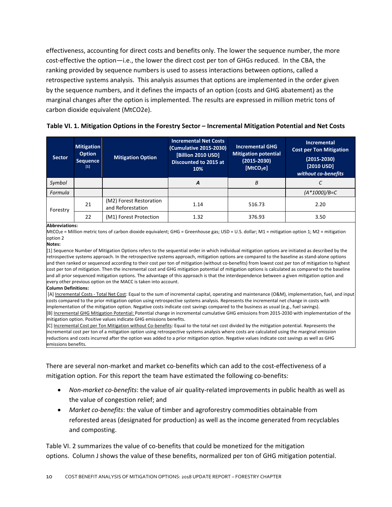effectiveness, accounting for direct costs and benefits only. The lower the sequence number, the more cost-effective the option—i.e., the lower the direct cost per ton of GHGs reduced. In the CBA, the ranking provided by sequence numbers is used to assess interactions between options, called a retrospective systems analysis. This analysis assumes that options are implemented in the order given by the sequence numbers, and it defines the impacts of an option (costs and GHG abatement) as the marginal changes after the option is implemented. The results are expressed in million metric tons of carbon dioxide equivalent (MtCO2e).

| <b>Sector</b> | <b>Mitigation</b><br><b>Option</b><br><b>Sequence</b><br>$[1]$ | <b>Mitigation Option</b>                     | <b>Incremental Net Costs</b><br>(Cumulative 2015-2030)<br>[Billion 2010 USD]<br>Discounted to 2015 at<br>10% | <b>Incremental GHG</b><br><b>Mitigation potential</b><br>$(2015 - 2030)$<br>[MtCO <sub>2</sub> e] | <b>Incremental</b><br><b>Cost per Ton Mitigation</b><br>$(2015 - 2030)$<br>[2010 USD]<br>without co-benefits |  |
|---------------|----------------------------------------------------------------|----------------------------------------------|--------------------------------------------------------------------------------------------------------------|---------------------------------------------------------------------------------------------------|--------------------------------------------------------------------------------------------------------------|--|
| Symbol        |                                                                |                                              | A                                                                                                            | B                                                                                                 | С                                                                                                            |  |
| Formula       |                                                                |                                              |                                                                                                              |                                                                                                   | $(A * 1000)/B=C$                                                                                             |  |
| Forestry      | 21                                                             | (M2) Forest Restoration<br>and Reforestation | 1.14                                                                                                         | 516.73                                                                                            | 2.20                                                                                                         |  |
|               | 22                                                             | (M1) Forest Protection                       | 1.32                                                                                                         | 376.93                                                                                            | 3.50                                                                                                         |  |

#### **Table VI. 1. Mitigation Options in the Forestry Sector – Incremental Mitigation Potential and Net Costs**

#### **Abbreviations:**

MtCO2e = Million metric tons of carbon dioxide equivalent; GHG = Greenhouse gas; USD = U.S. dollar; M1 = mitigation option 1; M2 = mitigation option 2

#### **Notes:**

 $\vert$ 1] Sequence Number of Mitigation Options refers to the sequential order in which individual mitigation options are initiated as described by the retrospective systems approach. In the retrospective systems approach, mitigation options are compared to the baseline as stand‐alone options and then ranked or sequenced according to their cost per ton of mitigation (without co‐benefits) from lowest cost per ton of mitigation to highest cost per ton of mitigation. Then the incremental cost and GHG mitigation potential of mitigation options is calculated as compared to the baseline and all prior sequenced mitigation options. The advantage of this approach is that the interdependence between a given mitigation option and every other previous option on the MACC is taken into account.

#### **Column Definitions:**

[A] Incremental Costs - Total Net Cost: Equal to the sum of incremental capital, operating and maintenance (O&M), implementation, fuel, and input costs compared to the prior mitigation option using retrospective systems analysis. Represents the incremental net change in costs with implementation of the mitigation option. Negative costs indicate cost savings compared to the business as usual (e.g., fuel savings).

[B] Incremental GHG Mitigation Potential: Potential change in incremental cumulative GHG emissions from 2015-2030 with implementation of the mitigation option. Positive values indicate GHG emissions benefits.

[C] Incremental Cost per Ton Mitigation without Co-benefits: Equal to the total net cost divided by the mitigation potential. Represents the incremental cost per ton of a mitigation option using retrospective systems analysis where costs are calculated using the marginal emission reductions and costs incurred after the option was added to a prior mitigation option. Negative values indicate cost savings as well as GHG emissions benefits.

There are several non-market and market co-benefits which can add to the cost-effectiveness of a mitigation option. For this report the team have estimated the following co-benefits:

- *Non‐market co‐benefits*: the value of air quality‐related improvements in public health as well as the value of congestion relief; and
- *Market co‐benefits*: the value of timber and agroforestry commodities obtainable from reforested areas (designated for production) as well as the income generated from recyclables and composting.

Table VI. 2 summarizes the value of co-benefits that could be monetized for the mitigation options. Column J shows the value of these benefits, normalized per ton of GHG mitigation potential.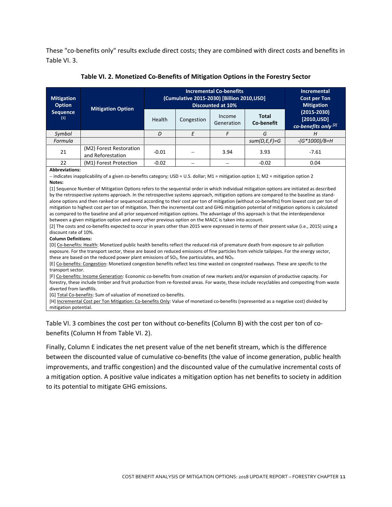These "co-benefits only" results exclude direct costs; they are combined with direct costs and benefits in Table VI. 3.

| <b>Mitigation</b><br><b>Option</b> | <b>Mitigation Option</b>                     | <b>Incremental Co-benefits</b><br>(Cumulative 2015-2030) [Billion 2010, USD]<br><b>Discounted at 10%</b> |            |                      |                            | <b>Incremental</b><br><b>Cost per Ton</b><br><b>Mitigation</b>      |
|------------------------------------|----------------------------------------------|----------------------------------------------------------------------------------------------------------|------------|----------------------|----------------------------|---------------------------------------------------------------------|
| <b>Sequence</b><br>$[1]$           |                                              | <b>Health</b>                                                                                            | Congestion | Income<br>Generation | <b>Total</b><br>Co-benefit | $(2015 - 2030)$<br>$[2010, USD]$<br>co-benefits only <sup>[2]</sup> |
| Symbol                             |                                              | D                                                                                                        | E          |                      | G                          | H                                                                   |
| Formula                            |                                              |                                                                                                          |            |                      | $sum(D,E,F)=G$             | $-(G*1000)/B=H$                                                     |
| 21                                 | (M2) Forest Restoration<br>and Reforestation | $-0.01$                                                                                                  |            | 3.94                 | 3.93                       | $-7.61$                                                             |
| 22<br>---<br>.                     | (M1) Forest Protection                       | $-0.02$                                                                                                  |            |                      | $-0.02$                    | 0.04                                                                |

#### **Table VI. 2. Monetized Co‐Benefits of Mitigation Options in the Forestry Sector**

#### **Abbreviations:**

- indicates inapplicability of a given co-benefits category; USD = U.S. dollar; M1 = mitigation option 1; M2 = mitigation option 2 **Notes:**

[1] Sequence Number of Mitigation Options refers to the sequential order in which individual mitigation options are initiated as described by the retrospective systems approach. In the retrospective systems approach, mitigation options are compared to the baseline as stand‐ alone options and then ranked or sequenced according to their cost per ton of mitigation (without co-benefits) from lowest cost per ton of mitigation to highest cost per ton of mitigation. Then the incremental cost and GHG mitigation potential of mitigation options is calculated as compared to the baseline and all prior sequenced mitigation options. The advantage of this approach is that the interdependence between a given mitigation option and every other previous option on the MACC is taken into account.

[2] The costs and co-benefits expected to occur in years other than 2015 were expressed in terms of their present value (i.e., 2015) using a discount rate of 10%.

#### **Column Definitions:**

[D] Co-benefits: Health: Monetized public health benefits reflect the reduced risk of premature death from exposure to air pollution exposure. For the transport sector, these are based on reduced emissions of fine particles from vehicle tailpipes. For the energy sector, these are based on the reduced power plant emissions of  $SO<sub>2</sub>$ , fine particulates, and NO<sub>x</sub>.

[E] Co-benefits: Congestion: Monetized congestion benefits reflect less time wasted on congested roadways. These are specific to the transport sector.

[F] Co-benefits: Income Generation: Economic co-benefits from creation of new markets and/or expansion of productive capacity. For forestry, these include timber and fruit production from re‐forested areas. For waste, these include recyclables and composting from waste diverted from landfills.

[G] Total Co-benefits: Sum of valuation of monetized co-benefits.

[H] Incremental Cost per Ton Mitigation: Co-benefits Only: Value of monetized co-benefits (represented as a negative cost) divided by mitigation potential.

Table VI. 3 combines the cost per ton without co-benefits (Column B) with the cost per ton of cobenefits (Column H from Table VI. 2).

Finally, Column E indicates the net present value of the net benefit stream, which is the difference between the discounted value of cumulative co-benefits (the value of income generation, public health improvements, and traffic congestion) and the discounted value of the cumulative incremental costs of a mitigation option. A positive value indicates a mitigation option has net benefits to society in addition to its potential to mitigate GHG emissions.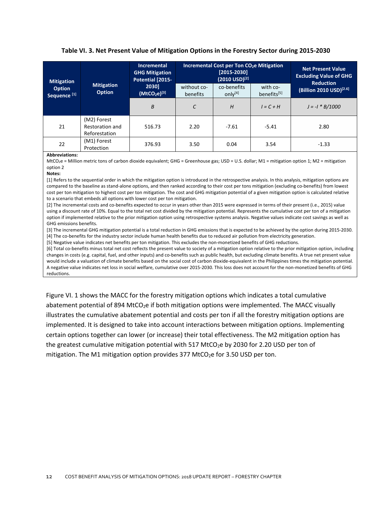#### **Table VI. 3. Net Present Value of Mitigation Options in the Forestry Sector during 2015‐2030**

| <b>Mitigation</b>                        | <b>Mitigation</b><br><b>Option</b>              | <b>Incremental</b><br><b>GHG Mitigation</b><br>Potential [2015- |                         | Incremental Cost per Ton CO <sub>2</sub> e Mitigation<br>$[2015 - 2030]$<br>$(2010 \text{ USD})^{[2]}$ | <b>Net Present Value</b><br><b>Excluding Value of GHG</b><br><b>Reduction</b> |                                     |  |
|------------------------------------------|-------------------------------------------------|-----------------------------------------------------------------|-------------------------|--------------------------------------------------------------------------------------------------------|-------------------------------------------------------------------------------|-------------------------------------|--|
| <b>Option</b><br>Sequence <sup>[1]</sup> |                                                 | 2030]<br>$(MtCO2e)^{[3]}$                                       | without co-<br>benefits | co-benefits<br>only <sup>[4]</sup>                                                                     | with co-<br>benefits <sup>[5]</sup>                                           | (Billion 2010 USD) <sup>[2.6]</sup> |  |
|                                          |                                                 | B                                                               | С                       | H                                                                                                      | $I = C + H$                                                                   | $J = -I * B/1000$                   |  |
| 21                                       | (M2) Forest<br>Restoration and<br>Reforestation | 516.73                                                          | 2.20                    | $-7.61$                                                                                                | $-5.41$                                                                       | 2.80                                |  |
| 22                                       | (M1) Forest<br>Protection                       | 376.93                                                          | 3.50                    | 0.04                                                                                                   | 3.54                                                                          | $-1.33$                             |  |

**Abbreviations:**

MtCO2e = Million metric tons of carbon dioxide equivalent; GHG = Greenhouse gas; USD = U.S. dollar; M1 = mitigation option 1; M2 = mitigation option 2

**Notes:**

[1] Refers to the sequential order in which the mitigation option is introduced in the retrospective analysis. In this analysis, mitigation options are compared to the baseline as stand-alone options, and then ranked according to their cost per tons mitigation (excluding co-benefits) from lowest cost per ton mitigation to highest cost per ton mitigation. The cost and GHG mitigation potential of a given mitigation option is calculated relative to a scenario that embeds all options with lower cost per ton mitigation.

[2] The incremental costs and co-benefits expected to occur in years other than 2015 were expressed in terms of their present (i.e., 2015) value using a discount rate of 10%. Equal to the total net cost divided by the mitigation potential. Represents the cumulative cost per ton of a mitigation option if implemented relative to the prior mitigation option using retrospective systems analysis. Negative values indicate cost savings as well as GHG emissions benefits.

[3] The incremental GHG mitigation potential is a total reduction in GHG emissions that is expected to be achieved by the option during 2015‐2030. [4] The co‐benefits for the industry sector include human health benefits due to reduced air pollution from electricity generation.

[5] Negative value indicates net benefits per ton mitigation. This excludes the non-monetized benefits of GHG reductions.

[6] Total co-benefits minus total net cost reflects the present value to society of a mitigation option relative to the prior mitigation option, including changes in costs (e.g. capital, fuel, and other inputs) and co‐benefits such as public health, but excluding climate benefits. A true net present value would include a valuation of climate benefits based on the social cost of carbon dioxide-equivalent in the Philippines times the mitigation potential. A negative value indicates net loss in social welfare, cumulative over 2015‐2030. This loss does not account for the non‐monetized benefits of GHG reductions.

Figure VI. 1 shows the MACC for the forestry mitigation options which indicates a total cumulative abatement potential of 894 MtCO<sub>2</sub>e if both mitigation options were implemented. The MACC visually illustrates the cumulative abatement potential and costs per ton if all the forestry mitigation options are implemented. It is designed to take into account interactions between mitigation options. Implementing certain options together can lower (or increase) their total effectiveness. The M2 mitigation option has the greatest cumulative mitigation potential with 517 MtCO<sub>2</sub>e by 2030 for 2.20 USD per ton of mitigation. The M1 mitigation option provides 377 MtCO<sub>2</sub>e for 3.50 USD per ton.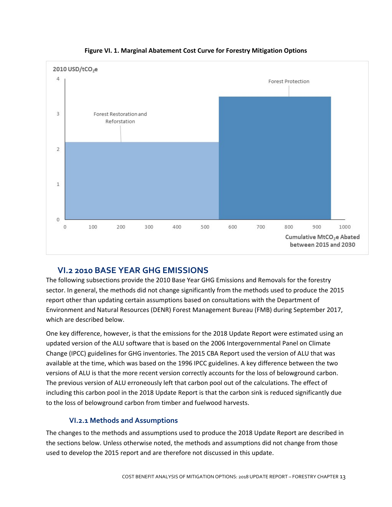

**Figure VI. 1. Marginal Abatement Cost Curve for Forestry Mitigation Options**

# **VI.2 2010 BASE YEAR GHG EMISSIONS**

The following subsections provide the 2010 Base Year GHG Emissions and Removals for the forestry sector. In general, the methods did not change significantly from the methods used to produce the 2015 report other than updating certain assumptions based on consultations with the Department of Environment and Natural Resources (DENR) Forest Management Bureau (FMB) during September 2017, which are described below.

One key difference, however, is that the emissions for the 2018 Update Report were estimated using an updated version of the ALU software that is based on the 2006 Intergovernmental Panel on Climate Change (IPCC) guidelines for GHG inventories. The 2015 CBA Report used the version of ALU that was available at the time, which was based on the 1996 IPCC guidelines. A key difference between the two versions of ALU is that the more recent version correctly accounts for the loss of belowground carbon. The previous version of ALU erroneously left that carbon pool out of the calculations. The effect of including this carbon pool in the 2018 Update Report is that the carbon sink is reduced significantly due to the loss of belowground carbon from timber and fuelwood harvests.

# **VI.2.1 Methods and Assumptions**

The changes to the methods and assumptions used to produce the 2018 Update Report are described in the sections below. Unless otherwise noted, the methods and assumptions did not change from those used to develop the 2015 report and are therefore not discussed in this update.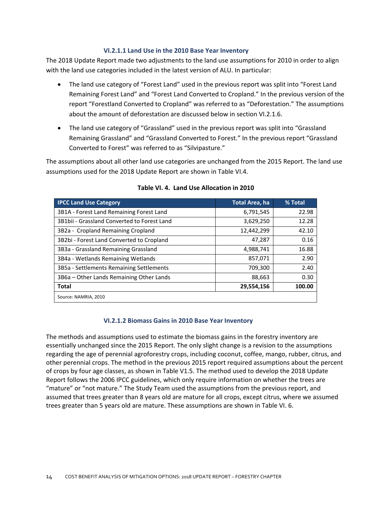#### **VI.2.1.1 Land Use in the 2010 Base Year Inventory**

The 2018 Update Report made two adjustments to the land use assumptions for 2010 in order to align with the land use categories included in the latest version of ALU. In particular:

- The land use category of "Forest Land" used in the previous report was split into "Forest Land Remaining Forest Land" and "Forest Land Converted to Cropland." In the previous version of the report "Forestland Converted to Cropland" was referred to as "Deforestation." The assumptions about the amount of deforestation are discussed below in section VI.2.1.6.
- The land use category of "Grassland" used in the previous report was split into "Grassland Remaining Grassland" and "Grassland Converted to Forest." In the previous report "Grassland Converted to Forest" was referred to as "Silvipasture."

The assumptions about all other land use categories are unchanged from the 2015 Report. The land use assumptions used for the 2018 Update Report are shown in Table VI.4.

| <b>IPCC Land Use Category</b>               | Total Area, ha | % Total |
|---------------------------------------------|----------------|---------|
| 3B1A - Forest Land Remaining Forest Land    | 6,791,545      | 22.98   |
| 3B1bii - Grassland Converted to Forest Land | 3,629,250      | 12.28   |
| 3B2a - Cropland Remaining Cropland          | 12,442,299     | 42.10   |
| 3B2bi - Forest Land Converted to Cropland   | 47,287         | 0.16    |
| 3B3a - Grassland Remaining Grassland        | 4,988,741      | 16.88   |
| 3B4a - Wetlands Remaining Wetlands          | 857,071        | 2.90    |
| 3B5a - Settlements Remaining Settlements    | 709,300        | 2.40    |
| 3B6a – Other Lands Remaining Other Lands    | 88,663         | 0.30    |
| <b>Total</b>                                | 29,554,156     | 100.00  |
| Source: NAMRIA, 2010                        |                |         |

### **Table VI. 4. Land Use Allocation in 2010**

#### **VI.2.1.2 Biomass Gains in 2010 Base Year Inventory**

The methods and assumptions used to estimate the biomass gains in the forestry inventory are essentially unchanged since the 2015 Report. The only slight change is a revision to the assumptions regarding the age of perennial agroforestry crops, including coconut, coffee, mango, rubber, citrus, and other perennial crops. The method in the previous 2015 report required assumptions about the percent of crops by four age classes, as shown in Table V1.5. The method used to develop the 2018 Update Report follows the 2006 IPCC guidelines, which only require information on whether the trees are "mature" or "not mature." The Study Team used the assumptions from the previous report, and assumed that trees greater than 8 years old are mature for all crops, except citrus, where we assumed trees greater than 5 years old are mature. These assumptions are shown in Table VI. 6.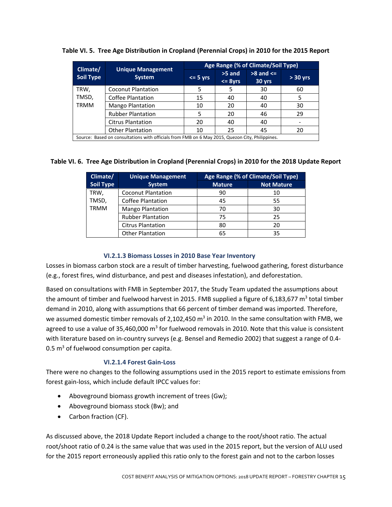| Climate/                                                                                        | <b>Unique Management</b>  | Age Range (% of Climate/Soil Type) |                      |                           |            |  |  |
|-------------------------------------------------------------------------------------------------|---------------------------|------------------------------------|----------------------|---------------------------|------------|--|--|
| <b>Soil Type</b>                                                                                | <b>System</b>             | $<$ = 5 $vrs$                      | $>5$ and<br>$<$ 8yrs | $>8$ and $\leq$<br>30 yrs | $> 30$ yrs |  |  |
| TRW,                                                                                            | <b>Coconut Plantation</b> | 5                                  | 5                    | 30                        | 60         |  |  |
| TMSD,                                                                                           | <b>Coffee Plantation</b>  | 15                                 | 40                   | 40                        | 5          |  |  |
| <b>TRMM</b>                                                                                     | <b>Mango Plantation</b>   | 10                                 | 20                   | 40                        | 30         |  |  |
|                                                                                                 | <b>Rubber Plantation</b>  | 5                                  | 20                   | 46                        | 29         |  |  |
|                                                                                                 | <b>Citrus Plantation</b>  | 20                                 | 40                   | 40                        |            |  |  |
|                                                                                                 | <b>Other Plantation</b>   | 10                                 | 25                   | 45                        | 20         |  |  |
| Source: Based on consultations with officials from FMB on 6 May 2015, Quezon City, Philippines. |                           |                                    |                      |                           |            |  |  |

**Table VI. 5. Tree Age Distribution in Cropland (Perennial Crops) in 2010 for the 2015 Report**

## Table VI. 6. Tree Age Distribution in Cropland (Perennial Crops) in 2010 for the 2018 Update Report

| Climate/         | <b>Unique Management</b>  | Age Range (% of Climate/Soil Type) |            |  |  |  |
|------------------|---------------------------|------------------------------------|------------|--|--|--|
| <b>Soil Type</b> | <b>System</b>             | <b>Mature</b>                      | Not Mature |  |  |  |
| TRW,             | <b>Coconut Plantation</b> | 90                                 | 10         |  |  |  |
| TMSD,            | <b>Coffee Plantation</b>  | 45                                 | 55         |  |  |  |
| <b>TRMM</b>      | <b>Mango Plantation</b>   | 70                                 | 30         |  |  |  |
|                  | <b>Rubber Plantation</b>  | 75                                 | 25         |  |  |  |
|                  | <b>Citrus Plantation</b>  | 80                                 | 20         |  |  |  |
|                  | <b>Other Plantation</b>   | 65                                 | 35         |  |  |  |

### **VI.2.1.3 Biomass Losses in 2010 Base Year Inventory**

Losses in biomass carbon stock are a result of timber harvesting, fuelwood gathering, forest disturbance (e.g., forest fires, wind disturbance, and pest and diseases infestation), and deforestation.

Based on consultations with FMB in September 2017, the Study Team updated the assumptions about the amount of timber and fuelwood harvest in 2015. FMB supplied a figure of 6,183,677  $m<sup>3</sup>$  total timber demand in 2010, along with assumptions that 66 percent of timber demand was imported. Therefore, we assumed domestic timber removals of 2,102,450  $m<sup>3</sup>$  in 2010. In the same consultation with FMB, we agreed to use a value of 35,460,000  $m<sup>3</sup>$  for fuelwood removals in 2010. Note that this value is consistent with literature based on in‐country surveys (e.g. Bensel and Remedio 2002) that suggest a range of 0.4‐ 0.5  $m<sup>3</sup>$  of fuelwood consumption per capita.

## **VI.2.1.4 Forest Gain‐Loss**

There were no changes to the following assumptions used in the 2015 report to estimate emissions from forest gain‐loss, which include default IPCC values for:

- Aboveground biomass growth increment of trees (Gw);
- Aboveground biomass stock (Bw); and
- Carbon fraction (CF).

As discussed above, the 2018 Update Report included a change to the root/shoot ratio. The actual root/shoot ratio of 0.24 is the same value that was used in the 2015 report, but the version of ALU used for the 2015 report erroneously applied this ratio only to the forest gain and not to the carbon losses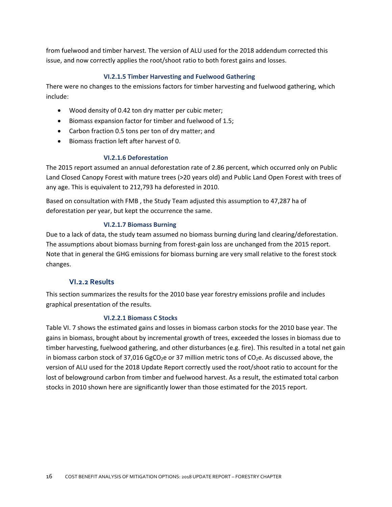from fuelwood and timber harvest. The version of ALU used for the 2018 addendum corrected this issue, and now correctly applies the root/shoot ratio to both forest gains and losses.

#### **VI.2.1.5 Timber Harvesting and Fuelwood Gathering**

There were no changes to the emissions factors for timber harvesting and fuelwood gathering, which include:

- Wood density of 0.42 ton dry matter per cubic meter;
- Biomass expansion factor for timber and fuelwood of 1.5;
- Carbon fraction 0.5 tons per ton of dry matter; and
- Biomass fraction left after harvest of 0.

#### **VI.2.1.6 Deforestation**

The 2015 report assumed an annual deforestation rate of 2.86 percent, which occurred only on Public Land Closed Canopy Forest with mature trees (>20 years old) and Public Land Open Forest with trees of any age. This is equivalent to 212,793 ha deforested in 2010.

Based on consultation with FMB , the Study Team adjusted this assumption to 47,287 ha of deforestation per year, but kept the occurrence the same.

#### **VI.2.1.7 Biomass Burning**

Due to a lack of data, the study team assumed no biomass burning during land clearing/deforestation. The assumptions about biomass burning from forest‐gain loss are unchanged from the 2015 report. Note that in general the GHG emissions for biomass burning are very small relative to the forest stock changes.

## **VI.2.2 Results**

This section summarizes the results for the 2010 base year forestry emissions profile and includes graphical presentation of the results.

#### **VI.2.2.1 Biomass C Stocks**

Table VI. 7 shows the estimated gains and losses in biomass carbon stocks for the 2010 base year. The gains in biomass, brought about by incremental growth of trees, exceeded the losses in biomass due to timber harvesting, fuelwood gathering, and other disturbances (e.g. fire). This resulted in a total net gain in biomass carbon stock of 37,016 GgCO<sub>2</sub>e or 37 million metric tons of CO<sub>2</sub>e. As discussed above, the version of ALU used for the 2018 Update Report correctly used the root/shoot ratio to account for the lost of belowground carbon from timber and fuelwood harvest. As a result, the estimated total carbon stocks in 2010 shown here are significantly lower than those estimated for the 2015 report.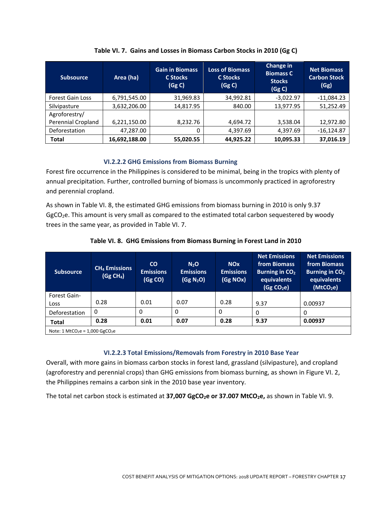| <b>Subsource</b>          | Area (ha)     | <b>Gain in Biomass</b><br><b>C Stocks</b><br>(Gg C) | <b>Loss of Biomass</b><br><b>C Stocks</b><br>(Gg C) | Change in<br><b>Biomass C</b><br><b>Stocks</b><br>(Gg C) | <b>Net Biomass</b><br><b>Carbon Stock</b><br>(Gg) |
|---------------------------|---------------|-----------------------------------------------------|-----------------------------------------------------|----------------------------------------------------------|---------------------------------------------------|
| <b>Forest Gain Loss</b>   | 6,791,545.00  | 31,969.83                                           | 34,992.81                                           | $-3,022.97$                                              | $-11,084.23$                                      |
| Silvipasture              | 3,632,206.00  | 14,817.95                                           | 840.00                                              | 13,977.95                                                | 51,252.49                                         |
| Agroforestry/             |               |                                                     |                                                     |                                                          |                                                   |
| <b>Perennial Cropland</b> | 6,221,150.00  | 8,232.76                                            | 4,694.72                                            | 3,538.04                                                 | 12,972.80                                         |
| Deforestation             | 47,287.00     | 0                                                   | 4,397.69                                            | 4,397.69                                                 | $-16,124.87$                                      |
| <b>Total</b>              | 16,692,188.00 | 55,020.55                                           | 44.925.22                                           | 10,095.33                                                | 37,016.19                                         |

#### **Table VI. 7. Gains and Losses in Biomass Carbon Stocks in 2010 (Gg C)**

## **VI.2.2.2 GHG Emissions from Biomass Burning**

Forest fire occurrence in the Philippines is considered to be minimal, being in the tropics with plenty of annual precipitation. Further, controlled burning of biomass is uncommonly practiced in agroforestry and perennial cropland.

As shown in Table VI. 8, the estimated GHG emissions from biomass burning in 2010 is only 9.37 GgCO<sub>2</sub>e. This amount is very small as compared to the estimated total carbon sequestered by woody trees in the same year, as provided in Table VI. 7.

| <b>Subsource</b>                                            | $CH4$ Emissions<br>(Gg CH <sub>4</sub> ) | <b>CO</b><br><b>Emissions</b><br>(Gg CO) | N <sub>2</sub> O<br><b>Emissions</b><br>(Gg N <sub>2</sub> O) | <b>NO<sub>x</sub></b><br><b>Emissions</b><br>(Gg NOx) | <b>Net Emissions</b><br>from Biomass<br>Burning in CO <sub>2</sub><br>equivalents<br>(Gg CO <sub>2</sub> e) | <b>Net Emissions</b><br>from Biomass<br>Burning in CO <sub>2</sub><br>equivalents<br>(MtCO <sub>2</sub> e) |
|-------------------------------------------------------------|------------------------------------------|------------------------------------------|---------------------------------------------------------------|-------------------------------------------------------|-------------------------------------------------------------------------------------------------------------|------------------------------------------------------------------------------------------------------------|
| Forest Gain-                                                |                                          |                                          |                                                               |                                                       |                                                                                                             |                                                                                                            |
| Loss                                                        | 0.28                                     | 0.01                                     | 0.07                                                          | 0.28                                                  | 9.37                                                                                                        | 0.00937                                                                                                    |
| Deforestation                                               | 0                                        | 0                                        | 0                                                             | 0                                                     | 0                                                                                                           | 0                                                                                                          |
| <b>Total</b>                                                | 0.28                                     | 0.01                                     | 0.07                                                          | 0.28                                                  | 9.37                                                                                                        | 0.00937                                                                                                    |
| Note: $1$ MtCO <sub>2</sub> e = $1,000$ GgCO <sub>2</sub> e |                                          |                                          |                                                               |                                                       |                                                                                                             |                                                                                                            |

**Table VI. 8. GHG Emissions from Biomass Burning in Forest Land in 2010**

#### **VI.2.2.3 Total Emissions/Removals from Forestry in 2010 Base Year**

Overall, with more gains in biomass carbon stocks in forest land, grassland (silvipasture), and cropland (agroforestry and perennial crops) than GHG emissions from biomass burning, as shown in Figure VI. 2, the Philippines remains a carbon sink in the 2010 base year inventory.

The total net carbon stock is estimated at 37,007 GgCO<sub>2</sub>e or 37.007 MtCO<sub>2</sub>e, as shown in Table VI. 9.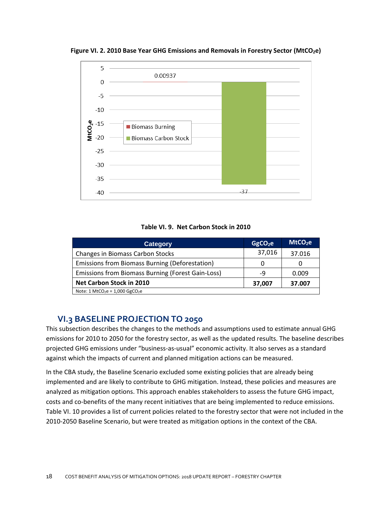

**Figure VI. 2. 2010 Base Year GHG Emissions and Removals in Forestry Sector (MtCO2e)**

#### **Table VI. 9. Net Carbon Stock in 2010**

| Category                                                    | GgCO <sub>2</sub> e | MtCO <sub>2</sub> e |
|-------------------------------------------------------------|---------------------|---------------------|
| Changes in Biomass Carbon Stocks                            | 37,016              | 37.016              |
| Emissions from Biomass Burning (Deforestation)              |                     |                     |
| Emissions from Biomass Burning (Forest Gain-Loss)           | -9                  | 0.009               |
| Net Carbon Stock in 2010                                    | 37,007              | 37.007              |
| Note: $1$ MtCO <sub>2</sub> e = $1,000$ GgCO <sub>2</sub> e |                     |                     |

## **VI.3 BASELINE PROJECTION TO 2050**

This subsection describes the changes to the methods and assumptions used to estimate annual GHG emissions for 2010 to 2050 for the forestry sector, as well as the updated results. The baseline describes projected GHG emissions under "business‐as‐usual" economic activity. It also serves as a standard against which the impacts of current and planned mitigation actions can be measured.

In the CBA study, the Baseline Scenario excluded some existing policies that are already being implemented and are likely to contribute to GHG mitigation. Instead, these policies and measures are analyzed as mitigation options. This approach enables stakeholders to assess the future GHG impact, costs and co-benefits of the many recent initiatives that are being implemented to reduce emissions. Table VI. 10 provides a list of current policies related to the forestry sector that were not included in the 2010‐2050 Baseline Scenario, but were treated as mitigation options in the context of the CBA.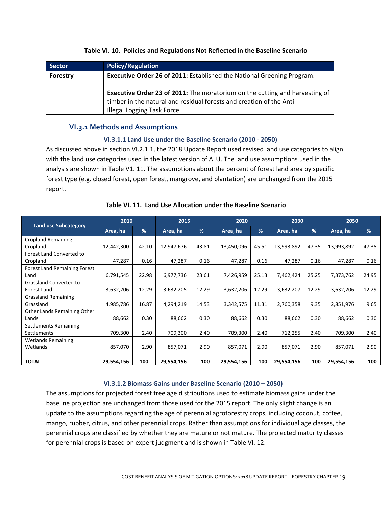#### **Table VI. 10. Policies and Regulations Not Reflected in the Baseline Scenario**

| <b>Sector</b> | <b>Policy/Regulation</b>                                                                                                                                                                  |
|---------------|-------------------------------------------------------------------------------------------------------------------------------------------------------------------------------------------|
| Forestry      | <b>Executive Order 26 of 2011:</b> Established the National Greening Program.                                                                                                             |
|               | <b>Executive Order 23 of 2011:</b> The moratorium on the cutting and harvesting of<br>timber in the natural and residual forests and creation of the Anti-<br>Illegal Logging Task Force. |

#### **VI.3.1 Methods and Assumptions**

#### **VI.3.1.1 Land Use under the Baseline Scenario (2010 ‐ 2050)**

As discussed above in section VI.2.1.1, the 2018 Update Report used revised land use categories to align with the land use categories used in the latest version of ALU. The land use assumptions used in the analysis are shown in Table V1. 11. The assumptions about the percent of forest land area by specific forest type (e.g. closed forest, open forest, mangrove, and plantation) are unchanged from the 2015 report.

|                                     | 2010       |       | 2015       |               | 2020       |       | 2030       |       | 2050       |       |
|-------------------------------------|------------|-------|------------|---------------|------------|-------|------------|-------|------------|-------|
| <b>Land use Subcategory</b>         | Area, ha   | %     | Area, ha   | $\frac{9}{6}$ | Area, ha   | %     | Area, ha   | %     | Area, ha   | %     |
| <b>Cropland Remaining</b>           |            |       |            |               |            |       |            |       |            |       |
| Cropland                            | 12,442,300 | 42.10 | 12,947,676 | 43.81         | 13,450,096 | 45.51 | 13,993,892 | 47.35 | 13,993,892 | 47.35 |
| Forest Land Converted to            |            |       |            |               |            |       |            |       |            |       |
| Cropland                            | 47,287     | 0.16  | 47,287     | 0.16          | 47,287     | 0.16  | 47,287     | 0.16  | 47,287     | 0.16  |
| <b>Forest Land Remaining Forest</b> |            |       |            |               |            |       |            |       |            |       |
| Land                                | 6,791,545  | 22.98 | 6,977,736  | 23.61         | 7,426,959  | 25.13 | 7,462,424  | 25.25 | 7,373,762  | 24.95 |
| Grassland Converted to              |            |       |            |               |            |       |            |       |            |       |
| Forest Land                         | 3,632,206  | 12.29 | 3,632,205  | 12.29         | 3,632,206  | 12.29 | 3,632,207  | 12.29 | 3,632,206  | 12.29 |
| <b>Grassland Remaining</b>          |            |       |            |               |            |       |            |       |            |       |
| Grassland                           | 4,985,786  | 16.87 | 4,294,219  | 14.53         | 3,342,575  | 11.31 | 2,760,358  | 9.35  | 2,851,976  | 9.65  |
| Other Lands Remaining Other         |            |       |            |               |            |       |            |       |            |       |
| Lands                               | 88,662     | 0.30  | 88,662     | 0.30          | 88,662     | 0.30  | 88,662     | 0.30  | 88,662     | 0.30  |
| Settlements Remaining               |            |       |            |               |            |       |            |       |            |       |
| Settlements                         | 709,300    | 2.40  | 709,300    | 2.40          | 709,300    | 2.40  | 712,255    | 2.40  | 709,300    | 2.40  |
| <b>Wetlands Remaining</b>           |            |       |            |               |            |       |            |       |            |       |
| Wetlands                            | 857,070    | 2.90  | 857,071    | 2.90          | 857,071    | 2.90  | 857,071    | 2.90  | 857,071    | 2.90  |
|                                     |            |       |            |               |            |       |            |       |            |       |
| <b>TOTAL</b>                        | 29,554,156 | 100   | 29,554,156 | 100           | 29,554,156 | 100   | 29,554,156 | 100   | 29,554,156 | 100   |

#### **Table VI. 11. Land Use Allocation under the Baseline Scenario**

#### **VI.3.1.2 Biomass Gains under Baseline Scenario (2010 – 2050)**

The assumptions for projected forest tree age distributions used to estimate biomass gains under the baseline projection are unchanged from those used for the 2015 report. The only slight change is an update to the assumptions regarding the age of perennial agroforestry crops, including coconut, coffee, mango, rubber, citrus, and other perennial crops. Rather than assumptions for individual age classes, the perennial crops are classified by whether they are mature or not mature. The projected maturity classes for perennial crops is based on expert judgment and is shown in Table VI. 12.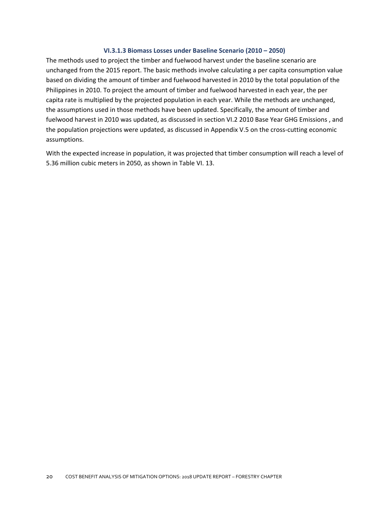#### **VI.3.1.3 Biomass Losses under Baseline Scenario (2010 – 2050)**

The methods used to project the timber and fuelwood harvest under the baseline scenario are unchanged from the 2015 report. The basic methods involve calculating a per capita consumption value based on dividing the amount of timber and fuelwood harvested in 2010 by the total population of the Philippines in 2010. To project the amount of timber and fuelwood harvested in each year, the per capita rate is multiplied by the projected population in each year. While the methods are unchanged, the assumptions used in those methods have been updated. Specifically, the amount of timber and fuelwood harvest in 2010 was updated, as discussed in section VI.2 2010 Base Year GHG Emissions , and the population projections were updated, as discussed in Appendix V.5 on the cross-cutting economic assumptions.

With the expected increase in population, it was projected that timber consumption will reach a level of 5.36 million cubic meters in 2050, as shown in Table VI. 13.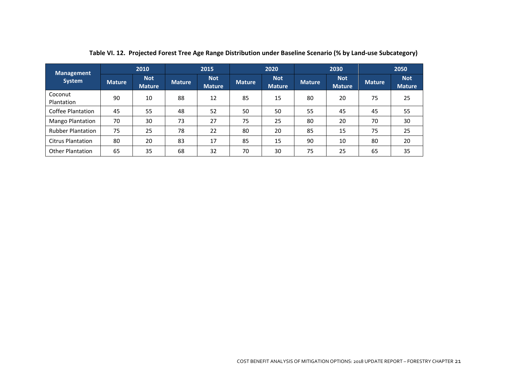| Management               | 2010          |                             |        | 2015                        |               | 2020                        |               | 2030                        |               | 2050                        |
|--------------------------|---------------|-----------------------------|--------|-----------------------------|---------------|-----------------------------|---------------|-----------------------------|---------------|-----------------------------|
| System                   | <b>Mature</b> | <b>Not</b><br><b>Mature</b> | Mature | <b>Not</b><br><b>Mature</b> | <b>Mature</b> | <b>Not</b><br><b>Mature</b> | <b>Mature</b> | <b>Not</b><br><b>Mature</b> | <b>Mature</b> | <b>Not</b><br><b>Mature</b> |
| Coconut<br>Plantation    | 90            | 10                          | 88     | 12                          | 85            | 15                          | 80            | 20                          | 75            | 25                          |
| <b>Coffee Plantation</b> | 45            | 55                          | 48     | 52                          | 50            | 50                          | 55            | 45                          | 45            | 55                          |
| Mango Plantation         | 70            | 30                          | 73     | 27                          | 75            | 25                          | 80            | 20                          | 70            | 30                          |
| <b>Rubber Plantation</b> | 75            | 25                          | 78     | 22                          | 80            | 20                          | 85            | 15                          | 75            | 25                          |
| <b>Citrus Plantation</b> | 80            | 20                          | 83     | 17                          | 85            | 15                          | 90            | 10                          | 80            | 20                          |
| <b>Other Plantation</b>  | 65            | 35                          | 68     | 32                          | 70            | 30                          | 75            | 25                          | 65            | 35                          |

Table VI. 12. Projected Forest Tree Age Range Distribution under Baseline Scenario (% by Land-use Subcategory)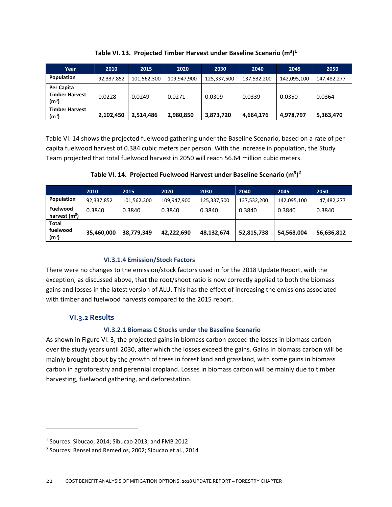| Year                                                     | 2010       | 2015        | 2020        | 2030        | 2040        | 2045        | 2050        |
|----------------------------------------------------------|------------|-------------|-------------|-------------|-------------|-------------|-------------|
| Population                                               | 92,337,852 | 101,562,300 | 109,947,900 | 125,337,500 | 137,532,200 | 142,095,100 | 147,482,277 |
| Per Capita<br><b>Timber Harvest</b><br>(m <sup>3</sup> ) | 0.0228     | 0.0249      | 0.0271      | 0.0309      | 0.0339      | 0.0350      | 0.0364      |
| <b>Timber Harvest</b><br>(m <sup>3</sup> )               | 2,102,450  | 2,514,486   | 2,980,850   | 3,873,720   | 4,664,176   | 4,978,797   | 5,363,470   |

**Table VI. 13. Projected Timber Harvest under Baseline Scenario (m3 ) 1**

Table VI. 14 shows the projected fuelwood gathering under the Baseline Scenario, based on a rate of per capita fuelwood harvest of 0.384 cubic meters per person. With the increase in population, the Study Team projected that total fuelwood harvest in 2050 will reach 56.64 million cubic meters.

**Table VI. 14. Projected Fuelwood Harvest under Baseline Scenario (m3 ) 2**

|                                               | 2010       | 2015        | 2020        | 2030        | 2040        | 2045        | 2050        |
|-----------------------------------------------|------------|-------------|-------------|-------------|-------------|-------------|-------------|
| Population                                    | 92,337,852 | 101,562,300 | 109,947,900 | 125,337,500 | 137,532,200 | 142,095,100 | 147,482,277 |
| <b>Fuelwood</b><br>harvest (m <sup>3</sup> )  | 0.3840     | 0.3840      | 0.3840      | 0.3840      | 0.3840      | 0.3840      | 0.3840      |
| <b>Total</b><br>fuelwood<br>(m <sup>3</sup> ) | 35,460,000 | 38,779,349  | 42,222,690  | 48,132,674  | 52,815,738  | 54,568,004  | 56,636,812  |

## **VI.3.1.4 Emission/Stock Factors**

There were no changes to the emission/stock factors used in for the 2018 Update Report, with the exception, as discussed above, that the root/shoot ratio is now correctly applied to both the biomass gains and losses in the latest version of ALU. This has the effect of increasing the emissions associated with timber and fuelwood harvests compared to the 2015 report.

## **VI.3.2 Results**

## **VI.3.2.1 Biomass C Stocks under the Baseline Scenario**

As shown in Figure VI. 3, the projected gains in biomass carbon exceed the losses in biomass carbon over the study years until 2030, after which the losses exceed the gains. Gains in biomass carbon will be mainly brought about by the growth of trees in forest land and grassland, with some gains in biomass carbon in agroforestry and perennial cropland. Losses in biomass carbon will be mainly due to timber harvesting, fuelwood gathering, and deforestation.

<sup>1</sup> Sources: Sibucao, 2014; Sibucao 2013; and FMB 2012

<sup>2</sup> Sources: Bensel and Remedios, 2002; Sibucao et al., 2014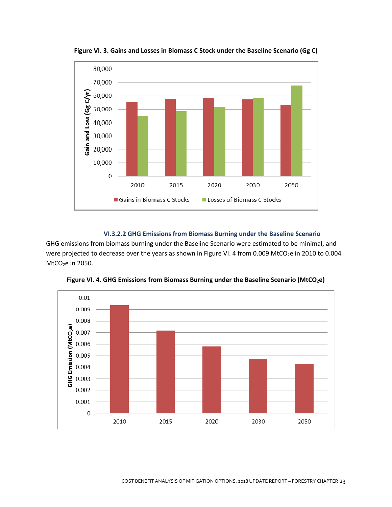

**Figure VI. 3. Gains and Losses in Biomass C Stock under the Baseline Scenario (Gg C)**

#### **VI.3.2.2 GHG Emissions from Biomass Burning under the Baseline Scenario**

GHG emissions from biomass burning under the Baseline Scenario were estimated to be minimal, and were projected to decrease over the years as shown in Figure VI. 4 from 0.009 MtCO<sub>2</sub>e in 2010 to 0.004  $MtCO<sub>2</sub>e$  in 2050.



**Figure VI. 4. GHG Emissions from Biomass Burning under the Baseline Scenario (MtCO2e)**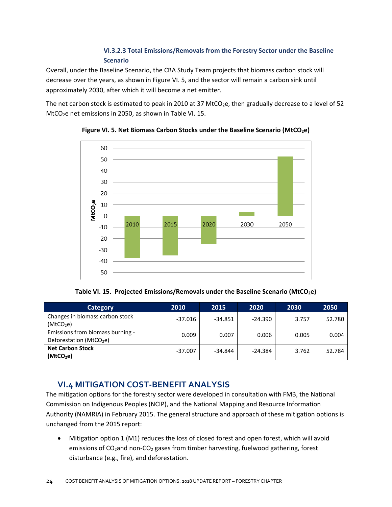## **VI.3.2.3 Total Emissions/Removals from the Forestry Sector under the Baseline Scenario**

Overall, under the Baseline Scenario, the CBA Study Team projects that biomass carbon stock will decrease over the years, as shown in Figure VI. 5, and the sector will remain a carbon sink until approximately 2030, after which it will become a net emitter.

The net carbon stock is estimated to peak in 2010 at 37 MtCO<sub>2</sub>e, then gradually decrease to a level of 52 MtCO<sub>2</sub>e net emissions in 2050, as shown in Table VI. 15.



**Figure VI. 5. Net Biomass Carbon Stocks under the Baseline Scenario (MtCO2e)**

**Table VI. 15. Projected Emissions/Removals under the Baseline Scenario (MtCO2e)**

| Category                                                                | 2010      | 2015      | 2020      | 2030  | 2050   |
|-------------------------------------------------------------------------|-----------|-----------|-----------|-------|--------|
| Changes in biomass carbon stock<br>(MtCO <sub>2</sub> e)                | $-37.016$ | $-34.851$ | $-24.390$ | 3.757 | 52.780 |
| Emissions from biomass burning -<br>Deforestation (MtCO <sub>2</sub> e) | 0.009     | 0.007     | 0.006     | 0.005 | 0.004  |
| <b>Net Carbon Stock</b><br>(MtCO <sub>2</sub> e)                        | $-37.007$ | -34.844   | $-24.384$ | 3.762 | 52.784 |

# **VI.4 MITIGATION COST‐BENEFIT ANALYSIS**

The mitigation options for the forestry sector were developed in consultation with FMB, the National Commission on Indigenous Peoples (NCIP), and the National Mapping and Resource Information Authority (NAMRIA) in February 2015. The general structure and approach of these mitigation options is unchanged from the 2015 report:

 Mitigation option 1 (M1) reduces the loss of closed forest and open forest, which will avoid emissions of CO<sub>2</sub>and non-CO<sub>2</sub> gases from timber harvesting, fuelwood gathering, forest disturbance (e.g., fire), and deforestation.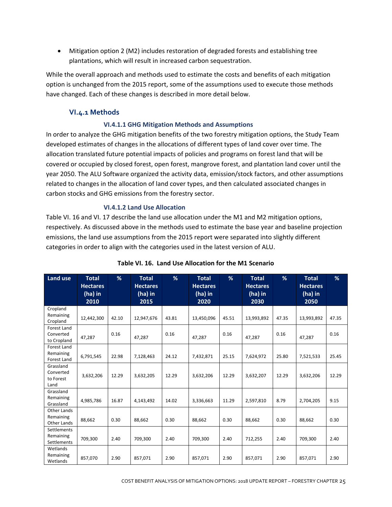Mitigation option 2 (M2) includes restoration of degraded forests and establishing tree plantations, which will result in increased carbon sequestration.

While the overall approach and methods used to estimate the costs and benefits of each mitigation option is unchanged from the 2015 report, some of the assumptions used to execute those methods have changed. Each of these changes is described in more detail below.

## **VI.4.1 Methods**

### **VI.4.1.1 GHG Mitigation Methods and Assumptions**

In order to analyze the GHG mitigation benefits of the two forestry mitigation options, the Study Team developed estimates of changes in the allocations of different types of land cover over time. The allocation translated future potential impacts of policies and programs on forest land that will be covered or occupied by closed forest, open forest, mangrove forest, and plantation land cover until the year 2050. The ALU Software organized the activity data, emission/stock factors, and other assumptions related to changes in the allocation of land cover types, and then calculated associated changes in carbon stocks and GHG emissions from the forestry sector.

#### **VI.4.1.2 Land Use Allocation**

Table VI. 16 and VI. 17 describe the land use allocation under the M1 and M2 mitigation options, respectively. As discussed above in the methods used to estimate the base year and baseline projection emissions, the land use assumptions from the 2015 report were separated into slightly different categories in order to align with the categories used in the latest version of ALU.

| <b>Land use</b>                                | <b>Total</b><br><b>Hectares</b><br>(ha) in<br>2010 | %     | <b>Total</b><br><b>Hectares</b><br>(ha) in<br>2015 | %     | <b>Total</b><br><b>Hectares</b><br>(ha) in<br>2020 | %     | <b>Total</b><br><b>Hectares</b><br>(ha) in<br>2030 | %     | <b>Total</b><br><b>Hectares</b><br>(ha) in<br>2050 | %     |
|------------------------------------------------|----------------------------------------------------|-------|----------------------------------------------------|-------|----------------------------------------------------|-------|----------------------------------------------------|-------|----------------------------------------------------|-------|
| Cropland<br>Remaining<br>Cropland              | 12,442,300                                         | 42.10 | 12,947,676                                         | 43.81 | 13,450,096                                         | 45.51 | 13,993,892                                         | 47.35 | 13,993,892                                         | 47.35 |
| Forest Land<br>Converted<br>to Cropland        | 47,287                                             | 0.16  | 47,287                                             | 0.16  | 47,287                                             | 0.16  | 47,287                                             | 0.16  | 47,287                                             | 0.16  |
| Forest Land<br>Remaining<br>Forest Land        | 6,791,545                                          | 22.98 | 7,128,463                                          | 24.12 | 7,432,871                                          | 25.15 | 7,624,972                                          | 25.80 | 7,521,533                                          | 25.45 |
| Grassland<br>Converted<br>to Forest<br>Land    | 3,632,206                                          | 12.29 | 3,632,205                                          | 12.29 | 3,632,206                                          | 12.29 | 3,632,207                                          | 12.29 | 3,632,206                                          | 12.29 |
| Grassland<br>Remaining<br>Grassland            | 4,985,786                                          | 16.87 | 4,143,492                                          | 14.02 | 3,336,663                                          | 11.29 | 2,597,810                                          | 8.79  | 2,704,205                                          | 9.15  |
| Other Lands<br>Remaining<br><b>Other Lands</b> | 88,662                                             | 0.30  | 88,662                                             | 0.30  | 88,662                                             | 0.30  | 88,662                                             | 0.30  | 88,662                                             | 0.30  |
| Settlements<br>Remaining<br>Settlements        | 709,300                                            | 2.40  | 709,300                                            | 2.40  | 709,300                                            | 2.40  | 712,255                                            | 2.40  | 709,300                                            | 2.40  |
| Wetlands<br>Remaining<br>Wetlands              | 857,070                                            | 2.90  | 857,071                                            | 2.90  | 857,071                                            | 2.90  | 857,071                                            | 2.90  | 857,071                                            | 2.90  |

|  | Table VI. 16. Land Use Allocation for the M1 Scenario |
|--|-------------------------------------------------------|
|--|-------------------------------------------------------|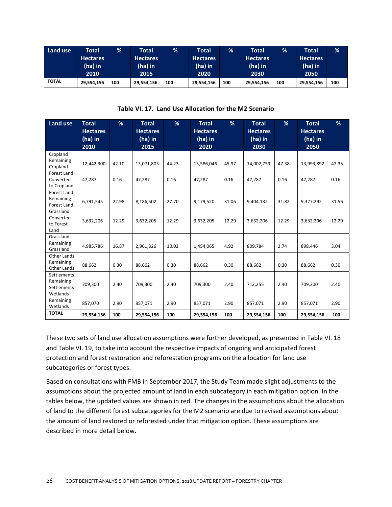| Land use     | Total           | $\frac{9}{6}$ | Total      | %   | <b>Total</b>    | %   | Total           | %   | Total           | %   |
|--------------|-----------------|---------------|------------|-----|-----------------|-----|-----------------|-----|-----------------|-----|
|              | <b>Hectares</b> |               | Hectares   |     | <b>Hectares</b> |     | <b>Hectares</b> |     | <b>Hectares</b> |     |
|              | (ha) in         |               | (ha) in    |     | (ha) in         |     | (ha) in         |     | (ha) in         |     |
|              | 2010'           |               | 2015       |     | 2020            |     | 2030            |     | 2050            |     |
| <b>TOTAL</b> | 29,554,156      | 100           | 29,554,156 | 100 | 29,554,156      | 100 | 29,554,156      | 100 | 29,554,156      | 100 |

**Table VI. 17. Land Use Allocation for the M2 Scenario**

| <b>Land use</b>                                | <b>Total</b><br><b>Hectares</b><br>(ha) in<br>2010 | %     | <b>Total</b><br><b>Hectares</b><br>(ha) in<br>2015 | %     | <b>Total</b><br><b>Hectares</b><br>(ha) in<br>2020 | %     | <b>Total</b><br><b>Hectares</b><br>(ha) in<br>2030 | %     | <b>Total</b><br><b>Hectares</b><br>(ha) in<br>2050 | %     |
|------------------------------------------------|----------------------------------------------------|-------|----------------------------------------------------|-------|----------------------------------------------------|-------|----------------------------------------------------|-------|----------------------------------------------------|-------|
| Cropland<br>Remaining<br>Cropland              | 12,442,300                                         | 42.10 | 13,071,803                                         | 44.23 | 13,586,046                                         | 45.97 | 14,002,759                                         | 47.38 | 13,993,892                                         | 47.35 |
| Forest Land<br>Converted<br>to Cropland        | 47,287                                             | 0.16  | 47,287                                             | 0.16  | 47,287                                             | 0.16  | 47,287                                             | 0.16  | 47,287                                             | 0.16  |
| <b>Forest Land</b><br>Remaining<br>Forest Land | 6,791,545                                          | 22.98 | 8,186,502                                          | 27.70 | 9,179,520                                          | 31.06 | 9,404,132                                          | 31.82 | 9,327,292                                          | 31.56 |
| Grassland<br>Converted<br>to Forest<br>Land    | 3,632,206                                          | 12.29 | 3,632,205                                          | 12.29 | 3,632,205                                          | 12.29 | 3,632,206                                          | 12.29 | 3,632,206                                          | 12.29 |
| Grassland<br>Remaining<br>Grassland            | 4,985,786                                          | 16.87 | 2,961,326                                          | 10.02 | 1,454,065                                          | 4.92  | 809,784                                            | 2.74  | 898,446                                            | 3.04  |
| Other Lands<br>Remaining<br>Other Lands        | 88,662                                             | 0.30  | 88,662                                             | 0.30  | 88,662                                             | 0.30  | 88,662                                             | 0.30  | 88,662                                             | 0.30  |
| Settlements<br>Remaining<br>Settlements        | 709,300                                            | 2.40  | 709,300                                            | 2.40  | 709,300                                            | 2.40  | 712,255                                            | 2.40  | 709,300                                            | 2.40  |
| Wetlands<br>Remaining<br>Wetlands              | 857,070                                            | 2.90  | 857,071                                            | 2.90  | 857,071                                            | 2.90  | 857,071                                            | 2.90  | 857,071                                            | 2.90  |
| <b>TOTAL</b>                                   | 29,554,156                                         | 100   | 29,554,156                                         | 100   | 29,554,156                                         | 100   | 29,554,156                                         | 100   | 29,554,156                                         | 100   |

These two sets of land use allocation assumptions were further developed, as presented in Table VI. 18 and Table VI. 19, to take into account the respective impacts of ongoing and anticipated forest protection and forest restoration and reforestation programs on the allocation for land use subcategories or forest types.

Based on consultations with FMB in September 2017, the Study Team made slight adjustments to the assumptions about the projected amount of land in each subcategory in each mitigation option. In the tables below, the updated values are shown in red. The changes in the assumptions about the allocation of land to the different forest subcategories for the M2 scenario are due to revised assumptions about the amount of land restored or reforested under that mitigation option. These assumptions are described in more detail below.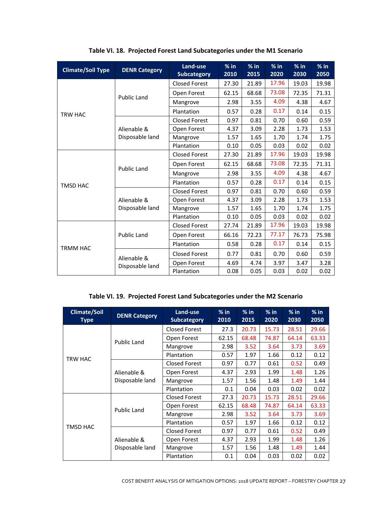| <b>Climate/Soil Type</b> | <b>DENR Category</b> | Land-use<br><b>Subcategory</b> | $%$ in<br>2010 | $%$ in<br>2015 | $%$ in<br>2020 | $%$ in<br>2030 | $%$ in<br>2050 |
|--------------------------|----------------------|--------------------------------|----------------|----------------|----------------|----------------|----------------|
|                          |                      | <b>Closed Forest</b>           | 27.30          | 21.89          | 17.96          | 19.03          | 19.98          |
| TRW HAC                  |                      | Open Forest                    | 62.15          | 68.68          | 73.08          | 72.35          | 71.31          |
|                          | <b>Public Land</b>   | Mangrove                       | 2.98           | 3.55           | 4.09           | 4.38           | 4.67           |
|                          |                      | Plantation                     | 0.57           | 0.28           | 0.17           | 0.14           | 0.15           |
|                          |                      | <b>Closed Forest</b>           | 0.97           | 0.81           | 0.70           | 0.60           | 0.59           |
|                          | Alienable &          | Open Forest                    | 4.37           | 3.09           | 2.28           | 1.73           | 1.53           |
|                          | Disposable land      | Mangrove                       | 1.57           | 1.65           | 1.70           | 1.74           | 1.75           |
|                          |                      | Plantation                     | 0.10           | 0.05           | 0.03           | 0.02           | 0.02           |
|                          |                      | <b>Closed Forest</b>           | 27.30          | 21.89          | 17.96          | 19.03          | 19.98          |
|                          | <b>Public Land</b>   | Open Forest                    | 62.15          | 68.68          | 73.08          | 72.35          | 71.31          |
|                          |                      | Mangrove                       | 2.98           | 3.55           | 4.09           | 4.38           | 4.67           |
| <b>TMSD HAC</b>          |                      | Plantation                     | 0.57           | 0.28           | 0.17           | 0.14           | 0.15           |
|                          |                      | <b>Closed Forest</b>           | 0.97           | 0.81           | 0.70           | 0.60           | 0.59           |
|                          | Alienable &          | Open Forest                    | 4.37           | 3.09           | 2.28           | 1.73           | 1.53           |
|                          | Disposable land      | Mangrove                       | 1.57           | 1.65           | 1.70           | 1.74           | 1.75           |
|                          |                      | Plantation                     | 0.10           | 0.05           | 0.03           | 0.02           | 0.02           |
|                          |                      | <b>Closed Forest</b>           | 27.74          | 21.89          | 17.96          | 19.03          | 19.98          |
| <b>TRMM HAC</b>          | <b>Public Land</b>   | Open Forest                    | 66.16          | 72.23          | 77.17          | 76.73          | 75.98          |
|                          |                      | Plantation                     | 0.58           | 0.28           | 0.17           | 0.14           | 0.15           |
|                          | Alienable &          | <b>Closed Forest</b>           | 0.77           | 0.81           | 0.70           | 0.60           | 0.59           |
|                          | Disposable land      | Open Forest                    | 4.69           | 4.74           | 3.97           | 3.47           | 3.28           |
|                          |                      | Plantation                     | 0.08           | 0.05           | 0.03           | 0.02           | 0.02           |

**Table VI. 18. Projected Forest Land Subcategories under the M1 Scenario** 

## **Table VI. 19. Projected Forest Land Subcategories under the M2 Scenario**

| <b>Climate/Soil</b><br><b>Type</b> | <b>DENR Category</b> | Land-use<br><b>Subcategory</b> | $%$ in<br>2010 | $%$ in<br>2015 | $%$ in<br>2020 | $%$ in<br>2030 | $%$ in<br>2050 |
|------------------------------------|----------------------|--------------------------------|----------------|----------------|----------------|----------------|----------------|
|                                    |                      | <b>Closed Forest</b>           | 27.3           | 20.73          | 15.73          | 28.51          | 29.66          |
|                                    | <b>Public Land</b>   | Open Forest                    | 62.15          | 68.48          | 74.87          | 64.14          | 63.33          |
|                                    |                      | Mangrove                       | 2.98           | 3.52           | 3.64           | 3.73           | 3.69           |
| TRW HAC                            |                      | Plantation                     | 0.57           | 1.97           | 1.66           | 0.12           | 0.12           |
|                                    |                      | Closed Forest                  | 0.97           | 0.77           | 0.61           | 0.52           | 0.49           |
|                                    | Alienable &          | Open Forest                    | 4.37           | 2.93           | 1.99           | 1.48           | 1.26           |
|                                    | Disposable land      | Mangrove                       | 1.57           | 1.56           | 1.48           | 1.49           | 1.44           |
|                                    |                      | Plantation                     | 0.1            | 0.04           | 0.03           | 0.02           | 0.02           |
|                                    |                      | <b>Closed Forest</b>           | 27.3           | 20.73          | 15.73          | 28.51          | 29.66          |
|                                    | <b>Public Land</b>   | Open Forest                    | 62.15          | 68.48          | 74.87          | 64.14          | 63.33          |
|                                    |                      | Mangrove                       | 2.98           | 3.52           | 3.64           | 3.73           | 3.69           |
|                                    |                      | Plantation                     | 0.57           | 1.97           | 1.66           | 0.12           | 0.12           |
| <b>TMSD HAC</b>                    |                      | <b>Closed Forest</b>           | 0.97           | 0.77           | 0.61           | 0.52           | 0.49           |
|                                    | Alienable &          | Open Forest                    | 4.37           | 2.93           | 1.99           | 1.48           | 1.26           |
|                                    | Disposable land      | Mangrove                       | 1.57           | 1.56           | 1.48           | 1.49           | 1.44           |
|                                    |                      | Plantation                     | 0.1            | 0.04           | 0.03           | 0.02           | 0.02           |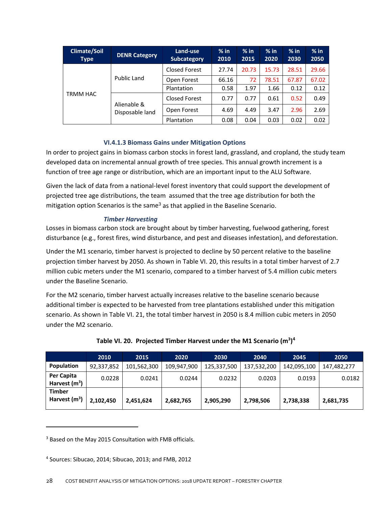| <b>Climate/Soil</b><br><b>Type</b> | <b>DENR Category</b>           | Land-use<br><b>Subcategory</b> | $%$ in<br>2010 | $%$ in<br>2015 | $%$ in<br>2020 | $%$ in<br>2030 | $%$ in<br>2050 |
|------------------------------------|--------------------------------|--------------------------------|----------------|----------------|----------------|----------------|----------------|
|                                    |                                | Closed Forest                  | 27.74          | 20.73          | 15.73          | 28.51          | 29.66          |
|                                    | Public Land                    | Open Forest                    | 66.16          | 72             | 78.51          | 67.87          | 67.02          |
|                                    |                                | Plantation                     | 0.58           | 1.97           | 1.66           | 0.12           | 0.12           |
| TRMM HAC                           |                                | Closed Forest                  | 0.77           | 0.77           | 0.61           | 0.52           | 0.49           |
|                                    | Alienable &<br>Disposable land | Open Forest                    | 4.69           | 4.49           | 3.47           | 2.96           | 2.69           |
|                                    |                                | Plantation                     | 0.08           | 0.04           | 0.03           | 0.02           | 0.02           |

## **VI.4.1.3 Biomass Gains under Mitigation Options**

In order to project gains in biomass carbon stocks in forest land, grassland, and cropland, the study team developed data on incremental annual growth of tree species. This annual growth increment is a function of tree age range or distribution, which are an important input to the ALU Software.

Given the lack of data from a national‐level forest inventory that could support the development of projected tree age distributions, the team assumed that the tree age distribution for both the mitigation option Scenarios is the same<sup>3</sup> as that applied in the Baseline Scenario.

### *Timber Harvesting*

Losses in biomass carbon stock are brought about by timber harvesting, fuelwood gathering, forest disturbance (e.g., forest fires, wind disturbance, and pest and diseases infestation), and deforestation.

Under the M1 scenario, timber harvest is projected to decline by 50 percent relative to the baseline projection timber harvest by 2050. As shown in Table VI. 20, this results in a total timber harvest of 2.7 million cubic meters under the M1 scenario, compared to a timber harvest of 5.4 million cubic meters under the Baseline Scenario.

For the M2 scenario, timber harvest actually increases relative to the baseline scenario because additional timber is expected to be harvested from tree plantations established under this mitigation scenario. As shown in Table VI. 21, the total timber harvest in 2050 is 8.4 million cubic meters in 2050 under the M2 scenario.

|                                  | 2010       | 2015        | 2020        | 2030        | 2040        | 2045        | 2050        |
|----------------------------------|------------|-------------|-------------|-------------|-------------|-------------|-------------|
| <b>Population</b>                | 92,337,852 | 101,562,300 | 109,947,900 | 125,337,500 | 137,532,200 | 142,095,100 | 147,482,277 |
| Per Capita<br>Harvest $(m^3)$    | 0.0228     | 0.0241      | 0.0244      | 0.0232      | 0.0203      | 0.0193      | 0.0182      |
| <b>Timber</b><br>Harvest $(m^3)$ | 2,102,450  | 2,451,624   | 2,682,765   | 2,905,290   | 2,798,506   | 2,738,338   | 2,681,735   |

|  | Table VI. 20. Projected Timber Harvest under the M1 Scenario $(m^3)^4$ |  |  |  |  |  |  |  |  |  |
|--|------------------------------------------------------------------------|--|--|--|--|--|--|--|--|--|
|--|------------------------------------------------------------------------|--|--|--|--|--|--|--|--|--|

<sup>&</sup>lt;sup>3</sup> Based on the May 2015 Consultation with FMB officials.

<sup>4</sup> Sources: Sibucao, 2014; Sibucao, 2013; and FMB, 2012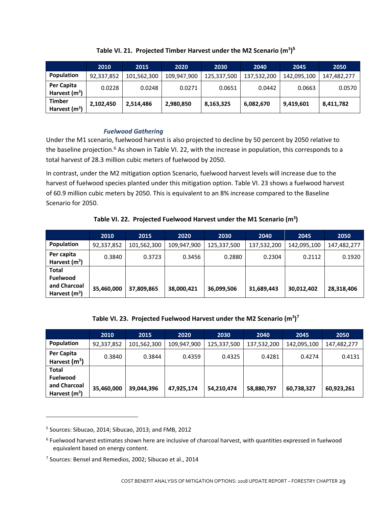|                                            | 2010       | 2015        | 2020        | 2030        | 2040        | 2045        | 2050        |
|--------------------------------------------|------------|-------------|-------------|-------------|-------------|-------------|-------------|
| <b>Population</b>                          | 92,337,852 | 101,562,300 | 109,947,900 | 125,337,500 | 137,532,200 | 142,095,100 | 147,482,277 |
| Per Capita<br>Harvest $(m^3)$              | 0.0228     | 0.0248      | 0.0271      | 0.0651      | 0.0442      | 0.0663      | 0.0570      |
| <b>Timber</b><br>Harvest (m <sup>3</sup> ) | 2,102,450  | 2,514,486   | 2,980,850   | 8,163,325   | 6,082,670   | 9,419,601   | 8,411,782   |

## **Table VI. 21. Projected Timber Harvest under the M2 Scenario (m3 ) 5**

#### *Fuelwood Gathering*

Under the M1 scenario, fuelwood harvest is also projected to decline by 50 percent by 2050 relative to the baseline projection.<sup>6</sup> As shown in Table VI. 22, with the increase in population, this corresponds to a total harvest of 28.3 million cubic meters of fuelwood by 2050.

In contrast, under the M2 mitigation option Scenario, fuelwood harvest levels will increase due to the harvest of fuelwood species planted under this mitigation option. Table VI. 23 shows a fuelwood harvest of 60.9 million cubic meters by 2050. This is equivalent to an 8% increase compared to the Baseline Scenario for 2050.

**Table VI. 22. Projected Fuelwood Harvest under the M1 Scenario (m3 )**

|                                                                    | 2010       | 2015        | 2020        | 2030        | 2040        | 2045        | 2050        |
|--------------------------------------------------------------------|------------|-------------|-------------|-------------|-------------|-------------|-------------|
| <b>Population</b>                                                  | 92,337,852 | 101,562,300 | 109,947,900 | 125,337,500 | 137,532,200 | 142,095,100 | 147,482,277 |
| Per capita<br>Harvest $(m^3)$                                      | 0.3840     | 0.3723      | 0.3456      | 0.2880      | 0.2304      | 0.2112      | 0.1920      |
| <b>Total</b><br><b>Fuelwood</b><br>and Charcoal<br>Harvest $(m^3)$ | 35,460,000 | 37,809,865  | 38,000,421  | 36,099,506  | 31,689,443  | 30,012,402  | 28,318,406  |

|  | Table VI. 23. Projected Fuelwood Harvest under the M2 Scenario $(m^3)^7$ |  |  |
|--|--------------------------------------------------------------------------|--|--|
|--|--------------------------------------------------------------------------|--|--|

|                                                                    | 2010       | 2015        | 2020        | 2030        | 2040        | 2045        | 2050        |
|--------------------------------------------------------------------|------------|-------------|-------------|-------------|-------------|-------------|-------------|
| Population                                                         | 92,337,852 | 101,562,300 | 109,947,900 | 125,337,500 | 137,532,200 | 142,095,100 | 147,482,277 |
| Per Capita<br>Harvest $(m^3)$                                      | 0.3840     | 0.3844      | 0.4359      | 0.4325      | 0.4281      | 0.4274      | 0.4131      |
| <b>Total</b><br><b>Fuelwood</b><br>and Charcoal<br>Harvest $(m^3)$ | 35,460,000 | 39,044,396  | 47,925,174  | 54,210,474  | 58,880,797  | 60,738,327  | 60,923,261  |

<sup>5</sup> Sources: Sibucao, 2014; Sibucao, 2013; and FMB, 2012

<sup>6</sup> Fuelwood harvest estimates shown here are inclusive of charcoal harvest, with quantities expressed in fuelwood equivalent based on energy content.

<sup>7</sup> Sources: Bensel and Remedios, 2002; Sibucao et al., 2014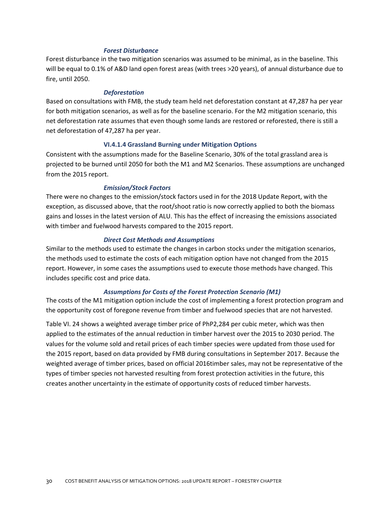#### *Forest Disturbance*

Forest disturbance in the two mitigation scenarios was assumed to be minimal, as in the baseline. This will be equal to 0.1% of A&D land open forest areas (with trees >20 years), of annual disturbance due to fire, until 2050.

#### *Deforestation*

Based on consultations with FMB, the study team held net deforestation constant at 47,287 ha per year for both mitigation scenarios, as well as for the baseline scenario. For the M2 mitigation scenario, this net deforestation rate assumes that even though some lands are restored or reforested, there is still a net deforestation of 47,287 ha per year.

#### **VI.4.1.4 Grassland Burning under Mitigation Options**

Consistent with the assumptions made for the Baseline Scenario, 30% of the total grassland area is projected to be burned until 2050 for both the M1 and M2 Scenarios. These assumptions are unchanged from the 2015 report.

#### *Emission/Stock Factors*

There were no changes to the emission/stock factors used in for the 2018 Update Report, with the exception, as discussed above, that the root/shoot ratio is now correctly applied to both the biomass gains and losses in the latest version of ALU. This has the effect of increasing the emissions associated with timber and fuelwood harvests compared to the 2015 report.

#### *Direct Cost Methods and Assumptions*

Similar to the methods used to estimate the changes in carbon stocks under the mitigation scenarios, the methods used to estimate the costs of each mitigation option have not changed from the 2015 report. However, in some cases the assumptions used to execute those methods have changed. This includes specific cost and price data.

#### *Assumptions for Costs of the Forest Protection Scenario (M1)*

The costs of the M1 mitigation option include the cost of implementing a forest protection program and the opportunity cost of foregone revenue from timber and fuelwood species that are not harvested.

Table VI. 24 shows a weighted average timber price of PhP2,284 per cubic meter, which was then applied to the estimates of the annual reduction in timber harvest over the 2015 to 2030 period. The values for the volume sold and retail prices of each timber species were updated from those used for the 2015 report, based on data provided by FMB during consultations in September 2017. Because the weighted average of timber prices, based on official 2016timber sales, may not be representative of the types of timber species not harvested resulting from forest protection activities in the future, this creates another uncertainty in the estimate of opportunity costs of reduced timber harvests.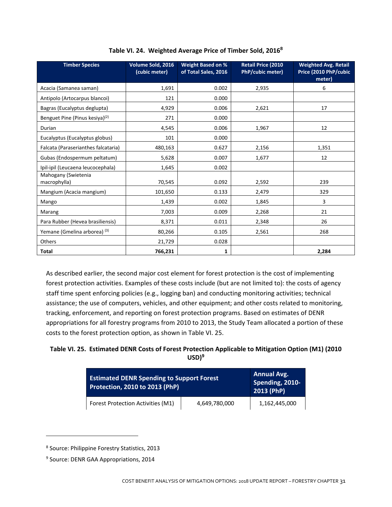| <b>Timber Species</b>                      | Volume Sold, 2016<br>(cubic meter) | Weight Based on %<br>of Total Sales, 2016 | <b>Retail Price (2010</b><br>PhP/cubic meter) | <b>Weighted Avg. Retail</b><br>Price (2010 PhP/cubic<br>meter) |
|--------------------------------------------|------------------------------------|-------------------------------------------|-----------------------------------------------|----------------------------------------------------------------|
| Acacia (Samanea saman)                     | 1,691                              | 0.002                                     | 2.935                                         | 6                                                              |
| Antipolo (Artocarpus blancoi)              | 121                                | 0.000                                     |                                               |                                                                |
| Bagras (Eucalyptus deglupta)               | 4,929                              | 0.006                                     | 2,621                                         | 17                                                             |
| Benguet Pine (Pinus kesiya) <sup>(2)</sup> | 271                                | 0.000                                     |                                               |                                                                |
| Durian                                     | 4,545                              | 0.006                                     | 1,967                                         | 12                                                             |
| Eucalyptus (Eucalyptus globus)             | 101                                | 0.000                                     |                                               |                                                                |
| Falcata (Paraserianthes falcataria)        | 480,163                            | 0.627                                     | 2,156                                         | 1,351                                                          |
| Gubas (Endospermum peltatum)               | 5,628                              | 0.007                                     | 1,677                                         | 12                                                             |
| Ipil-ipil (Leucaena leucocephala)          | 1,645                              | 0.002                                     |                                               |                                                                |
| Mahogany (Swietenia<br>macrophylla)        | 70,545                             | 0.092                                     | 2,592                                         | 239                                                            |
| Mangium (Acacia mangium)                   | 101,650                            | 0.133                                     | 2,479                                         | 329                                                            |
| Mango                                      | 1,439                              | 0.002                                     | 1,845                                         | 3                                                              |
| Marang                                     | 7,003                              | 0.009                                     | 2,268                                         | 21                                                             |
| Para Rubber (Hevea brasiliensis)           | 8,371                              | 0.011                                     | 2,348                                         | 26                                                             |
| Yemane (Gmelina arborea) <sup>(3)</sup>    | 80,266                             | 0.105                                     | 2,561                                         | 268                                                            |
| <b>Others</b>                              | 21,729                             | 0.028                                     |                                               |                                                                |
| Total                                      | 766,231                            | 1                                         |                                               | 2,284                                                          |

| Table VI. 24. Weighted Average Price of Timber Sold, 2016 <sup>8</sup> |  |  |  |  |  |  |
|------------------------------------------------------------------------|--|--|--|--|--|--|
|------------------------------------------------------------------------|--|--|--|--|--|--|

As described earlier, the second major cost element for forest protection is the cost of implementing forest protection activities. Examples of these costs include (but are not limited to): the costs of agency staff time spent enforcing policies (e.g., logging ban) and conducting monitoring activities; technical assistance; the use of computers, vehicles, and other equipment; and other costs related to monitoring, tracking, enforcement, and reporting on forest protection programs. Based on estimates of DENR appropriations for all forestry programs from 2010 to 2013, the Study Team allocated a portion of these costs to the forest protection option, as shown in Table VI. 25.

## **Table VI. 25. Estimated DENR Costs of Forest Protection Applicable to Mitigation Option (M1) (2010 USD)<sup>9</sup>**

| <b>Estimated DENR Spending to Support Forest</b><br><b>Protection, 2010 to 2013 (PhP)</b> | <b>Annual Avg.</b><br>Spending, 2010-<br>2013 (PhP) |               |
|-------------------------------------------------------------------------------------------|-----------------------------------------------------|---------------|
| Forest Protection Activities (M1)                                                         | 4,649,780,000                                       | 1,162,445,000 |

<sup>8</sup> Source: Philippine Forestry Statistics, 2013

<sup>9</sup> Source: DENR GAA Appropriations, 2014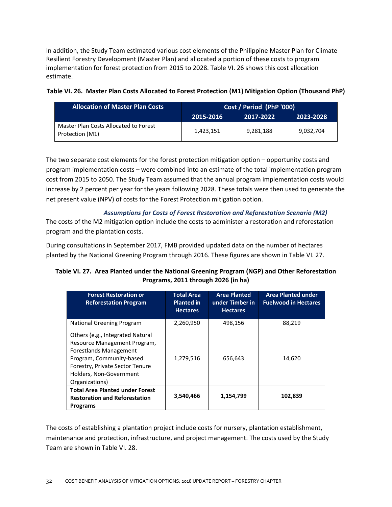In addition, the Study Team estimated various cost elements of the Philippine Master Plan for Climate Resilient Forestry Development (Master Plan) and allocated a portion of these costs to program implementation for forest protection from 2015 to 2028. Table VI. 26 shows this cost allocation estimate.

| <b>Allocation of Master Plan Costs</b>                   | Cost / Period (PhP '000) |           |           |  |
|----------------------------------------------------------|--------------------------|-----------|-----------|--|
|                                                          | 2015-2016                | 2017-2022 | 2023-2028 |  |
| Master Plan Costs Allocated to Forest<br>Protection (M1) | 1,423,151                | 9,281,188 | 9,032,704 |  |

The two separate cost elements for the forest protection mitigation option – opportunity costs and program implementation costs – were combined into an estimate of the total implementation program cost from 2015 to 2050. The Study Team assumed that the annual program implementation costs would increase by 2 percent per year for the years following 2028. These totals were then used to generate the net present value (NPV) of costs for the Forest Protection mitigation option.

### *Assumptions for Costs of Forest Restoration and Reforestation Scenario (M2)*

The costs of the M2 mitigation option include the costs to administer a restoration and reforestation program and the plantation costs.

During consultations in September 2017, FMB provided updated data on the number of hectares planted by the National Greening Program through 2016. These figures are shown in Table VI. 27.

## **Table VI. 27. Area Planted under the National Greening Program (NGP) and Other Reforestation Programs, 2011 through 2026 (in ha)**

| <b>Forest Restoration or</b><br><b>Reforestation Program</b>                                                                                                                                           | <b>Total Area</b><br><b>Planted in</b><br><b>Hectares</b> | <b>Area Planted</b><br>under Timber in<br><b>Hectares</b> | <b>Area Planted under</b><br><b>Fuelwood in Hectares</b> |
|--------------------------------------------------------------------------------------------------------------------------------------------------------------------------------------------------------|-----------------------------------------------------------|-----------------------------------------------------------|----------------------------------------------------------|
| National Greening Program                                                                                                                                                                              | 2,260,950                                                 | 498,156                                                   | 88,219                                                   |
| Others (e.g., Integrated Natural<br>Resource Management Program,<br>Forestlands Management<br>Program, Community-based<br>Forestry, Private Sector Tenure<br>Holders, Non-Government<br>Organizations) | 1,279,516                                                 | 656,643                                                   | 14,620                                                   |
| <b>Total Area Planted under Forest</b><br><b>Restoration and Reforestation</b><br><b>Programs</b>                                                                                                      | 3,540,466                                                 | 1,154,799                                                 | 102,839                                                  |

The costs of establishing a plantation project include costs for nursery, plantation establishment, maintenance and protection, infrastructure, and project management. The costs used by the Study Team are shown in Table VI. 28.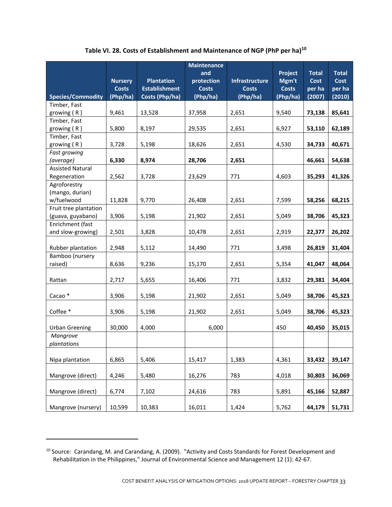|                          |                |                      | <b>Maintenance</b> |                |              |              |              |
|--------------------------|----------------|----------------------|--------------------|----------------|--------------|--------------|--------------|
|                          |                |                      | and                |                | Project      | <b>Total</b> | <b>Total</b> |
|                          | <b>Nursery</b> | <b>Plantation</b>    | protection         | Infrastructure | Mgm't        | Cost         | Cost         |
|                          | <b>Costs</b>   | <b>Establishment</b> | <b>Costs</b>       | <b>Costs</b>   | <b>Costs</b> | per ha       | per ha       |
| <b>Species/Commodity</b> | (Php/ha)       | Costs (Php/ha)       | (Php/ha)           | (Php/ha)       | (Php/ha)     | (2007)       | (2010)       |
| Timber, Fast             |                |                      |                    |                |              |              |              |
| growing $(R)$            | 9,461          | 13,528               | 37,958             | 2,651          | 9,540        | 73,138       | 85,641       |
| Timber, Fast             |                |                      |                    |                |              |              |              |
| growing $(R)$            | 5,800          | 8,197                | 29,535             | 2,651          | 6,927        | 53,110       | 62,189       |
| Timber, Fast             |                |                      |                    |                |              |              |              |
| growing $(R)$            | 3,728          | 5,198                | 18,626             | 2,651          | 4,530        | 34,733       | 40,671       |
| Fast growing             |                |                      |                    |                |              |              |              |
| (average)                | 6,330          | 8,974                | 28,706             | 2,651          |              | 46,661       | 54,638       |
| <b>Assisted Natural</b>  |                |                      |                    |                |              |              |              |
| Regeneration             | 2,562          | 3,728                | 23,629             | 771            | 4,603        | 35,293       | 41,326       |
| Agroforestry             |                |                      |                    |                |              |              |              |
| (mango, durian)          |                |                      |                    |                |              |              |              |
| w/fuelwood               | 11,828         | 9,770                | 26,408             | 2,651          | 7,599        | 58,256       | 68,215       |
| Fruit tree plantation    |                |                      |                    |                |              |              |              |
| (guava, guyabano)        | 3,906          | 5,198                | 21,902             | 2,651          | 5,049        | 38,706       | 45,323       |
| Enrichment (fast         |                | 3,828                |                    | 2,651          |              |              |              |
| and slow-growing)        | 2,501          |                      | 10,478             |                | 2,919        | 22,377       | 26,202       |
| Rubber plantation        | 2,948          | 5,112                | 14,490             | 771            | 3,498        | 26,819       | 31,404       |
| Bamboo (nursery          |                |                      |                    |                |              |              |              |
| raised)                  | 8,636          | 9,236                | 15,170             | 2,651          | 5,354        | 41,047       | 48,064       |
|                          |                |                      |                    |                |              |              |              |
| Rattan                   | 2,717          | 5,655                | 16,406             | 771            | 3,832        | 29,381       | 34,404       |
|                          |                |                      |                    |                |              |              |              |
| Cacao <sup>*</sup>       | 3,906          | 5,198                | 21,902             | 2,651          | 5,049        | 38,706       | 45,323       |
|                          |                |                      |                    |                |              |              |              |
| Coffee *                 | 3,906          | 5,198                | 21,902             | 2,651          | 5,049        | 38,706       | 45,323       |
| <b>Urban Greening</b>    | 30,000         | 4,000                | 6,000              |                | 450          | 40,450       | 35,015       |
| Mangrove                 |                |                      |                    |                |              |              |              |
| plantations              |                |                      |                    |                |              |              |              |
|                          |                |                      |                    |                |              |              |              |
| Nipa plantation          | 6,865          | 5,406                | 15,417             | 1,383          | 4,361        | 33,432       | 39,147       |
|                          |                |                      |                    |                |              |              |              |
| Mangrove (direct)        | 4,246          | 5,480                | 16,276             | 783            | 4,018        | 30,803       | 36,069       |
|                          |                |                      |                    |                |              |              |              |
| Mangrove (direct)        | 6,774          | 7,102                | 24,616             | 783            | 5,891        | 45,166       | 52,887       |
|                          |                |                      |                    |                |              |              |              |
| Mangrove (nursery)       | 10,599         | 10,383               | 16,011             | 1,424          | 5,762        | 44,179       | 51,731       |

## **Table VI. 28. Costs of Establishment and Maintenance of NGP (PhP per ha)<sup>10</sup>**

<sup>10</sup> Source: Carandang, M. and Carandang, A. (2009). "Activity and Costs Standards for Forest Development and Rehabilitation in the Philippines," Journal of Environmental Science and Management 12 (1): 42‐67.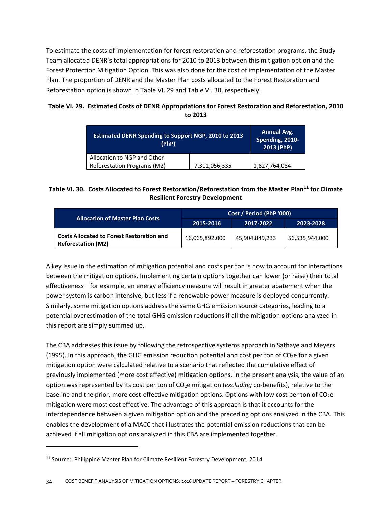To estimate the costs of implementation for forest restoration and reforestation programs, the Study Team allocated DENR's total appropriations for 2010 to 2013 between this mitigation option and the Forest Protection Mitigation Option. This was also done for the cost of implementation of the Master Plan. The proportion of DENR and the Master Plan costs allocated to the Forest Restoration and Reforestation option is shown in Table VI. 29 and Table VI. 30, respectively.

## **Table VI. 29. Estimated Costs of DENR Appropriations for Forest Restoration and Reforestation, 2010 to 2013**

| <b>Estimated DENR Spending to Support NGP, 2010 to 2013</b><br>(PhP) | <b>Annual Avg.</b><br>Spending, 2010-<br>2013 (PhP) |               |
|----------------------------------------------------------------------|-----------------------------------------------------|---------------|
| Allocation to NGP and Other<br>Reforestation Programs (M2)           | 7,311,056,335                                       | 1,827,764,084 |

## **Table VI. 30. Costs Allocated to Forest Restoration/Reforestation from the Master Plan<sup>11</sup> for Climate Resilient Forestry Development**

| <b>Allocation of Master Plan Costs</b>                                        | Cost / Period (PhP '000) |                |                |  |
|-------------------------------------------------------------------------------|--------------------------|----------------|----------------|--|
|                                                                               | 2015-2016                | 2017-2022      | 2023-2028      |  |
| <b>Costs Allocated to Forest Restoration and</b><br><b>Reforestation (M2)</b> | 16,065,892,000           | 45,904,849,233 | 56,535,944,000 |  |

A key issue in the estimation of mitigation potential and costs per ton is how to account for interactions between the mitigation options. Implementing certain options together can lower (or raise) their total effectiveness—for example, an energy efficiency measure will result in greater abatement when the power system is carbon intensive, but less if a renewable power measure is deployed concurrently. Similarly, some mitigation options address the same GHG emission source categories, leading to a potential overestimation of the total GHG emission reductions if all the mitigation options analyzed in this report are simply summed up.

The CBA addresses this issue by following the retrospective systems approach in Sathaye and Meyers (1995). In this approach, the GHG emission reduction potential and cost per ton of  $CO<sub>2</sub>e$  for a given mitigation option were calculated relative to a scenario that reflected the cumulative effect of previously implemented (more cost effective) mitigation options. In the present analysis, the value of an option was represented by its cost per ton of CO2e mitigation (*excluding* co‐benefits), relative to the baseline and the prior, more cost-effective mitigation options. Options with low cost per ton of CO<sub>2</sub>e mitigation were most cost effective. The advantage of this approach is that it accounts for the interdependence between a given mitigation option and the preceding options analyzed in the CBA. This enables the development of a MACC that illustrates the potential emission reductions that can be achieved if all mitigation options analyzed in this CBA are implemented together.

<sup>&</sup>lt;sup>11</sup> Source: Philippine Master Plan for Climate Resilient Forestry Development, 2014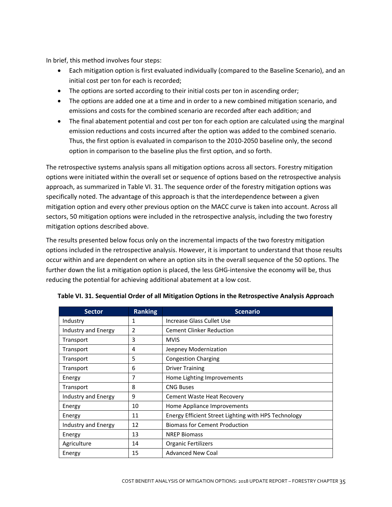In brief, this method involves four steps:

- Each mitigation option is first evaluated individually (compared to the Baseline Scenario), and an initial cost per ton for each is recorded;
- The options are sorted according to their initial costs per ton in ascending order;
- The options are added one at a time and in order to a new combined mitigation scenario, and emissions and costs for the combined scenario are recorded after each addition; and
- The final abatement potential and cost per ton for each option are calculated using the marginal emission reductions and costs incurred after the option was added to the combined scenario. Thus, the first option is evaluated in comparison to the 2010‐2050 baseline only, the second option in comparison to the baseline plus the first option, and so forth.

The retrospective systems analysis spans all mitigation options across all sectors. Forestry mitigation options were initiated within the overall set or sequence of options based on the retrospective analysis approach, as summarized in Table VI. 31. The sequence order of the forestry mitigation options was specifically noted. The advantage of this approach is that the interdependence between a given mitigation option and every other previous option on the MACC curve is taken into account. Across all sectors, 50 mitigation options were included in the retrospective analysis, including the two forestry mitigation options described above.

The results presented below focus only on the incremental impacts of the two forestry mitigation options included in the retrospective analysis. However, it is important to understand that those results occur within and are dependent on where an option sits in the overall sequence of the 50 options. The further down the list a mitigation option is placed, the less GHG-intensive the economy will be, thus reducing the potential for achieving additional abatement at a low cost.

| <b>Sector</b>       | <b>Ranking</b> | <b>Scenario</b>                                      |
|---------------------|----------------|------------------------------------------------------|
| Industry            | 1              | Increase Glass Cullet Use                            |
| Industry and Energy | 2              | <b>Cement Clinker Reduction</b>                      |
| Transport           | 3              | <b>MVIS</b>                                          |
| Transport           | 4              | Jeepney Modernization                                |
| Transport           | 5              | <b>Congestion Charging</b>                           |
| Transport           | 6              | <b>Driver Training</b>                               |
| Energy              | 7              | Home Lighting Improvements                           |
| Transport           | 8              | <b>CNG Buses</b>                                     |
| Industry and Energy | 9              | <b>Cement Waste Heat Recovery</b>                    |
| Energy              | 10             | Home Appliance Improvements                          |
| Energy              | 11             | Energy Efficient Street Lighting with HPS Technology |
| Industry and Energy | 12             | <b>Biomass for Cement Production</b>                 |
| Energy              | 13             | <b>NREP Biomass</b>                                  |
| Agriculture         | 14             | Organic Fertilizers                                  |
| Energy              | 15             | <b>Advanced New Coal</b>                             |

|  | Table VI. 31. Sequential Order of all Mitigation Options in the Retrospective Analysis Approach |
|--|-------------------------------------------------------------------------------------------------|
|  |                                                                                                 |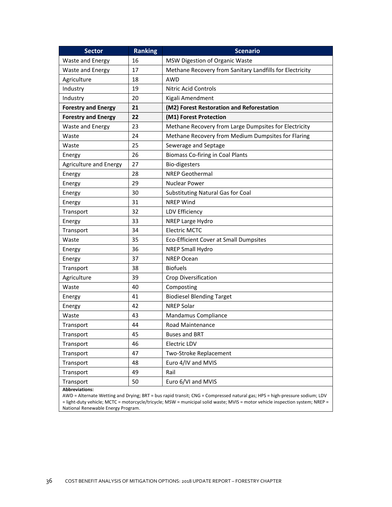| <b>Sector</b>              | <b>Ranking</b> | <b>Scenario</b>                                          |
|----------------------------|----------------|----------------------------------------------------------|
| Waste and Energy           | 16             | MSW Digestion of Organic Waste                           |
| Waste and Energy           | 17             | Methane Recovery from Sanitary Landfills for Electricity |
| Agriculture                | 18             | <b>AWD</b>                                               |
| Industry                   | 19             | <b>Nitric Acid Controls</b>                              |
| Industry                   | 20             | Kigali Amendment                                         |
| <b>Forestry and Energy</b> | 21             | (M2) Forest Restoration and Reforestation                |
| <b>Forestry and Energy</b> | 22             | (M1) Forest Protection                                   |
| Waste and Energy           | 23             | Methane Recovery from Large Dumpsites for Electricity    |
| Waste                      | 24             | Methane Recovery from Medium Dumpsites for Flaring       |
| Waste                      | 25             | Sewerage and Septage                                     |
| Energy                     | 26             | <b>Biomass Co-firing in Coal Plants</b>                  |
| Agriculture and Energy     | 27             | <b>Bio-digesters</b>                                     |
| Energy                     | 28             | <b>NREP Geothermal</b>                                   |
| Energy                     | 29             | <b>Nuclear Power</b>                                     |
| Energy                     | 30             | <b>Substituting Natural Gas for Coal</b>                 |
| Energy                     | 31             | <b>NREP Wind</b>                                         |
| Transport                  | 32             | LDV Efficiency                                           |
| Energy                     | 33             | NREP Large Hydro                                         |
| Transport                  | 34             | <b>Electric MCTC</b>                                     |
| Waste                      | 35             | Eco-Efficient Cover at Small Dumpsites                   |
| Energy                     | 36             | <b>NREP Small Hydro</b>                                  |
| Energy                     | 37             | <b>NREP Ocean</b>                                        |
| Transport                  | 38             | <b>Biofuels</b>                                          |
| Agriculture                | 39             | Crop Diversification                                     |
| Waste                      | 40             | Composting                                               |
| Energy                     | 41             | <b>Biodiesel Blending Target</b>                         |
| Energy                     | 42             | <b>NREP Solar</b>                                        |
| Waste                      | 43             | Mandamus Compliance                                      |
| Transport                  | 44             | Road Maintenance                                         |
| Transport                  | 45             | <b>Buses and BRT</b>                                     |
| Transport                  | 46             | Electric LDV                                             |
| Transport                  | 47             | Two-Stroke Replacement                                   |
| Transport                  | 48             | Euro 4/IV and MVIS                                       |
| Transport                  | 49             | Rail                                                     |
| Transport                  | 50             | Euro 6/VI and MVIS                                       |
| Abbreviations:             |                |                                                          |

AWD = Alternate Wetting and Drying; BRT = bus rapid transit; CNG = Compressed natural gas; HPS = high‐pressure sodium; LDV = light‐duty vehicle; MCTC = motorcycle/tricycle; MSW = municipal solid waste; MVIS = motor vehicle inspection system; NREP = National Renewable Energy Program.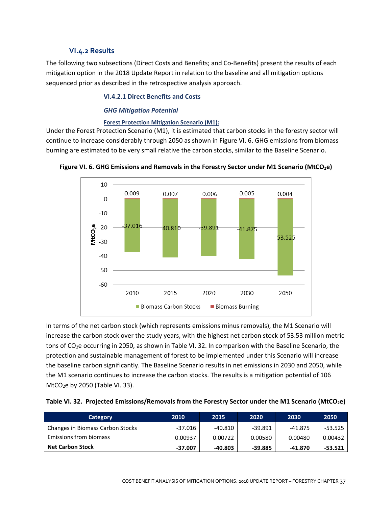## **VI.4.2 Results**

The following two subsections (Direct Costs and Benefits; and Co‐Benefits) present the results of each mitigation option in the 2018 Update Report in relation to the baseline and all mitigation options sequenced prior as described in the retrospective analysis approach.

## **VI.4.2.1 Direct Benefits and Costs**

## *GHG Mitigation Potential*

## **Forest Protection Mitigation Scenario (M1):**

Under the Forest Protection Scenario (M1), it is estimated that carbon stocks in the forestry sector will continue to increase considerably through 2050 as shown in Figure VI. 6. GHG emissions from biomass burning are estimated to be very small relative the carbon stocks, similar to the Baseline Scenario.





In terms of the net carbon stock (which represents emissions minus removals), the M1 Scenario will increase the carbon stock over the study years, with the highest net carbon stock of 53.53 million metric tons of CO<sub>2</sub>e occurring in 2050, as shown in Table VI. 32. In comparison with the Baseline Scenario, the protection and sustainable management of forest to be implemented under this Scenario will increase the baseline carbon significantly. The Baseline Scenario results in net emissions in 2030 and 2050, while the M1 scenario continues to increase the carbon stocks. The results is a mitigation potential of 106  $MtCO<sub>2</sub>e$  by 2050 (Table VI. 33).

| Table VI. 32. Projected Emissions/Removals from the Forestry Sector under the M1 Scenario (MtCO <sub>2</sub> e) |  |  |  |  |  |  |  |  |  |  |  |
|-----------------------------------------------------------------------------------------------------------------|--|--|--|--|--|--|--|--|--|--|--|
|-----------------------------------------------------------------------------------------------------------------|--|--|--|--|--|--|--|--|--|--|--|

| Category                         | 2010    | 2015    | 2020      | 2030      | 2050    |
|----------------------------------|---------|---------|-----------|-----------|---------|
| Changes in Biomass Carbon Stocks | -37.016 | -40.810 | $-39.891$ | -41.875   | -53.525 |
| Emissions from biomass           | 0.00937 | 0.00722 | 0.00580   | 0.00480   | 0.00432 |
| <b>Net Carbon Stock</b>          | -37.007 | -40.803 | $-39.885$ | $-41.870$ | -53.521 |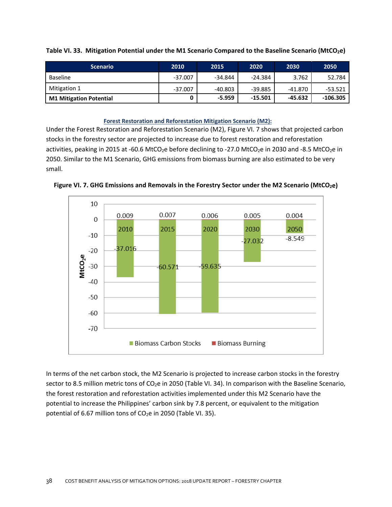| <b>Scenario</b>                | 2010      | 2015      | 2020      | 2030      | 2050       |
|--------------------------------|-----------|-----------|-----------|-----------|------------|
| Baseline                       | $-37.007$ | $-34.844$ | $-24.384$ | 3.762     | 52.784     |
| Mitigation 1                   | $-37.007$ | -40.803   | $-39.885$ | -41.870   | $-53.521$  |
| <b>M1 Mitigation Potential</b> |           | $-5.959$  | $-15.501$ | $-45.632$ | $-106.305$ |

**Table VI. 33. Mitigation Potential under the M1 Scenario Compared to the Baseline Scenario (MtCO2e)**

## **Forest Restoration and Reforestation Mitigation Scenario (M2):**

Under the Forest Restoration and Reforestation Scenario (M2), Figure VI. 7 shows that projected carbon stocks in the forestry sector are projected to increase due to forest restoration and reforestation activities, peaking in 2015 at -60.6 MtCO<sub>2</sub>e before declining to -27.0 MtCO<sub>2</sub>e in 2030 and -8.5 MtCO<sub>2</sub>e in 2050. Similar to the M1 Scenario, GHG emissions from biomass burning are also estimated to be very small.



**Figure VI. 7. GHG Emissions and Removals in the Forestry Sector under the M2 Scenario (MtCO2e)**

In terms of the net carbon stock, the M2 Scenario is projected to increase carbon stocks in the forestry sector to 8.5 million metric tons of CO<sub>2</sub>e in 2050 (Table VI. 34). In comparison with the Baseline Scenario, the forest restoration and reforestation activities implemented under this M2 Scenario have the potential to increase the Philippines' carbon sink by 7.8 percent, or equivalent to the mitigation potential of 6.67 million tons of  $CO<sub>2</sub>e$  in 2050 (Table VI. 35).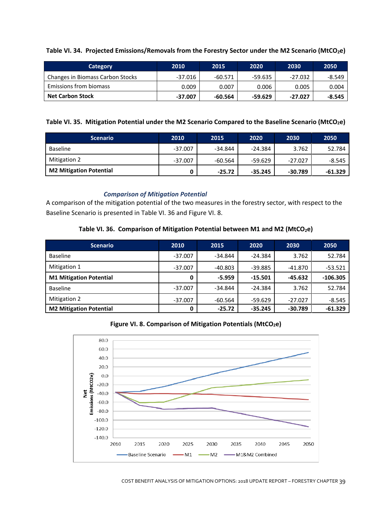## **Table VI. 34. Projected Emissions/Removals from the Forestry Sector under the M2 Scenario (MtCO2e)**

| Category                         | 2010      | 2015      | 2020      | 2030      | 2050     |
|----------------------------------|-----------|-----------|-----------|-----------|----------|
| Changes in Biomass Carbon Stocks | -37.016   | $-60.571$ | $-59.635$ | $-27.032$ | $-8.549$ |
| Emissions from biomass           | 0.009     | 0.007     | 0.006     | 0.005     | 0.004    |
| <b>Net Carbon Stock</b>          | $-37.007$ | -60.564   | -59.629   | $-27.027$ | $-8.545$ |

## **Table VI. 35. Mitigation Potential under the M2 Scenario Compared to the Baseline Scenario (MtCO2e)**

| <b>Scenario</b>                | 2010      | 2015      | 2020      | 2030      | 2050      |
|--------------------------------|-----------|-----------|-----------|-----------|-----------|
| <b>Baseline</b>                | $-37.007$ | $-34.844$ | $-24.384$ | 3.762     | 52.784    |
| <b>Mitigation 2</b>            | $-37.007$ | $-60.564$ | $-59.629$ | $-27.027$ | $-8.545$  |
| <b>M2 Mitigation Potential</b> | 0         | $-25.72$  | $-35.245$ | $-30.789$ | $-61.329$ |

## *Comparison of Mitigation Potential*

A comparison of the mitigation potential of the two measures in the forestry sector, with respect to the Baseline Scenario is presented in Table VI. 36 and Figure VI. 8.

## **Table VI. 36. Comparison of Mitigation Potential between M1 and M2 (MtCO2e)**

| <b>Scenario</b>                | 2010      | 2015      | 2020      | 2030      | 2050       |
|--------------------------------|-----------|-----------|-----------|-----------|------------|
| <b>Baseline</b>                | $-37.007$ | $-34.844$ | $-24.384$ | 3.762     | 52.784     |
| Mitigation 1                   | $-37.007$ | $-40.803$ | $-39.885$ | $-41.870$ | $-53.521$  |
| <b>M1 Mitigation Potential</b> | 0         | $-5.959$  | $-15.501$ | -45.632   | $-106.305$ |
| <b>Baseline</b>                | $-37.007$ | -34.844   | $-24.384$ | 3.762     | 52.784     |
| <b>Mitigation 2</b>            | $-37.007$ | -60.564   | $-59.629$ | $-27.027$ | $-8.545$   |
| <b>M2 Mitigation Potential</b> | $\bf{0}$  | $-25.72$  | $-35.245$ | $-30.789$ | $-61.329$  |



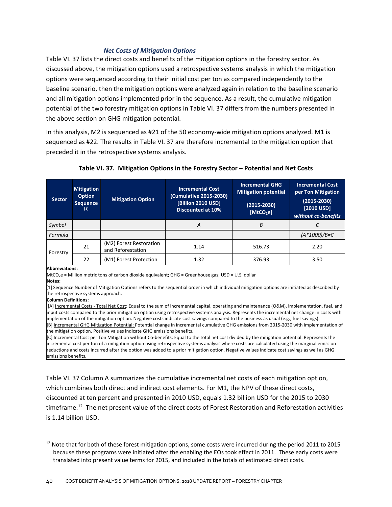## *Net Costs of Mitigation Options*

Table VI. 37 lists the direct costs and benefits of the mitigation options in the forestry sector. As discussed above, the mitigation options used a retrospective systems analysis in which the mitigation options were sequenced according to their initial cost per ton as compared independently to the baseline scenario, then the mitigation options were analyzed again in relation to the baseline scenario and all mitigation options implemented prior in the sequence. As a result, the cumulative mitigation potential of the two forestry mitigation options in Table VI. 37 differs from the numbers presented in the above section on GHG mitigation potential.

In this analysis, M2 is sequenced as #21 of the 50 economy-wide mitigation options analyzed. M1 is sequenced as #22. The results in Table VI. 37 are therefore incremental to the mitigation option that preceded it in the retrospective systems analysis.

| <b>Sector</b> | <b>Mitigation</b><br><b>Option</b><br><b>Sequence</b><br>$[1]$ | <b>Mitigation Option</b>                     | <b>Incremental Cost</b><br>(Cumulative 2015-2030)<br>[Billion 2010 USD]<br><b>Discounted at 10%</b> | <b>Incremental GHG</b><br><b>Mitigation potential</b><br>$(2015 - 2030)$<br>[MtCO <sub>2</sub> e] | <b>Incremental Cost</b><br>per Ton Mitigation<br>$(2015 - 2030)$<br>[2010 USD]<br>without co-benefits |
|---------------|----------------------------------------------------------------|----------------------------------------------|-----------------------------------------------------------------------------------------------------|---------------------------------------------------------------------------------------------------|-------------------------------------------------------------------------------------------------------|
| Symbol        |                                                                |                                              | А                                                                                                   | B                                                                                                 |                                                                                                       |
| Formula       |                                                                |                                              |                                                                                                     |                                                                                                   | $(A * 1000)/B=C$                                                                                      |
| Forestry      | 21                                                             | (M2) Forest Restoration<br>and Reforestation | 1.14                                                                                                | 516.73                                                                                            | 2.20                                                                                                  |
|               | 22                                                             | (M1) Forest Protection                       | 1.32                                                                                                | 376.93                                                                                            | 3.50                                                                                                  |

### **Table VI. 37. Mitigation Options in the Forestry Sector – Potential and Net Costs**

**Abbreviations:**

MtCO2e = Million metric tons of carbon dioxide equivalent; GHG = Greenhouse gas; USD = U.S. dollar

**Notes:**

[1] Sequence Number of Mitigation Options refers to the sequential order in which individual mitigation options are initiated as described by the retrospective systems approach.

#### **Column Definitions:**

[A] Incremental Costs ‐ Total Net Cost: Equal to the sum of incremental capital, operating and maintenance (O&M), implementation, fuel, and input costs compared to the prior mitigation option using retrospective systems analysis. Represents the incremental net change in costs with implementation of the mitigation option. Negative costs indicate cost savings compared to the business as usual (e.g., fuel savings). [B] Incremental GHG Mitigation Potential: Potential change in incremental cumulative GHG emissions from 2015-2030 with implementation of

the mitigation option. Positive values indicate GHG emissions benefits.

[C] Incremental Cost per Ton Mitigation without Co-benefits: Equal to the total net cost divided by the mitigation potential. Represents the incremental cost per ton of a mitigation option using retrospective systems analysis where costs are calculated using the marginal emission reductions and costs incurred after the option was added to a prior mitigation option. Negative values indicate cost savings as well as GHG emissions benefits.

Table VI. 37 Column A summarizes the cumulative incremental net costs of each mitigation option, which combines both direct and indirect cost elements. For M1, the NPV of these direct costs, discounted at ten percent and presented in 2010 USD, equals 1.32 billion USD for the 2015 to 2030 timeframe.<sup>12</sup> The net present value of the direct costs of Forest Restoration and Reforestation activities is 1.14 billion USD.

 $12$  Note that for both of these forest mitigation options, some costs were incurred during the period 2011 to 2015 because these programs were initiated after the enabling the EOs took effect in 2011. These early costs were translated into present value terms for 2015, and included in the totals of estimated direct costs.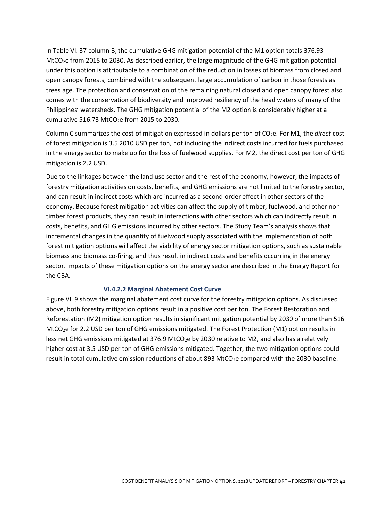In Table VI. 37 column B, the cumulative GHG mitigation potential of the M1 option totals 376.93 MtCO<sub>2</sub>e from 2015 to 2030. As described earlier, the large magnitude of the GHG mitigation potential under this option is attributable to a combination of the reduction in losses of biomass from closed and open canopy forests, combined with the subsequent large accumulation of carbon in those forests as trees age. The protection and conservation of the remaining natural closed and open canopy forest also comes with the conservation of biodiversity and improved resiliency of the head waters of many of the Philippines' watersheds. The GHG mitigation potential of the M2 option is considerably higher at a cumulative 516.73 MtCO<sub>2</sub>e from 2015 to 2030.

Column C summarizes the cost of mitigation expressed in dollars per ton of CO<sub>2</sub>e. For M1, the *direct* cost of forest mitigation is 3.5 2010 USD per ton, not including the indirect costs incurred for fuels purchased in the energy sector to make up for the loss of fuelwood supplies. For M2, the direct cost per ton of GHG mitigation is 2.2 USD.

Due to the linkages between the land use sector and the rest of the economy, however, the impacts of forestry mitigation activities on costs, benefits, and GHG emissions are not limited to the forestry sector, and can result in indirect costs which are incurred as a second‐order effect in other sectors of the economy. Because forest mitigation activities can affect the supply of timber, fuelwood, and other non‐ timber forest products, they can result in interactions with other sectors which can indirectly result in costs, benefits, and GHG emissions incurred by other sectors. The Study Team's analysis shows that incremental changes in the quantity of fuelwood supply associated with the implementation of both forest mitigation options will affect the viability of energy sector mitigation options, such as sustainable biomass and biomass co‐firing, and thus result in indirect costs and benefits occurring in the energy sector. Impacts of these mitigation options on the energy sector are described in the Energy Report for the CBA.

### **VI.4.2.2 Marginal Abatement Cost Curve**

Figure VI. 9 shows the marginal abatement cost curve for the forestry mitigation options. As discussed above, both forestry mitigation options result in a positive cost per ton. The Forest Restoration and Reforestation (M2) mitigation option results in significant mitigation potential by 2030 of more than 516 MtCO<sub>2</sub>e for 2.2 USD per ton of GHG emissions mitigated. The Forest Protection (M1) option results in less net GHG emissions mitigated at 376.9 MtCO<sub>2</sub>e by 2030 relative to M2, and also has a relatively higher cost at 3.5 USD per ton of GHG emissions mitigated. Together, the two mitigation options could result in total cumulative emission reductions of about 893 MtCO<sub>2</sub>e compared with the 2030 baseline.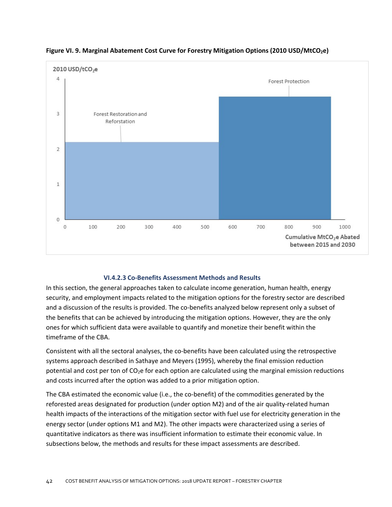

**Figure VI. 9. Marginal Abatement Cost Curve for Forestry Mitigation Options (2010 USD/MtCO2e)**

## **VI.4.2.3 Co‐Benefits Assessment Methods and Results**

In this section, the general approaches taken to calculate income generation, human health, energy security, and employment impacts related to the mitigation options for the forestry sector are described and a discussion of the results is provided. The co-benefits analyzed below represent only a subset of the benefits that can be achieved by introducing the mitigation options. However, they are the only ones for which sufficient data were available to quantify and monetize their benefit within the timeframe of the CBA.

Consistent with all the sectoral analyses, the co‐benefits have been calculated using the retrospective systems approach described in Sathaye and Meyers (1995), whereby the final emission reduction potential and cost per ton of  $CO<sub>2</sub>e$  for each option are calculated using the marginal emission reductions and costs incurred after the option was added to a prior mitigation option.

The CBA estimated the economic value (i.e., the co-benefit) of the commodities generated by the reforested areas designated for production (under option M2) and of the air quality-related human health impacts of the interactions of the mitigation sector with fuel use for electricity generation in the energy sector (under options M1 and M2). The other impacts were characterized using a series of quantitative indicators as there was insufficient information to estimate their economic value. In subsections below, the methods and results for these impact assessments are described.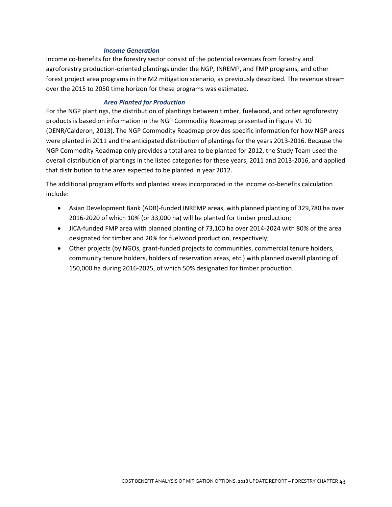## *Income Generation*

Income co-benefits for the forestry sector consist of the potential revenues from forestry and agroforestry production‐oriented plantings under the NGP, INREMP, and FMP programs, and other forest project area programs in the M2 mitigation scenario, as previously described. The revenue stream over the 2015 to 2050 time horizon for these programs was estimated.

## *Area Planted for Production*

For the NGP plantings, the distribution of plantings between timber, fuelwood, and other agroforestry products is based on information in the NGP Commodity Roadmap presented in Figure VI. 10 (DENR/Calderon, 2013). The NGP Commodity Roadmap provides specific information for how NGP areas were planted in 2011 and the anticipated distribution of plantings for the years 2013‐2016. Because the NGP Commodity Roadmap only provides a total area to be planted for 2012, the Study Team used the overall distribution of plantings in the listed categories for these years, 2011 and 2013‐2016, and applied that distribution to the area expected to be planted in year 2012.

The additional program efforts and planted areas incorporated in the income co‐benefits calculation include:

- Asian Development Bank (ADB)‐funded INREMP areas, with planned planting of 329,780 ha over 2016‐2020 of which 10% (or 33,000 ha) will be planted for timber production;
- JICA-funded FMP area with planned planting of 73,100 ha over 2014-2024 with 80% of the area designated for timber and 20% for fuelwood production, respectively;
- Other projects (by NGOs, grant‐funded projects to communities, commercial tenure holders, community tenure holders, holders of reservation areas, etc.) with planned overall planting of 150,000 ha during 2016‐2025, of which 50% designated for timber production.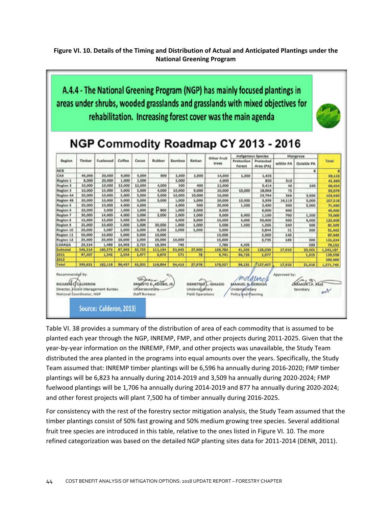**Figure VI. 10. Details of the Timing and Distribution of Actual and Anticipated Plantings under the National Greening Program**



Table VI. 38 provides a summary of the distribution of area of each commodity that is assumed to be planted each year through the NGP, INREMP, FMP, and other projects during 2011‐2025. Given that the year-by-year information on the INREMP, FMP, and other projects was unavailable, the Study Team distributed the area planted in the programs into equal amounts over the years. Specifically, the Study Team assumed that: INREMP timber plantings will be 6,596 ha annually during 2016‐2020; FMP timber plantings will be 6,823 ha annually during 2014‐2019 and 3,509 ha annually during 2020‐2024; FMP fuelwood plantings will be 1,706 ha annually during 2014‐2019 and 877 ha annually during 2020‐2024; and other forest projects will plant 7,500 ha of timber annually during 2016‐2025.

For consistency with the rest of the forestry sector mitigation analysis, the Study Team assumed that the timber plantings consist of 50% fast growing and 50% medium growing tree species. Several additional fruit tree species are introduced in this table, relative to the ones listed in Figure VI. 10. The more refined categorization was based on the detailed NGP planting sites data for 2011‐2014 (DENR, 2011).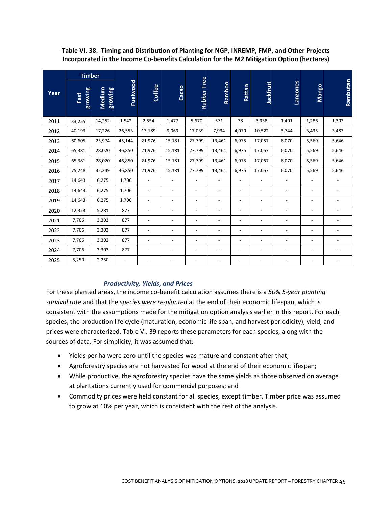|      | <b>Timber</b>   |                   |                          |                          |                          |                          |                          |                |                  |                |                          |                |
|------|-----------------|-------------------|--------------------------|--------------------------|--------------------------|--------------------------|--------------------------|----------------|------------------|----------------|--------------------------|----------------|
| Year | growing<br>Fast | Medium<br>growing | Fuelwood                 | Coffee                   | Cacao                    | <b>Rubber Tree</b>       | Bamboo                   | Rattan         | <b>Jackfruit</b> | Lanzones       | Mango                    | Rambutan       |
| 2011 | 33,255          | 14,252            | 1,542                    | 2,554                    | 1,477                    | 5,670                    | 571                      | 78             | 3,938            | 1,401          | 1,286                    | 1,303          |
| 2012 | 40,193          | 17,226            | 26,553                   | 13,189                   | 9,069                    | 17,039                   | 7,934                    | 4,079          | 10,522           | 3,744          | 3,435                    | 3,483          |
| 2013 | 60,605          | 25,974            | 45,144                   | 21,976                   | 15,181                   | 27,799                   | 13,461                   | 6,975          | 17,057           | 6,070          | 5,569                    | 5,646          |
| 2014 | 65,381          | 28,020            | 46,850                   | 21,976                   | 15,181                   | 27,799                   | 13,461                   | 6,975          | 17,057           | 6,070          | 5,569                    | 5,646          |
| 2015 | 65,381          | 28,020            | 46,850                   | 21,976                   | 15,181                   | 27,799                   | 13,461                   | 6,975          | 17,057           | 6,070          | 5,569                    | 5,646          |
| 2016 | 75,248          | 32,249            | 46,850                   | 21,976                   | 15,181                   | 27,799                   | 13,461                   | 6,975          | 17,057           | 6,070          | 5,569                    | 5,646          |
| 2017 | 14,643          | 6,275             | 1,706                    | $\overline{\phantom{a}}$ | $\blacksquare$           | $\overline{\phantom{a}}$ | $\blacksquare$           | $\blacksquare$ | $\sim$           | $\blacksquare$ | $\overline{\phantom{a}}$ | $\blacksquare$ |
| 2018 | 14,643          | 6,275             | 1,706                    |                          | $\overline{\phantom{a}}$ | $\blacksquare$           | $\overline{\phantom{a}}$ |                | $\blacksquare$   | $\blacksquare$ |                          |                |
| 2019 | 14,643          | 6,275             | 1,706                    |                          | $\blacksquare$           | ٠                        |                          |                |                  | Ξ              |                          |                |
| 2020 | 12,323          | 5,281             | 877                      | $\overline{\phantom{a}}$ | $\overline{a}$           | $\overline{\phantom{0}}$ | $\overline{\phantom{a}}$ |                |                  | $\overline{a}$ |                          |                |
| 2021 | 7,706           | 3,303             | 877                      | $\overline{\phantom{a}}$ | $\blacksquare$           | $\blacksquare$           | $\overline{\phantom{a}}$ |                | $\blacksquare$   | ÷,             | $\sim$                   |                |
| 2022 | 7,706           | 3,303             | 877                      | $\overline{\phantom{a}}$ | $\blacksquare$           | ۰                        | $\overline{\phantom{a}}$ |                |                  | ٠              |                          |                |
| 2023 | 7,706           | 3,303             | 877                      |                          | $\overline{a}$           | $\overline{a}$           |                          |                |                  |                |                          |                |
| 2024 | 7,706           | 3,303             | 877                      |                          | $\overline{a}$           | $\overline{a}$           |                          |                |                  | $\overline{a}$ |                          |                |
| 2025 | 5,250           | 2,250             | $\overline{\phantom{a}}$ |                          | $\blacksquare$           | $\overline{a}$           |                          |                |                  |                |                          |                |

**Table VI. 38. Timing and Distribution of Planting for NGP, INREMP, FMP, and Other Projects Incorporated in the Income Co‐benefits Calculation for the M2 Mitigation Option (hectares)**

## *Productivity, Yields, and Prices*

For these planted areas, the income co‐benefit calculation assumes there is a *50% 5‐year planting survival rate* and that the *species were re‐planted* at the end of their economic lifespan, which is consistent with the assumptions made for the mitigation option analysis earlier in this report. For each species, the production life cycle (maturation, economic life span, and harvest periodicity), yield, and prices were characterized. Table VI. 39 reports these parameters for each species, along with the sources of data. For simplicity, it was assumed that:

- Yields per ha were zero until the species was mature and constant after that;
- Agroforestry species are not harvested for wood at the end of their economic lifespan;
- While productive, the agroforestry species have the same yields as those observed on average at plantations currently used for commercial purposes; and
- Commodity prices were held constant for all species, except timber. Timber price was assumed to grow at 10% per year, which is consistent with the rest of the analysis.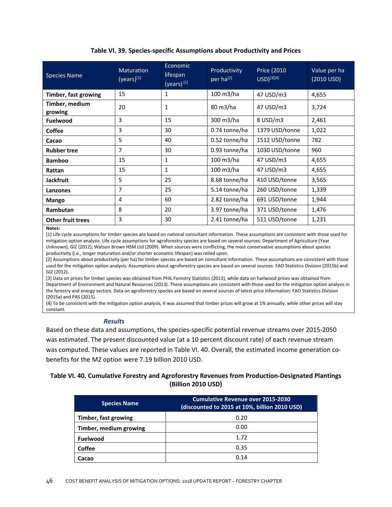|  |  | Table VI. 39. Species-specific Assumptions about Productivity and Prices |  |
|--|--|--------------------------------------------------------------------------|--|
|  |  |                                                                          |  |

| <b>Species Name</b>       | <b>Maturation</b><br>$(years)^{[1]}$ | Economic<br>lifespan<br>(years) $^{[1]}$ | Productivity<br>per ha <sup>[2]</sup> | Price (2010)<br>$USD)^{[3][4]}$ | Value per ha<br>(2010 USD) |
|---------------------------|--------------------------------------|------------------------------------------|---------------------------------------|---------------------------------|----------------------------|
| Timber, fast growing      | 15                                   | 1                                        | $100 \text{ m}$ 3/ha                  | 47 USD/m3                       | 4,655                      |
| Timber, medium<br>growing | 20                                   | 1                                        | 80 m3/ha                              | 47 USD/m3                       | 3,724                      |
| <b>Fuelwood</b>           | 3                                    | 15                                       | $300 \text{ m}$ 3/ha                  | 8 USD/m3                        | 2,461                      |
| <b>Coffee</b>             | 3                                    | 30                                       | 0.74 tonne/ha                         | 1379 USD/tonne                  | 1,022                      |
| Cacao                     | 5                                    | 40                                       | 0.52 tonne/ha                         | 1512 USD/tonne                  | 782                        |
| <b>Rubber tree</b>        | 7                                    | 30                                       | 0.93 tonne/ha                         | 1030 USD/tonne                  | 960                        |
| <b>Bamboo</b>             | 15                                   | 1                                        | $100 \text{ m}$ 3/ha                  | 47 USD/m3                       | 4,655                      |
| Rattan                    | 15                                   | 1                                        | $100 \text{ m}$ 3/ha                  | 47 USD/m3                       | 4,655                      |
| <b>Jackfruit</b>          | 5                                    | 25                                       | 8.68 tonne/ha                         | 410 USD/tonne                   | 3,565                      |
| Lanzones                  | 7                                    | 25                                       | 5.14 tonne/ha                         | 260 USD/tonne                   | 1,339                      |
| <b>Mango</b>              | 4                                    | 60                                       | 2.82 tonne/ha                         | 691 USD/tonne                   | 1,944                      |
| <b>Rambutan</b>           | 8                                    | 20                                       | 3.97 tonne/ha                         | 371 USD/tonne                   | 1,476                      |
| <b>Other fruit trees</b>  | 3                                    | 30                                       | 2.41 tonne/ha                         | 511 USD/tonne                   | 1,231                      |

**Notes:**

[1] Life cycle assumptions for timber species are based on national consultant information. These assumptions are consistent with those used for mitigation option analysis. Life cycle assumptions for agroforestry species are based on several sources: Department of Agriculture (Year Unknown), GIZ (2012), Watson Brown HSM Ltd (2009). When sources were conflicting, the most conservative assumptions about species productivity (i.e., longer maturation and/or shorter economic lifespan) was relied upon.

[2] Assumptions about productivity (per ha) for timber species are based on consultant information. These assumptions are consistent with those used for the mitigation option analysis. Assumptions about agroforestry species are based on several sources: FAO Statistics Division (2015b) and GIZ (2012).

[3] Data on prices for timber species was obtained from PHIL Forestry Statistics (2013), while data on fuelwood prices was obtained from Department of Environment and Natural Resources (2013). These assumptions are consistent with those used for the mitigation option analysis in the forestry and energy sectors. Data on agroforestry species are based on several sources of latest price information: FAO Statistics Division (2015a) and PAS (2015).

[4] To be consistent with the mitigation option analysis, it was assumed that timber prices will grow at 1% annually, while other prices will stay constant.

### *Results*

Based on these data and assumptions, the species‐specific potential revenue streams over 2015‐2050 was estimated. The present discounted value (at a 10 percent discount rate) of each revenue stream was computed. These values are reported in Table VI. 40. Overall, the estimated income generation cobenefits for the M2 option were 7.19 billion 2010 USD.

## **Table VI. 40. Cumulative Forestry and Agroforestry Revenues from Production‐Designated Plantings (Billion 2010 USD)**

| <b>Species Name</b>    | <b>Cumulative Revenue over 2015-2030</b><br>(discounted to 2015 at 10%, billion 2010 USD) |
|------------------------|-------------------------------------------------------------------------------------------|
| Timber, fast growing   | 0.20                                                                                      |
| Timber, medium growing | 0.00                                                                                      |
| <b>Fuelwood</b>        | 1.72                                                                                      |
| Coffee                 | 0.35                                                                                      |
| Cacao                  | 0.14                                                                                      |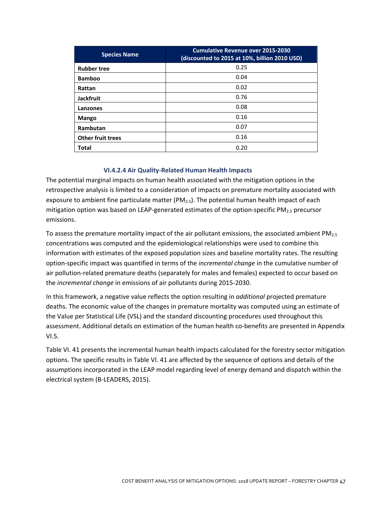| <b>Species Name</b>      | <b>Cumulative Revenue over 2015-2030</b><br>(discounted to 2015 at 10%, billion 2010 USD) |
|--------------------------|-------------------------------------------------------------------------------------------|
| <b>Rubber tree</b>       | 0.25                                                                                      |
| <b>Bamboo</b>            | 0.04                                                                                      |
| Rattan                   | 0.02                                                                                      |
| <b>Jackfruit</b>         | 0.76                                                                                      |
| Lanzones                 | 0.08                                                                                      |
| <b>Mango</b>             | 0.16                                                                                      |
| Rambutan                 | 0.07                                                                                      |
| <b>Other fruit trees</b> | 0.16                                                                                      |
| <b>Total</b>             | 0.20                                                                                      |

## **VI.4.2.4 Air Quality‐Related Human Health Impacts**

The potential marginal impacts on human health associated with the mitigation options in the retrospective analysis is limited to a consideration of impacts on premature mortality associated with exposure to ambient fine particulate matter ( $PM_{2.5}$ ). The potential human health impact of each mitigation option was based on LEAP-generated estimates of the option-specific PM<sub>2.5</sub> precursor emissions.

To assess the premature mortality impact of the air pollutant emissions, the associated ambient  $PM_{2.5}$ concentrations was computed and the epidemiological relationships were used to combine this information with estimates of the exposed population sizes and baseline mortality rates. The resulting option‐specific impact was quantified in terms of the *incremental change* in the cumulative number of air pollution-related premature deaths (separately for males and females) expected to occur based on the *incremental change* in emissions of air pollutants during 2015‐2030.

In this framework, a negative value reflects the option resulting in *additional* projected premature deaths. The economic value of the changes in premature mortality was computed using an estimate of the Value per Statistical Life (VSL) and the standard discounting procedures used throughout this assessment. Additional details on estimation of the human health co‐benefits are presented in Appendix VI.5.

Table VI. 41 presents the incremental human health impacts calculated for the forestry sector mitigation options. The specific results in Table VI. 41 are affected by the sequence of options and details of the assumptions incorporated in the LEAP model regarding level of energy demand and dispatch within the electrical system (B‐LEADERS, 2015).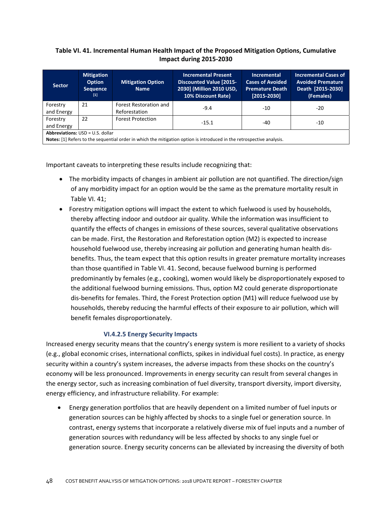## **Table VI. 41. Incremental Human Health Impact of the Proposed Mitigation Options, Cumulative Impact during 2015‐2030**

| <b>Sector</b>                                                                                                                                                    | <b>Mitigation</b><br><b>Option</b><br><b>Sequence</b><br>$[1]$ | <b>Mitigation Option</b><br><b>Name</b> | <b>Incremental Present</b><br><b>Discounted Value [2015-</b><br>2030] (Million 2010 USD,<br>10% Discount Rate) | <b>Incremental</b><br><b>Cases of Avoided</b><br><b>Premature Death</b><br>[2015-2030] | <b>Incremental Cases of</b><br><b>Avoided Premature</b><br>Death [2015-2030]<br>(Females) |
|------------------------------------------------------------------------------------------------------------------------------------------------------------------|----------------------------------------------------------------|-----------------------------------------|----------------------------------------------------------------------------------------------------------------|----------------------------------------------------------------------------------------|-------------------------------------------------------------------------------------------|
| Forestry<br>and Energy                                                                                                                                           | 21                                                             | Forest Restoration and<br>Reforestation | $-9.4$                                                                                                         | $-10$                                                                                  | -20                                                                                       |
| Forestry<br>and Energy                                                                                                                                           | 22                                                             | <b>Forest Protection</b>                | $-15.1$                                                                                                        | -40                                                                                    | -10                                                                                       |
| <b>Abbreviations: USD = U.S. dollar</b><br>Notes: [1] Refers to the sequential order in which the mitigation option is introduced in the retrospective analysis. |                                                                |                                         |                                                                                                                |                                                                                        |                                                                                           |

Important caveats to interpreting these results include recognizing that:

- The morbidity impacts of changes in ambient air pollution are not quantified. The direction/sign of any morbidity impact for an option would be the same as the premature mortality result in Table VI. 41;
- Forestry mitigation options will impact the extent to which fuelwood is used by households, thereby affecting indoor and outdoor air quality. While the information was insufficient to quantify the effects of changes in emissions of these sources, several qualitative observations can be made. First, the Restoration and Reforestation option (M2) is expected to increase household fuelwood use, thereby increasing air pollution and generating human health dis‐ benefits. Thus, the team expect that this option results in greater premature mortality increases than those quantified in Table VI. 41. Second, because fuelwood burning is performed predominantly by females (e.g., cooking), women would likely be disproportionately exposed to the additional fuelwood burning emissions. Thus, option M2 could generate disproportionate dis‐benefits for females. Third, the Forest Protection option (M1) will reduce fuelwood use by households, thereby reducing the harmful effects of their exposure to air pollution, which will benefit females disproportionately.

## **VI.4.2.5 Energy Security Impacts**

Increased energy security means that the country's energy system is more resilient to a variety of shocks (e.g., global economic crises, international conflicts, spikes in individual fuel costs). In practice, as energy security within a country's system increases, the adverse impacts from these shocks on the country's economy will be less pronounced. Improvements in energy security can result from several changes in the energy sector, such as increasing combination of fuel diversity, transport diversity, import diversity, energy efficiency, and infrastructure reliability. For example:

 Energy generation portfolios that are heavily dependent on a limited number of fuel inputs or generation sources can be highly affected by shocks to a single fuel or generation source. In contrast, energy systems that incorporate a relatively diverse mix of fuel inputs and a number of generation sources with redundancy will be less affected by shocks to any single fuel or generation source. Energy security concerns can be alleviated by increasing the diversity of both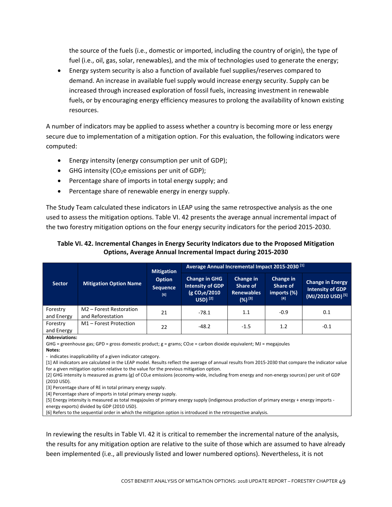the source of the fuels (i.e., domestic or imported, including the country of origin), the type of fuel (i.e., oil, gas, solar, renewables), and the mix of technologies used to generate the energy;

 Energy system security is also a function of available fuel supplies/reserves compared to demand. An increase in available fuel supply would increase energy security. Supply can be increased through increased exploration of fossil fuels, increasing investment in renewable fuels, or by encouraging energy efficiency measures to prolong the availability of known existing resources.

A number of indicators may be applied to assess whether a country is becoming more or less energy secure due to implementation of a mitigation option. For this evaluation, the following indicators were computed:

- Energy intensity (energy consumption per unit of GDP);
- $\bullet$  GHG intensity (CO<sub>2</sub>e emissions per unit of GDP);
- Percentage share of imports in total energy supply; and
- Percentage share of renewable energy in energy supply.

The Study Team calculated these indicators in LEAP using the same retrospective analysis as the one used to assess the mitigation options. Table VI. 42 presents the average annual incremental impact of the two forestry mitigation options on the four energy security indicators for the period 2015‐2030.

## **Table VI. 42. Incremental Changes in Energy Security Indicators due to the Proposed Mitigation Options, Average Annual Incremental Impact during 2015‐2030**

|                        |                                              | <b>Mitigation</b><br><b>Option</b><br><b>Sequence</b><br>[6] | Average Annual Incremental Impact 2015-2030 <sup>[1]</sup>                                    |                                                           |                                             |                                                                                    |  |
|------------------------|----------------------------------------------|--------------------------------------------------------------|-----------------------------------------------------------------------------------------------|-----------------------------------------------------------|---------------------------------------------|------------------------------------------------------------------------------------|--|
| <b>Sector</b>          | <b>Mitigation Option Name</b>                |                                                              | <b>Change in GHG</b><br><b>Intensity of GDP</b><br>(g CO <sub>2</sub> e/2010<br>$USD$ ) $[2]$ | Change in<br>Share of<br><b>Renewables</b><br>$(%)^{[3]}$ | Change in<br>Share of<br>imports (%)<br>[4] | <b>Change in Energy</b><br><b>Intensity of GDP</b><br>(MJ/2010 USD) <sup>[5]</sup> |  |
| Forestry<br>and Energy | M2 - Forest Restoration<br>and Reforestation | 21                                                           | $-78.1$                                                                                       | 1.1                                                       | $-0.9$                                      | 0.1                                                                                |  |
| Forestry<br>and Energy | M1-Forest Protection                         | 22                                                           | $-48.2$                                                                                       | $-1.5$                                                    | 1.2                                         | $-0.1$                                                                             |  |

**Abbreviations:**

GHG = greenhouse gas; GPD = gross domestic product;  $g$  = grams; CO<sub>2</sub>e = carbon dioxide equivalent; MJ = megajoules **Notes:**

‐ indicates inapplicability of a given indicator category.

[1] All indicators are calculated in the LEAP model. Results reflect the average of annual results from 2015‐2030 that compare the indicator value for a given mitigation option relative to the value for the previous mitigation option.

[2] GHG intensity is measured as grams (g) of CO<sub>2</sub>e emissions (economy-wide, including from energy and non-energy sources) per unit of GDP (2010 USD).

[3] Percentage share of RE in total primary energy supply.

[4] Percentage share of imports in total primary energy supply.

[5] Energy intensity is measured as total megajoules of primary energy supply (indigenous production of primary energy + energy imports ‐ energy exports) divided by GDP (2010 USD).

[6] Refers to the sequential order in which the mitigation option is introduced in the retrospective analysis.

In reviewing the results in Table VI. 42 it is critical to remember the incremental nature of the analysis, the results for any mitigation option are relative to the suite of those which are assumed to have already been implemented (i.e., all previously listed and lower numbered options). Nevertheless, it is not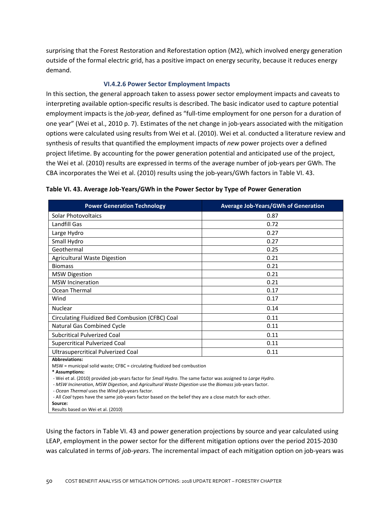surprising that the Forest Restoration and Reforestation option (M2), which involved energy generation outside of the formal electric grid, has a positive impact on energy security, because it reduces energy demand.

### **VI.4.2.6 Power Sector Employment Impacts**

In this section, the general approach taken to assess power sector employment impacts and caveats to interpreting available option‐specific results is described. The basic indicator used to capture potential employment impacts is the *job‐year,* defined as "full‐time employment for one person for a duration of one year" (Wei et al., 2010 p. 7). Estimates of the net change in job-years associated with the mitigation options were calculated using results from Wei et al. (2010). Wei et al. conducted a literature review and synthesis of results that quantified the employment impacts of *new* power projects over a defined project lifetime. By accounting for the power generation potential and anticipated use of the project, the Wei et al. (2010) results are expressed in terms of the average number of job-years per GWh. The CBA incorporates the Wei et al. (2010) results using the job‐years/GWh factors in Table VI. 43.

| <b>Power Generation Technology</b>              | <b>Average Job-Years/GWh of Generation</b> |
|-------------------------------------------------|--------------------------------------------|
| <b>Solar Photovoltaics</b>                      | 0.87                                       |
| Landfill Gas                                    | 0.72                                       |
| Large Hydro                                     | 0.27                                       |
| Small Hydro                                     | 0.27                                       |
| Geothermal                                      | 0.25                                       |
| Agricultural Waste Digestion                    | 0.21                                       |
| <b>Biomass</b>                                  | 0.21                                       |
| <b>MSW Digestion</b>                            | 0.21                                       |
| <b>MSW</b> Incineration                         | 0.21                                       |
| Ocean Thermal                                   | 0.17                                       |
| Wind                                            | 0.17                                       |
| <b>Nuclear</b>                                  | 0.14                                       |
| Circulating Fluidized Bed Combusion (CFBC) Coal | 0.11                                       |
| Natural Gas Combined Cycle                      | 0.11                                       |
| <b>Subcritical Pulverized Coal</b>              | 0.11                                       |
| <b>Supercritical Pulverized Coal</b>            | 0.11                                       |
| <b>Ultrasupercritical Pulverized Coal</b>       | 0.11                                       |

|  | Table VI. 43. Average Job-Years/GWh in the Power Sector by Type of Power Generation |
|--|-------------------------------------------------------------------------------------|
|--|-------------------------------------------------------------------------------------|

MSW = municipal solid waste; CFBC = circulating fluidized bed combustion

**\* Assumptions:** 

‐ Wei et al. (2010) provided job‐years factor for *Small Hydro*. The same factor was assigned to *Large Hydro.*

‐ *MSW Incineration*, *MSW Digestion*, and *Agricultural Waste Digestion* use the *Biomass* job‐years factor.

‐ *Ocean Thermal* uses the *Wind* job‐years factor.

‐ All *Coal* types have the same job‐years factor based on the belief they are a close match for each other.

**Source:**

Results based on Wei et al. (2010)

Using the factors in Table VI. 43 and power generation projections by source and year calculated using LEAP, employment in the power sector for the different mitigation options over the period 2015‐2030 was calculated in terms of *job‐years*. The incremental impact of each mitigation option on job‐years was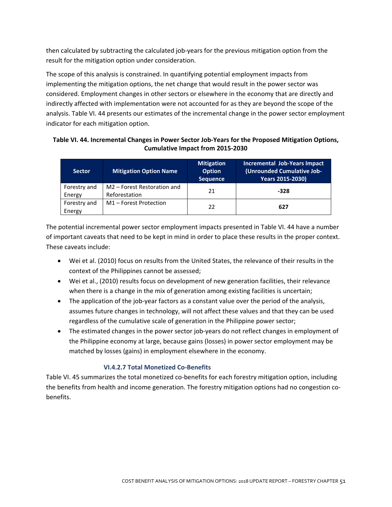then calculated by subtracting the calculated job‐years for the previous mitigation option from the result for the mitigation option under consideration.

The scope of this analysis is constrained. In quantifying potential employment impacts from implementing the mitigation options, the net change that would result in the power sector was considered. Employment changes in other sectors or elsewhere in the economy that are directly and indirectly affected with implementation were not accounted for as they are beyond the scope of the analysis. Table VI. 44 presents our estimates of the incremental change in the power sector employment indicator for each mitigation option.

## **Table VI. 44. Incremental Changes in Power Sector Job‐Years for the Proposed Mitigation Options, Cumulative Impact from 2015‐2030**

| <b>Sector</b>          | <b>Mitigation Option Name</b>                | <b>Mitigation</b><br><b>Option</b><br><b>Sequence</b> | Incremental Job-Years Impact<br>(Unrounded Cumulative Job-<br><b>Years 2015-2030)</b> |
|------------------------|----------------------------------------------|-------------------------------------------------------|---------------------------------------------------------------------------------------|
| Forestry and<br>Energy | M2 - Forest Restoration and<br>Reforestation | 21                                                    | -328                                                                                  |
| Forestry and<br>Energy | M1 - Forest Protection                       | 22                                                    | 627                                                                                   |

The potential incremental power sector employment impacts presented in Table VI. 44 have a number of important caveats that need to be kept in mind in order to place these results in the proper context. These caveats include:

- Wei et al. (2010) focus on results from the United States, the relevance of their results in the context of the Philippines cannot be assessed;
- Wei et al., (2010) results focus on development of new generation facilities, their relevance when there is a change in the mix of generation among existing facilities is uncertain;
- The application of the job-year factors as a constant value over the period of the analysis, assumes future changes in technology, will not affect these values and that they can be used regardless of the cumulative scale of generation in the Philippine power sector;
- The estimated changes in the power sector job-years do not reflect changes in employment of the Philippine economy at large, because gains (losses) in power sector employment may be matched by losses (gains) in employment elsewhere in the economy.

## **VI.4.2.7 Total Monetized Co‐Benefits**

Table VI. 45 summarizes the total monetized co-benefits for each forestry mitigation option, including the benefits from health and income generation. The forestry mitigation options had no congestion co‐ benefits.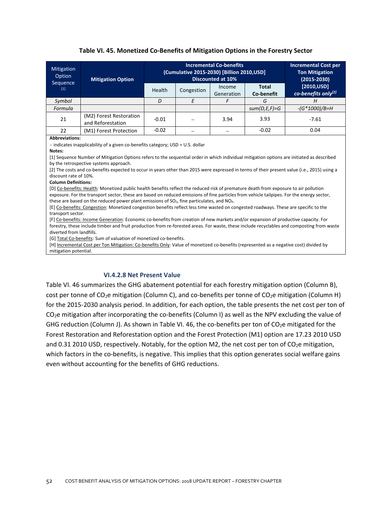| <b>Mitigation</b><br>Option<br>Sequence | <b>Mitigation Option</b>                     | <b>Incremental Co-benefits</b><br>(Cumulative 2015-2030) [Billion 2010, USD]<br><b>Discounted at 10%</b> |            |                      |                            | <b>Incremental Cost per</b><br><b>Ton Mitigation</b><br>$(2015 - 2030)$ |
|-----------------------------------------|----------------------------------------------|----------------------------------------------------------------------------------------------------------|------------|----------------------|----------------------------|-------------------------------------------------------------------------|
| $[1]$                                   |                                              | Health                                                                                                   | Congestion | Income<br>Generation | <b>Total</b><br>Co-benefit | $[2010, USD]$<br>co-benefits only[2]                                    |
| Symbol                                  |                                              | D                                                                                                        | E          |                      | G                          | Н                                                                       |
| Formula                                 |                                              |                                                                                                          |            |                      | $sum(D,E,F)=G$             | $-(G*1000)/B=H$                                                         |
| 21                                      | (M2) Forest Restoration<br>and Reforestation | $-0.01$                                                                                                  |            | 3.94                 | 3.93                       | $-7.61$                                                                 |
| 22                                      | (M1) Forest Protection                       | $-0.02$                                                                                                  |            |                      | $-0.02$                    | 0.04                                                                    |
| Ahhroviotioner                          |                                              |                                                                                                          |            |                      |                            |                                                                         |

## **Table VI. 45. Monetized Co‐Benefits of Mitigation Options in the Forestry Sector**

#### **Abbreviations:**

- indicates inapplicability of a given co-benefits category; USD = U.S. dollar

#### **Notes:**

[1] Sequence Number of Mitigation Options refers to the sequential order in which individual mitigation options are initiated as described by the retrospective systems approach.

[2] The costs and co‐benefits expected to occur in years other than 2015 were expressed in terms of their present value (i.e., 2015) using a discount rate of 10%.

#### **Column Definitions:**

[D] Co-benefits: Health: Monetized public health benefits reflect the reduced risk of premature death from exposure to air pollution exposure. For the transport sector, these are based on reduced emissions of fine particles from vehicle tailpipes. For the energy sector, these are based on the reduced power plant emissions of  $SO<sub>2</sub>$ , fine particulates, and NO<sub>x</sub>.

[E] Co-benefits: Congestion: Monetized congestion benefits reflect less time wasted on congested roadways. These are specific to the transport sector.

[F] Co-benefits: Income Generation: Economic co-benefits from creation of new markets and/or expansion of productive capacity. For forestry, these include timber and fruit production from re‐forested areas. For waste, these include recyclables and composting from waste diverted from landfills.

[G] Total Co-benefits: Sum of valuation of monetized co-benefits.

[H] Incremental Cost per Ton Mitigation: Co-benefits Only: Value of monetized co-benefits (represented as a negative cost) divided by mitigation potential.

### **VI.4.2.8 Net Present Value**

Table VI. 46 summarizes the GHG abatement potential for each forestry mitigation option (Column B), cost per tonne of CO<sub>2</sub>e mitigation (Column C), and co-benefits per tonne of CO<sub>2</sub>e mitigation (Column H) for the 2015-2030 analysis period. In addition, for each option, the table presents the net cost per ton of  $CO<sub>2</sub>e$  mitigation after incorporating the co-benefits (Column I) as well as the NPV excluding the value of GHG reduction (Column J). As shown in Table VI. 46, the co-benefits per ton of  $CO<sub>2</sub>e$  mitigated for the Forest Restoration and Reforestation option and the Forest Protection (M1) option are 17.23 2010 USD and 0.31 2010 USD, respectively. Notably, for the option M2, the net cost per ton of CO<sub>2</sub>e mitigation, which factors in the co-benefits, is negative. This implies that this option generates social welfare gains even without accounting for the benefits of GHG reductions.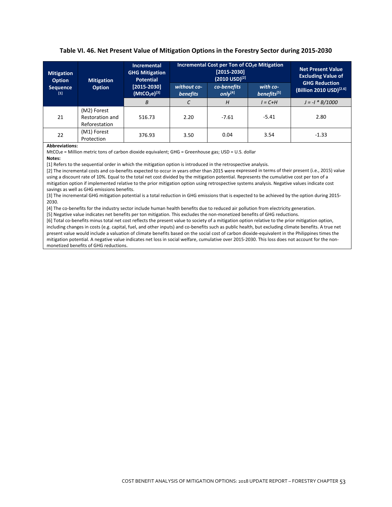#### **Table VI. 46. Net Present Value of Mitigation Options in the Forestry Sector during 2015‐2030**

| <b>Mitigation</b><br><b>Option</b><br><b>Mitigation</b> |                                                 | <b>Incremental</b><br><b>GHG Mitigation</b><br><b>Potential</b> | Incremental Cost per Ton of CO <sub>2</sub> e Mitigation<br>$[2015 - 2030]$<br>$(2010$ USD $)^{[2]}$ |                                    |                                     | <b>Net Present Value</b><br><b>Excluding Value of</b><br><b>GHG Reduction</b> |
|---------------------------------------------------------|-------------------------------------------------|-----------------------------------------------------------------|------------------------------------------------------------------------------------------------------|------------------------------------|-------------------------------------|-------------------------------------------------------------------------------|
| <b>Sequence</b><br>$[1]$                                | <b>Option</b>                                   | $[2015 - 2030]$<br>$(MtCO2e)^{[3]}$                             | without co-<br><b>benefits</b>                                                                       | co-benefits<br>only <sup>[4]</sup> | with co-<br>benefits <sup>[5]</sup> | (Billion 2010 USD) <sup>[2.6]</sup>                                           |
|                                                         |                                                 | B                                                               |                                                                                                      | H                                  | $I = C+H$                           | $J = -I * B/1000$                                                             |
| 21                                                      | (M2) Forest<br>Restoration and<br>Reforestation | 516.73                                                          | 2.20                                                                                                 | $-7.61$                            | $-5.41$                             | 2.80                                                                          |
| 22                                                      | (M1) Forest<br>Protection                       | 376.93                                                          | 3.50                                                                                                 | 0.04                               | 3.54                                | $-1.33$                                                                       |

#### **Abbreviations:**

MtCO2e = Million metric tons of carbon dioxide equivalent; GHG = Greenhouse gas; USD = U.S. dollar

**Notes:**

[1] Refers to the sequential order in which the mitigation option is introduced in the retrospective analysis.

[2] The incremental costs and co-benefits expected to occur in years other than 2015 were expressed in terms of their present (i.e., 2015) value using a discount rate of 10%. Equal to the total net cost divided by the mitigation potential. Represents the cumulative cost per ton of a mitigation option if implemented relative to the prior mitigation option using retrospective systems analysis. Negative values indicate cost savings as well as GHG emissions benefits.

[3] The incremental GHG mitigation potential is a total reduction in GHG emissions that is expected to be achieved by the option during 2015‐ 2030.

[4] The co-benefits for the industry sector include human health benefits due to reduced air pollution from electricity generation.

[5] Negative value indicates net benefits per ton mitigation. This excludes the non‐monetized benefits of GHG reductions.

[6] Total co‐benefits minus total net cost reflects the present value to society of a mitigation option relative to the prior mitigation option, including changes in costs (e.g. capital, fuel, and other inputs) and co-benefits such as public health, but excluding climate benefits. A true net present value would include a valuation of climate benefits based on the social cost of carbon dioxide‐equivalent in the Philippines times the mitigation potential. A negative value indicates net loss in social welfare, cumulative over 2015-2030. This loss does not account for the nonmonetized benefits of GHG reductions.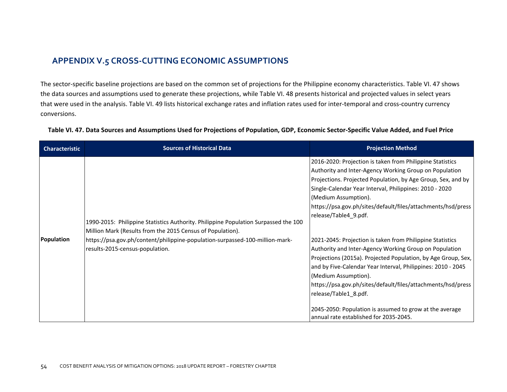# **APPENDIX V.5 CROSS‐CUTTING ECONOMIC ASSUMPTIONS**

The sector‐specific baseline projections are based on the common set of projections for the Philippine economy characteristics. Table VI. 47 shows the data sources and assumptions used to generate these projections, while Table VI. 48 presents historical and projected values in select years that were used in the analysis. Table VI. 49 lists historical exchange rates and inflation rates used for inter‐temporal and cross‐country currency conversions.

| <b>Characteristic</b> | <b>Sources of Historical Data</b>                                                                                                                                                                                                                                    | <b>Projection Method</b>                                                                                                                                                                                                                                                                                                                                                                                                                                                                                                                                                                                                                                                                                                                                                                                                                      |
|-----------------------|----------------------------------------------------------------------------------------------------------------------------------------------------------------------------------------------------------------------------------------------------------------------|-----------------------------------------------------------------------------------------------------------------------------------------------------------------------------------------------------------------------------------------------------------------------------------------------------------------------------------------------------------------------------------------------------------------------------------------------------------------------------------------------------------------------------------------------------------------------------------------------------------------------------------------------------------------------------------------------------------------------------------------------------------------------------------------------------------------------------------------------|
| Population            | 1990-2015: Philippine Statistics Authority. Philippine Population Surpassed the 100<br>Million Mark (Results from the 2015 Census of Population).<br>https://psa.gov.ph/content/philippine-population-surpassed-100-million-mark-<br>results-2015-census-population. | 2016-2020: Projection is taken from Philippine Statistics<br>Authority and Inter-Agency Working Group on Population<br>Projections. Projected Population, by Age Group, Sex, and by<br>Single-Calendar Year Interval, Philippines: 2010 - 2020<br>(Medium Assumption).<br>https://psa.gov.ph/sites/default/files/attachments/hsd/press<br>release/Table4 9.pdf.<br>2021-2045: Projection is taken from Philippine Statistics<br>Authority and Inter-Agency Working Group on Population<br>Projections (2015a). Projected Population, by Age Group, Sex,<br>and by Five-Calendar Year Interval, Philippines: 2010 - 2045<br>(Medium Assumption).<br>https://psa.gov.ph/sites/default/files/attachments/hsd/press<br>release/Table1 8.pdf.<br>2045-2050: Population is assumed to grow at the average<br>annual rate established for 2035-2045. |

Table VI. 47. Data Sources and Assumptions Used for Projections of Population, GDP, Economic Sector-Specific Value Added, and Fuel Price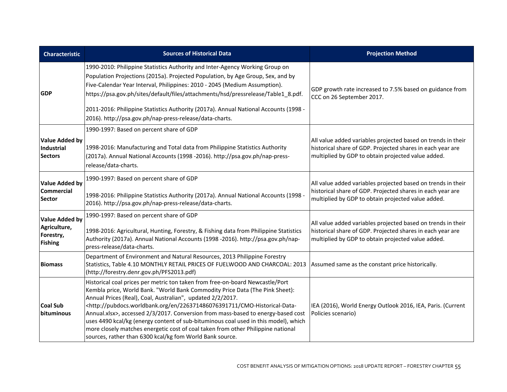| <b>Characteristic</b>                                                | <b>Sources of Historical Data</b>                                                                                                                                                                                                                                                                                                                                                                                                                                                                                                                                                                                                                           | <b>Projection Method</b>                                                                                                                                                         |
|----------------------------------------------------------------------|-------------------------------------------------------------------------------------------------------------------------------------------------------------------------------------------------------------------------------------------------------------------------------------------------------------------------------------------------------------------------------------------------------------------------------------------------------------------------------------------------------------------------------------------------------------------------------------------------------------------------------------------------------------|----------------------------------------------------------------------------------------------------------------------------------------------------------------------------------|
| <b>GDP</b>                                                           | 1990-2010: Philippine Statistics Authority and Inter-Agency Working Group on<br>Population Projections (2015a). Projected Population, by Age Group, Sex, and by<br>Five-Calendar Year Interval, Philippines: 2010 - 2045 (Medium Assumption).<br>https://psa.gov.ph/sites/default/files/attachments/hsd/pressrelease/Table1 8.pdf.<br>2011-2016: Philippine Statistics Authority (2017a). Annual National Accounts (1998 -<br>2016). http://psa.gov.ph/nap-press-release/data-charts.                                                                                                                                                                       | GDP growth rate increased to 7.5% based on guidance from<br>CCC on 26 September 2017.                                                                                            |
| <b>Value Added by</b><br>Industrial<br><b>Sectors</b>                | 1990-1997: Based on percent share of GDP<br>1998-2016: Manufacturing and Total data from Philippine Statistics Authority<br>(2017a). Annual National Accounts (1998 -2016). http://psa.gov.ph/nap-press-<br>release/data-charts.                                                                                                                                                                                                                                                                                                                                                                                                                            | All value added variables projected based on trends in their<br>historical share of GDP. Projected shares in each year are<br>multiplied by GDP to obtain projected value added. |
| <b>Value Added by</b><br><b>Commercial</b><br><b>Sector</b>          | 1990-1997: Based on percent share of GDP<br>1998-2016: Philippine Statistics Authority (2017a). Annual National Accounts (1998 -<br>2016). http://psa.gov.ph/nap-press-release/data-charts.                                                                                                                                                                                                                                                                                                                                                                                                                                                                 | All value added variables projected based on trends in their<br>historical share of GDP. Projected shares in each year are<br>multiplied by GDP to obtain projected value added. |
| <b>Value Added by</b><br>Agriculture,<br>Forestry,<br><b>Fishing</b> | 1990-1997: Based on percent share of GDP<br>1998-2016: Agricultural, Hunting, Forestry, & Fishing data from Philippine Statistics<br>Authority (2017a). Annual National Accounts (1998 -2016). http://psa.gov.ph/nap-<br>press-release/data-charts.                                                                                                                                                                                                                                                                                                                                                                                                         | All value added variables projected based on trends in their<br>historical share of GDP. Projected shares in each year are<br>multiplied by GDP to obtain projected value added. |
| <b>Biomass</b>                                                       | Department of Environment and Natural Resources, 2013 Philippine Forestry<br>Statistics, Table 4.10 MONTHLY RETAIL PRICES OF FUELWOOD AND CHARCOAL: 2013<br>(http://forestry.denr.gov.ph/PFS2013.pdf)                                                                                                                                                                                                                                                                                                                                                                                                                                                       | Assumed same as the constant price historically.                                                                                                                                 |
| <b>Coal Sub</b><br>bituminous                                        | Historical coal prices per metric ton taken from free-on-board Newcastle/Port<br>Kembla price, World Bank. "World Bank Commodity Price Data (The Pink Sheet):<br>Annual Prices (Real), Coal, Australian", updated 2/2/2017.<br><http: 226371486076391711="" cmo-historical-data-<br="" en="" pubdocs.worldbank.org="">Annual.xlsx&gt;, accessed 2/3/2017. Conversion from mass-based to energy-based cost<br/>uses 4490 kcal/kg (energy content of sub-bituminous coal used in this model), which<br/>more closely matches energetic cost of coal taken from other Philippine national<br/>sources, rather than 6300 kcal/kg fom World Bank source.</http:> | IEA (2016), World Energy Outlook 2016, IEA, Paris. (Current<br>Policies scenario)                                                                                                |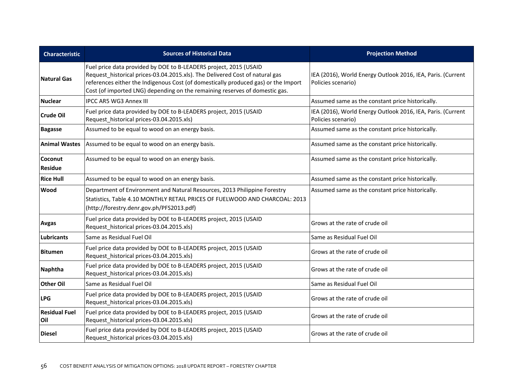| <b>Characteristic</b>       | <b>Sources of Historical Data</b>                                                                                                                                                                                                                                                                                      | <b>Projection Method</b>                                                          |  |  |  |  |
|-----------------------------|------------------------------------------------------------------------------------------------------------------------------------------------------------------------------------------------------------------------------------------------------------------------------------------------------------------------|-----------------------------------------------------------------------------------|--|--|--|--|
| <b>Natural Gas</b>          | Fuel price data provided by DOE to B-LEADERS project, 2015 (USAID<br>Request historical prices-03.04.2015.xls). The Delivered Cost of natural gas<br>references either the Indigenous Cost (of domestically produced gas) or the Import<br>Cost (of imported LNG) depending on the remaining reserves of domestic gas. | IEA (2016), World Energy Outlook 2016, IEA, Paris. (Current<br>Policies scenario) |  |  |  |  |
| <b>Nuclear</b>              | <b>IPCC AR5 WG3 Annex III</b>                                                                                                                                                                                                                                                                                          | Assumed same as the constant price historically.                                  |  |  |  |  |
| <b>Crude Oil</b>            | Fuel price data provided by DOE to B-LEADERS project, 2015 (USAID<br>Request historical prices-03.04.2015.xls)                                                                                                                                                                                                         | IEA (2016), World Energy Outlook 2016, IEA, Paris. (Current<br>Policies scenario) |  |  |  |  |
| <b>Bagasse</b>              | Assumed to be equal to wood on an energy basis.                                                                                                                                                                                                                                                                        | Assumed same as the constant price historically.                                  |  |  |  |  |
|                             | Animal Wastes   Assumed to be equal to wood on an energy basis.                                                                                                                                                                                                                                                        | Assumed same as the constant price historically.                                  |  |  |  |  |
| Coconut<br><b>Residue</b>   | Assumed to be equal to wood on an energy basis.                                                                                                                                                                                                                                                                        | Assumed same as the constant price historically.                                  |  |  |  |  |
| <b>Rice Hull</b>            | Assumed to be equal to wood on an energy basis.                                                                                                                                                                                                                                                                        | Assumed same as the constant price historically.                                  |  |  |  |  |
| Wood                        | Department of Environment and Natural Resources, 2013 Philippine Forestry<br>Statistics, Table 4.10 MONTHLY RETAIL PRICES OF FUELWOOD AND CHARCOAL: 2013<br>(http://forestry.denr.gov.ph/PFS2013.pdf)                                                                                                                  | Assumed same as the constant price historically.                                  |  |  |  |  |
| <b>Avgas</b>                | Fuel price data provided by DOE to B-LEADERS project, 2015 (USAID<br>Request historical prices-03.04.2015.xls)                                                                                                                                                                                                         | Grows at the rate of crude oil                                                    |  |  |  |  |
| <b>Lubricants</b>           | Same as Residual Fuel Oil                                                                                                                                                                                                                                                                                              | Same as Residual Fuel Oil                                                         |  |  |  |  |
| <b>Bitumen</b>              | Fuel price data provided by DOE to B-LEADERS project, 2015 (USAID<br>Request_historical prices-03.04.2015.xls)                                                                                                                                                                                                         | Grows at the rate of crude oil                                                    |  |  |  |  |
| <b>Naphtha</b>              | Fuel price data provided by DOE to B-LEADERS project, 2015 (USAID<br>Request historical prices-03.04.2015.xls)                                                                                                                                                                                                         | Grows at the rate of crude oil                                                    |  |  |  |  |
| <b>Other Oil</b>            | Same as Residual Fuel Oil                                                                                                                                                                                                                                                                                              | Same as Residual Fuel Oil                                                         |  |  |  |  |
| <b>LPG</b>                  | Fuel price data provided by DOE to B-LEADERS project, 2015 (USAID<br>Request historical prices-03.04.2015.xls)                                                                                                                                                                                                         | Grows at the rate of crude oil                                                    |  |  |  |  |
| <b>Residual Fuel</b><br>Oil | Fuel price data provided by DOE to B-LEADERS project, 2015 (USAID<br>Request historical prices-03.04.2015.xls)                                                                                                                                                                                                         | Grows at the rate of crude oil                                                    |  |  |  |  |
| <b>Diesel</b>               | Fuel price data provided by DOE to B-LEADERS project, 2015 (USAID<br>Request historical prices-03.04.2015.xls)                                                                                                                                                                                                         | Grows at the rate of crude oil                                                    |  |  |  |  |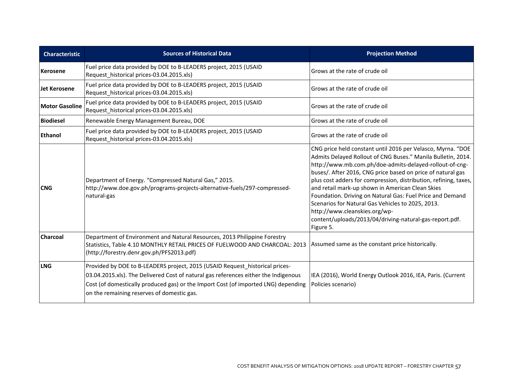| <b>Characteristic</b> | <b>Sources of Historical Data</b>                                                                                                                                                                                                                                                                       | <b>Projection Method</b>                                                                                                                                                                                                                                                                                                                                                                                                                                                                                                                                                                                 |
|-----------------------|---------------------------------------------------------------------------------------------------------------------------------------------------------------------------------------------------------------------------------------------------------------------------------------------------------|----------------------------------------------------------------------------------------------------------------------------------------------------------------------------------------------------------------------------------------------------------------------------------------------------------------------------------------------------------------------------------------------------------------------------------------------------------------------------------------------------------------------------------------------------------------------------------------------------------|
| Kerosene              | Fuel price data provided by DOE to B-LEADERS project, 2015 (USAID<br>Request historical prices-03.04.2015.xls)                                                                                                                                                                                          | Grows at the rate of crude oil                                                                                                                                                                                                                                                                                                                                                                                                                                                                                                                                                                           |
| <b>Jet Kerosene</b>   | Fuel price data provided by DOE to B-LEADERS project, 2015 (USAID<br>Request historical prices-03.04.2015.xls)                                                                                                                                                                                          | Grows at the rate of crude oil                                                                                                                                                                                                                                                                                                                                                                                                                                                                                                                                                                           |
| <b>Motor Gasoline</b> | Fuel price data provided by DOE to B-LEADERS project, 2015 (USAID<br>Request historical prices-03.04.2015.xls)                                                                                                                                                                                          | Grows at the rate of crude oil                                                                                                                                                                                                                                                                                                                                                                                                                                                                                                                                                                           |
| <b>Biodiesel</b>      | Renewable Energy Management Bureau, DOE                                                                                                                                                                                                                                                                 | Grows at the rate of crude oil                                                                                                                                                                                                                                                                                                                                                                                                                                                                                                                                                                           |
| <b>Ethanol</b>        | Fuel price data provided by DOE to B-LEADERS project, 2015 (USAID<br>Request historical prices-03.04.2015.xls)                                                                                                                                                                                          | Grows at the rate of crude oil                                                                                                                                                                                                                                                                                                                                                                                                                                                                                                                                                                           |
| <b>CNG</b>            | Department of Energy. "Compressed Natural Gas," 2015.<br>http://www.doe.gov.ph/programs-projects-alternative-fuels/297-compressed-<br>natural-gas                                                                                                                                                       | CNG price held constant until 2016 per Velasco, Myrna. "DOE<br>Admits Delayed Rollout of CNG Buses." Manila Bulletin, 2014.<br>http://www.mb.com.ph/doe-admits-delayed-rollout-of-cng-<br>buses/. After 2016, CNG price based on price of natural gas<br>plus cost adders for compression, distribution, refining, taxes,<br>and retail mark-up shown in American Clean Skies<br>Foundation. Driving on Natural Gas: Fuel Price and Demand<br>Scenarios for Natural Gas Vehicles to 2025, 2013.<br>http://www.cleanskies.org/wp-<br>content/uploads/2013/04/driving-natural-gas-report.pdf.<br>Figure 5. |
| <b>Charcoal</b>       | Department of Environment and Natural Resources, 2013 Philippine Forestry<br>Statistics, Table 4.10 MONTHLY RETAIL PRICES OF FUELWOOD AND CHARCOAL: 2013<br>(http://forestry.denr.gov.ph/PFS2013.pdf)                                                                                                   | Assumed same as the constant price historically.                                                                                                                                                                                                                                                                                                                                                                                                                                                                                                                                                         |
| <b>LNG</b>            | Provided by DOE to B-LEADERS project, 2015 (USAID Request historical prices-<br>03.04.2015.xls). The Delivered Cost of natural gas references either the Indigenous<br>Cost (of domestically produced gas) or the Import Cost (of imported LNG) depending<br>on the remaining reserves of domestic gas. | IEA (2016), World Energy Outlook 2016, IEA, Paris. (Current<br>Policies scenario)                                                                                                                                                                                                                                                                                                                                                                                                                                                                                                                        |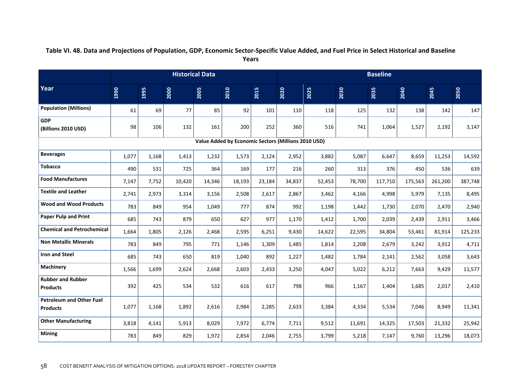## Table VI. 48. Data and Projections of Population, GDP, Economic Sector-Specific Value Added, and Fuel Price in Select Historical and Baseline **Years**

|                                                    | <b>Historical Data</b>                              |       |        |        |        |             | <b>Baseline</b> |        |        |         |         |         |         |
|----------------------------------------------------|-----------------------------------------------------|-------|--------|--------|--------|-------------|-----------------|--------|--------|---------|---------|---------|---------|
| Year                                               | 1990                                                | 1995  | 2000   | 2005   | 2010   | <b>2015</b> | 2020            | 2025   | 2030   | 2035    | 2040    | 2045    | 2050    |
| <b>Population (Millions)</b>                       | 61                                                  | 69    | 77     | 85     | 92     | 101         | 110             | 118    | 125    | 132     | 138     | 142     | 147     |
| <b>GDP</b><br>(Billions 2010 USD)                  | 98                                                  | 106   | 132    | 161    | 200    | 252         | 360             | 516    | 741    | 1,064   | 1,527   | 2,192   | 3,147   |
|                                                    | Value Added by Economic Sectors (Millions 2010 USD) |       |        |        |        |             |                 |        |        |         |         |         |         |
| <b>Beverages</b>                                   | 1,077                                               | 1,168 | 1,413  | 1,232  | 1,573  | 2,124       | 2,952           | 3,882  | 5,087  | 6,647   | 8,659   | 11,253  | 14,592  |
| <b>Tobacco</b>                                     | 490                                                 | 531   | 725    | 364    | 169    | 177         | 216             | 260    | 313    | 376     | 450     | 536     | 639     |
| <b>Food Manufactures</b>                           | 7,147                                               | 7,752 | 10,420 | 14,346 | 18,193 | 23,184      | 34,837          | 52,453 | 78,700 | 117,710 | 175,563 | 261,200 | 387,748 |
| <b>Textile and Leather</b>                         | 2,741                                               | 2,973 | 3,314  | 3,156  | 2,508  | 2,617       | 2,867           | 3,462  | 4,166  | 4,998   | 5,979   | 7,135   | 8,495   |
| <b>Wood and Wood Products</b>                      | 783                                                 | 849   | 954    | 1,049  | 777    | 874         | 992             | 1,198  | 1,442  | 1,730   | 2,070   | 2,470   | 2,940   |
| <b>Paper Pulp and Print</b>                        | 685                                                 | 743   | 879    | 650    | 627    | 977         | 1,170           | 1,412  | 1,700  | 2,039   | 2,439   | 2,911   | 3,466   |
| <b>Chemical and Petrochemical</b>                  | 1,664                                               | 1,805 | 2,126  | 2,468  | 2,595  | 6,251       | 9,430           | 14,622 | 22,595 | 34,804  | 53,461  | 81,914  | 125,233 |
| <b>Non Metallic Minerals</b>                       | 783                                                 | 849   | 795    | 771    | 1,146  | 1,309       | 1,485           | 1,814  | 2,208  | 2,679   | 3,242   | 3,912   | 4,711   |
| <b>Iron and Steel</b>                              | 685                                                 | 743   | 650    | 819    | 1,040  | 892         | 1,227           | 1,482  | 1,784  | 2,141   | 2,562   | 3,058   | 3,643   |
| <b>Machinery</b>                                   | 1,566                                               | 1,699 | 2,624  | 2,668  | 2,603  | 2,433       | 3,250           | 4,047  | 5,022  | 6,212   | 7,663   | 9,429   | 11,577  |
| <b>Rubber and Rubber</b><br><b>Products</b>        | 392                                                 | 425   | 534    | 532    | 616    | 617         | 798             | 966    | 1,167  | 1,404   | 1,685   | 2,017   | 2,410   |
| <b>Petroleum and Other Fuel</b><br><b>Products</b> | 1,077                                               | 1,168 | 1,892  | 2,616  | 2,984  | 2,285       | 2,633           | 3,384  | 4,334  | 5,534   | 7,046   | 8,949   | 11,341  |
| <b>Other Manufacturing</b>                         | 3,818                                               | 4,141 | 5,913  | 8,029  | 7,972  | 6,774       | 7,711           | 9,512  | 11,691 | 14,325  | 17,503  | 21,332  | 25,942  |
| Mining                                             | 783                                                 | 849   | 829    | 1,972  | 2,854  | 2,046       | 2,755           | 3,799  | 5,218  | 7,147   | 9,760   | 13,296  | 18,073  |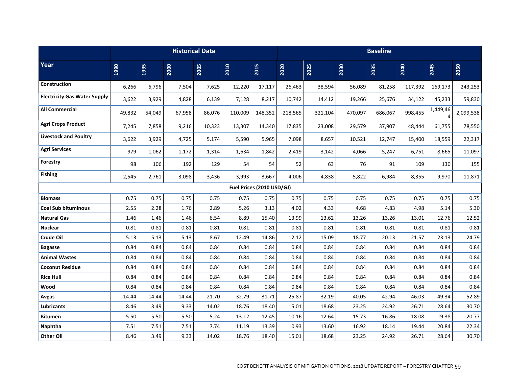|                                     | <b>Historical Data</b> |        |        |        |         |                           |         | <b>Baseline</b> |         |         |         |               |           |
|-------------------------------------|------------------------|--------|--------|--------|---------|---------------------------|---------|-----------------|---------|---------|---------|---------------|-----------|
| Year                                | 1990                   | 1995   | 2000   | 2005   | 2010    | 2015                      | 2020    | 2025            | 2030    | 2035    | 2040    | 2045          | 2050      |
| Construction                        | 6,266                  | 6,796  | 7,504  | 7,625  | 12,220  | 17,117                    | 26,463  | 38,594          | 56,089  | 81,258  | 117,392 | 169,173       | 243,253   |
| <b>Electricity Gas Water Supply</b> | 3,622                  | 3,929  | 4,828  | 6,139  | 7,128   | 8,217                     | 10,742  | 14,412          | 19,266  | 25,676  | 34,122  | 45,233        | 59,830    |
| <b>All Commercial</b>               | 49,832                 | 54,049 | 67,958 | 86,076 | 110,009 | 148,352                   | 218,565 | 321,104         | 470,097 | 686,067 | 998,455 | 1,449,46<br>4 | 2,099,538 |
| <b>Agri Crops Product</b>           | 7,245                  | 7,858  | 9,216  | 10,323 | 13,307  | 14,340                    | 17,835  | 23,008          | 29,579  | 37,907  | 48,444  | 61,755        | 78,550    |
| <b>Livestock and Poultry</b>        | 3,622                  | 3,929  | 4,725  | 5,174  | 5,590   | 5,965                     | 7,098   | 8,657           | 10,521  | 12,747  | 15,400  | 18,559        | 22,317    |
| <b>Agri Services</b>                | 979                    | 1,062  | 1,172  | 1,314  | 1,634   | 1,842                     | 2,419   | 3,142           | 4,066   | 5,247   | 6,751   | 8,665         | 11,097    |
| Forestry                            | 98                     | 106    | 192    | 129    | 54      | 54                        | 52      | 63              | 76      | 91      | 109     | 130           | 155       |
| <b>Fishing</b>                      | 2,545                  | 2,761  | 3,098  | 3,436  | 3,993   | 3,667                     | 4,006   | 4,838           | 5,822   | 6,984   | 8,355   | 9,970         | 11,871    |
|                                     |                        |        |        |        |         | Fuel Prices (2010 USD/GJ) |         |                 |         |         |         |               |           |
| <b>Biomass</b>                      | 0.75                   | 0.75   | 0.75   | 0.75   | 0.75    | 0.75                      | 0.75    | 0.75            | 0.75    | 0.75    | 0.75    | 0.75          | 0.75      |
| <b>Coal Sub bituminous</b>          | 2.55                   | 2.28   | 1.76   | 2.89   | 5.26    | 3.13                      | 4.02    | 4.33            | 4.68    | 4.83    | 4.98    | 5.14          | 5.30      |
| <b>Natural Gas</b>                  | 1.46                   | 1.46   | 1.46   | 6.54   | 8.89    | 15.40                     | 13.99   | 13.62           | 13.26   | 13.26   | 13.01   | 12.76         | 12.52     |
| <b>Nuclear</b>                      | 0.81                   | 0.81   | 0.81   | 0.81   | 0.81    | 0.81                      | 0.81    | 0.81            | 0.81    | 0.81    | 0.81    | 0.81          | 0.81      |
| Crude Oil                           | 5.13                   | 5.13   | 5.13   | 8.67   | 12.49   | 14.86                     | 12.12   | 15.09           | 18.77   | 20.13   | 21.57   | 23.13         | 24.79     |
| <b>Bagasse</b>                      | 0.84                   | 0.84   | 0.84   | 0.84   | 0.84    | 0.84                      | 0.84    | 0.84            | 0.84    | 0.84    | 0.84    | 0.84          | 0.84      |
| <b>Animal Wastes</b>                | 0.84                   | 0.84   | 0.84   | 0.84   | 0.84    | 0.84                      | 0.84    | 0.84            | 0.84    | 0.84    | 0.84    | 0.84          | 0.84      |
| <b>Coconut Residue</b>              | 0.84                   | 0.84   | 0.84   | 0.84   | 0.84    | 0.84                      | 0.84    | 0.84            | 0.84    | 0.84    | 0.84    | 0.84          | 0.84      |
| <b>Rice Hull</b>                    | 0.84                   | 0.84   | 0.84   | 0.84   | 0.84    | 0.84                      | 0.84    | 0.84            | 0.84    | 0.84    | 0.84    | 0.84          | 0.84      |
| Wood                                | 0.84                   | 0.84   | 0.84   | 0.84   | 0.84    | 0.84                      | 0.84    | 0.84            | 0.84    | 0.84    | 0.84    | 0.84          | 0.84      |
| Avgas                               | 14.44                  | 14.44  | 14.44  | 21.70  | 32.79   | 31.71                     | 25.87   | 32.19           | 40.05   | 42.94   | 46.03   | 49.34         | 52.89     |
| <b>Lubricants</b>                   | 8.46                   | 3.49   | 9.33   | 14.02  | 18.76   | 18.40                     | 15.01   | 18.68           | 23.25   | 24.92   | 26.71   | 28.64         | 30.70     |
| <b>Bitumen</b>                      | 5.50                   | 5.50   | 5.50   | 5.24   | 13.12   | 12.45                     | 10.16   | 12.64           | 15.73   | 16.86   | 18.08   | 19.38         | 20.77     |
| Naphtha                             | 7.51                   | 7.51   | 7.51   | 7.74   | 11.19   | 13.39                     | 10.93   | 13.60           | 16.92   | 18.14   | 19.44   | 20.84         | 22.34     |
| <b>Other Oil</b>                    | 8.46                   | 3.49   | 9.33   | 14.02  | 18.76   | 18.40                     | 15.01   | 18.68           | 23.25   | 24.92   | 26.71   | 28.64         | 30.70     |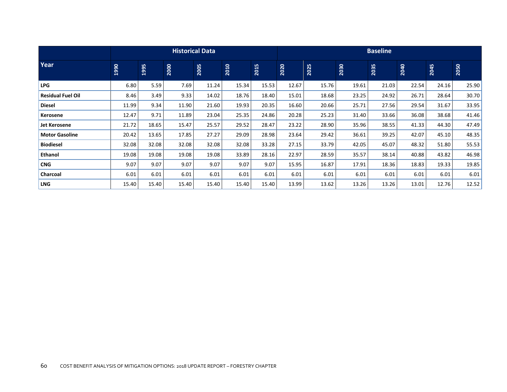|                          | <b>Historical Data</b> |             |       |       |       | <b>Baseline</b> |       |       |       |             |       |       |       |
|--------------------------|------------------------|-------------|-------|-------|-------|-----------------|-------|-------|-------|-------------|-------|-------|-------|
| Year                     | 1990                   | <b>1995</b> | 2000  | 2005  | 2010  | 2015            | 2020  | 2025  | 2030  | <b>2035</b> | 2040  | 2045  | 2050  |
| <b>LPG</b>               | 6.80                   | 5.59        | 7.69  | 11.24 | 15.34 | 15.53           | 12.67 | 15.76 | 19.61 | 21.03       | 22.54 | 24.16 | 25.90 |
| <b>Residual Fuel Oil</b> | 8.46                   | 3.49        | 9.33  | 14.02 | 18.76 | 18.40           | 15.01 | 18.68 | 23.25 | 24.92       | 26.71 | 28.64 | 30.70 |
| <b>Diesel</b>            | 11.99                  | 9.34        | 11.90 | 21.60 | 19.93 | 20.35           | 16.60 | 20.66 | 25.71 | 27.56       | 29.54 | 31.67 | 33.95 |
| Kerosene                 | 12.47                  | 9.71        | 11.89 | 23.04 | 25.35 | 24.86           | 20.28 | 25.23 | 31.40 | 33.66       | 36.08 | 38.68 | 41.46 |
| Jet Kerosene             | 21.72                  | 18.65       | 15.47 | 25.57 | 29.52 | 28.47           | 23.22 | 28.90 | 35.96 | 38.55       | 41.33 | 44.30 | 47.49 |
| <b>Motor Gasoline</b>    | 20.42                  | 13.65       | 17.85 | 27.27 | 29.09 | 28.98           | 23.64 | 29.42 | 36.61 | 39.25       | 42.07 | 45.10 | 48.35 |
| <b>Biodiesel</b>         | 32.08                  | 32.08       | 32.08 | 32.08 | 32.08 | 33.28           | 27.15 | 33.79 | 42.05 | 45.07       | 48.32 | 51.80 | 55.53 |
| Ethanol                  | 19.08                  | 19.08       | 19.08 | 19.08 | 33.89 | 28.16           | 22.97 | 28.59 | 35.57 | 38.14       | 40.88 | 43.82 | 46.98 |
| <b>CNG</b>               | 9.07                   | 9.07        | 9.07  | 9.07  | 9.07  | 9.07            | 15.95 | 16.87 | 17.91 | 18.36       | 18.83 | 19.33 | 19.85 |
| Charcoal                 | 6.01                   | 6.01        | 6.01  | 6.01  | 6.01  | 6.01            | 6.01  | 6.01  | 6.01  | 6.01        | 6.01  | 6.01  | 6.01  |
| <b>LNG</b>               | 15.40                  | 15.40       | 15.40 | 15.40 | 15.40 | 15.40           | 13.99 | 13.62 | 13.26 | 13.26       | 13.01 | 12.76 | 12.52 |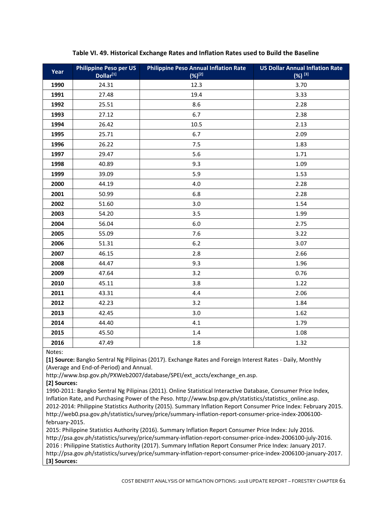| Year | <b>Philippine Peso per US</b><br>Dollar <sup>[1]</sup> | <b>Philippine Peso Annual Inflation Rate</b><br>$(X)^{[2]}$ | <b>US Dollar Annual Inflation Rate</b><br>$(%)$ <sup>[3]</sup> |
|------|--------------------------------------------------------|-------------------------------------------------------------|----------------------------------------------------------------|
| 1990 | 24.31                                                  | 12.3                                                        | 3.70                                                           |
| 1991 | 27.48                                                  | 19.4                                                        | 3.33                                                           |
| 1992 | 25.51                                                  | 8.6                                                         | 2.28                                                           |
| 1993 | 27.12                                                  | 6.7                                                         | 2.38                                                           |
| 1994 | 26.42                                                  | 10.5                                                        | 2.13                                                           |
| 1995 | 25.71                                                  | 6.7                                                         | 2.09                                                           |
| 1996 | 26.22                                                  | 7.5                                                         | 1.83                                                           |
| 1997 | 29.47                                                  | 5.6                                                         | 1.71                                                           |
| 1998 | 40.89                                                  | 9.3                                                         | 1.09                                                           |
| 1999 | 39.09                                                  | 5.9                                                         | 1.53                                                           |
| 2000 | 44.19                                                  | 4.0                                                         | 2.28                                                           |
| 2001 | 50.99                                                  | 6.8                                                         | 2.28                                                           |
| 2002 | 51.60                                                  | 3.0                                                         | 1.54                                                           |
| 2003 | 54.20                                                  | 3.5                                                         | 1.99                                                           |
| 2004 | 56.04                                                  | 6.0                                                         | 2.75                                                           |
| 2005 | 55.09                                                  | 7.6                                                         | 3.22                                                           |
| 2006 | 51.31                                                  | 6.2                                                         | 3.07                                                           |
| 2007 | 46.15                                                  | 2.8                                                         | 2.66                                                           |
| 2008 | 44.47                                                  | 9.3                                                         | 1.96                                                           |
| 2009 | 47.64                                                  | 3.2                                                         | 0.76                                                           |
| 2010 | 45.11                                                  | 3.8                                                         | 1.22                                                           |
| 2011 | 43.31                                                  | 4.4                                                         | 2.06                                                           |
| 2012 | 42.23                                                  | 3.2                                                         | 1.84                                                           |
| 2013 | 42.45                                                  | 3.0                                                         | 1.62                                                           |
| 2014 | 44.40                                                  | 4.1                                                         | 1.79                                                           |
| 2015 | 45.50                                                  | 1.4                                                         | 1.08                                                           |
| 2016 | 47.49                                                  | 1.8                                                         | 1.32                                                           |

## **Table VI. 49. Historical Exchange Rates and Inflation Rates used to Build the Baseline**

Notes:

**[1] Source:** Bangko Sentral Ng Pilipinas (2017). Exchange Rates and Foreign Interest Rates ‐ Daily, Monthly (Average and End‐of‐Period) and Annual.

http://www.bsp.gov.ph/PXWeb2007/database/SPEI/ext\_accts/exchange\_en.asp.

**[2] Sources:**

1990‐2011: Bangko Sentral Ng Pilipinas (2011). Online Statistical Interactive Database, Consumer Price Index, Inflation Rate, and Purchasing Power of the Peso. http://www.bsp.gov.ph/statistics/statistics\_online.asp. 2012‐2014: Philippine Statistics Authority (2015). Summary Inflation Report Consumer Price Index: February 2015. http://web0.psa.gov.ph/statistics/survey/price/summary‐inflation‐report‐consumer‐price‐index‐2006100‐ february‐2015.

2015: Philippine Statistics Authority (2016). Summary Inflation Report Consumer Price Index: July 2016. http://psa.gov.ph/statistics/survey/price/summary‐inflation‐report‐consumer‐price‐index‐2006100‐july‐2016. 2016 : Philippine Statistics Authority (2017). Summary Inflation Report Consumer Price Index: January 2017. http://psa.gov.ph/statistics/survey/price/summary‐inflation‐report‐consumer‐price‐index‐2006100‐january‐2017. **[3] Sources:**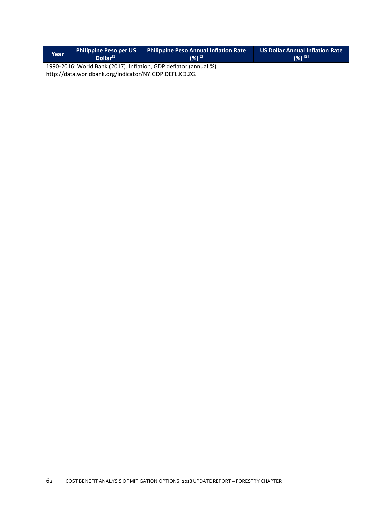| Year                                                   | <b>Philippine Peso per US</b><br>$D$ ollar $[1]$                  | <b>US Dollar Annual Inflation Rate</b><br>$(%)$ <sup>[3]</sup> |  |  |  |  |  |  |
|--------------------------------------------------------|-------------------------------------------------------------------|----------------------------------------------------------------|--|--|--|--|--|--|
|                                                        | 1990-2016: World Bank (2017). Inflation, GDP deflator (annual %). |                                                                |  |  |  |  |  |  |
| http://data.worldbank.org/indicator/NY.GDP.DEFL.KD.ZG. |                                                                   |                                                                |  |  |  |  |  |  |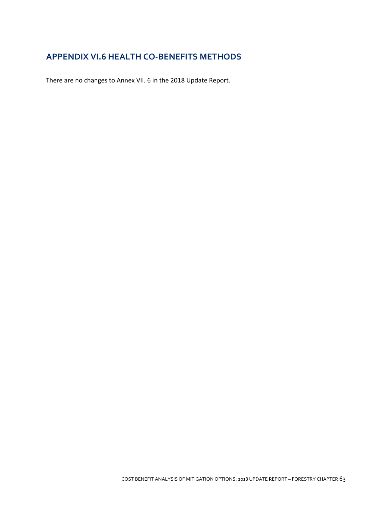# **APPENDIX VI.6 HEALTH CO‐BENEFITS METHODS**

There are no changes to Annex VII. 6 in the 2018 Update Report.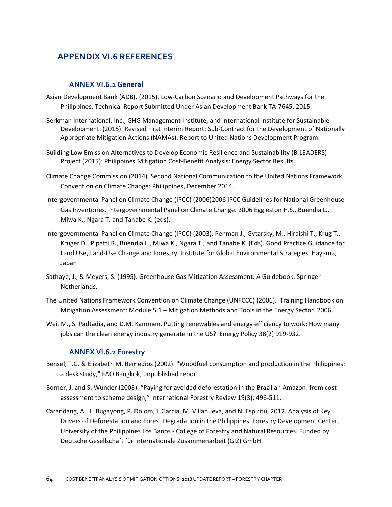# **APPENDIX VI.6 REFERENCES**

## **ANNEX VI.6.1 General**

- Asian Development Bank (ADB). (2015). Low‐Carbon Scenario and Development Pathways for the Philippines. Technical Report Submitted Under Asian Development Bank TA‐7645. 2015.
- Berkman International, Inc., GHG Management Institute, and International Institute for Sustainable Development. (2015). Revised First Interim Report: Sub‐Contract for the Development of Nationally Appropriate Mitigation Actions (NAMAs). Report to United Nations Development Program.
- Building Low Emission Alternatives to Develop Economic Resilience and Sustainability (B‐LEADERS) Project (2015): Philippines Mitigation Cost‐Benefit Analysis: Energy Sector Results.
- Climate Change Commission (2014). Second National Communication to the United Nations Framework Convention on Climate Change: Philippines, December 2014.
- Intergovernmental Panel on Climate Change (IPCC) (2006)2006 IPCC Guidelines for National Greenhouse Gas Inventories. Intergovernmental Panel on Climate Change. 2006 Eggleston H.S., Buendia L., Miwa K., Ngara T. and Tanabe K. (eds).
- Intergovernmental Panel on Climate Change (IPCC) (2003). Penman J., Gytarsky, M., Hiraishi T., Krug T., Kruger D., Pipatti R., Buendia L., Miwa K., Ngara T., and Tanabe K. (Eds). Good Practice Guidance for Land Use, Land‐Use Change and Forestry. Institute for Global Environmental Strategies, Hayama, Japan
- Sathaye, J., & Meyers, S. (1995). Greenhouse Gas Mitigation Assessment: A Guidebook. Springer Netherlands.
- The United Nations Framework Convention on Climate Change (UNFCCC) (2006). Training Handbook on Mitigation Assessment: Module 5.1 – Mitigation Methods and Tools in the Energy Sector. 2006.
- Wei, M., S. Padtadia, and D.M. Kammen. Putting renewables and energy efficiency to work: How many jobs can the clean energy industry generate in the US?. Energy Policy 38(2) 919‐932.

## **ANNEX VI.6.2 Forestry**

- Bensel, T.G. & Elizabeth M. Remedios (2002). "Woodfuel consumption and production in the Philippines: a desk study," FAO Bangkok, unpublished report.
- Borner, J. and S. Wunder (2008). "Paying for avoided deforestation in the Brazilian Amazon: from cost assessment to scheme design," International Forestry Review 19(3): 496‐511.
- Carandang, A., L. Bugayong, P. Dolom, L.Garcia, M. Villanueva, and N. Espiritu, 2012. Analysis of Key Drivers of Deforestation and Forest Degradation in the Philippines. Forestry Development Center, University of the Philippines Los Banos ‐ College of Forestry and Natural Resources. Funded by Deutsche Gesellschaft für Internationale Zusammenarbeit (GIZ) GmbH.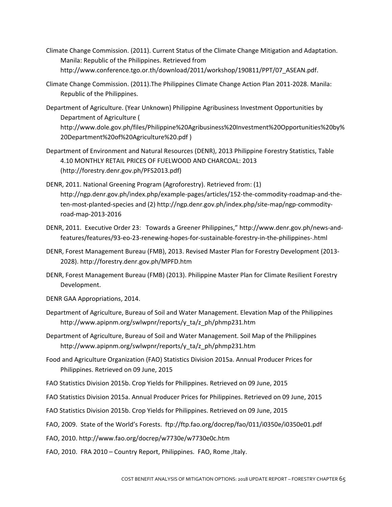- Climate Change Commission. (2011). Current Status of the Climate Change Mitigation and Adaptation. Manila: Republic of the Philippines. Retrieved from http://www.conference.tgo.or.th/download/2011/workshop/190811/PPT/07\_ASEAN.pdf.
- Climate Change Commission. (2011).The Philippines Climate Change Action Plan 2011‐2028. Manila: Republic of the Philippines.
- Department of Agriculture. (Year Unknown) Philippine Agribusiness Investment Opportunities by Department of Agriculture ( http://www.dole.gov.ph/files/Philippine%20Agribusiness%20Investment%20Opportunities%20by% 20Department%20of%20Agriculture%20.pdf )
- Department of Environment and Natural Resources (DENR), 2013 Philippine Forestry Statistics, Table 4.10 MONTHLY RETAIL PRICES OF FUELWOOD AND CHARCOAL: 2013 (http://forestry.denr.gov.ph/PFS2013.pdf)
- DENR, 2011. National Greening Program (Agroforestry). Retrieved from: (1) http://ngp.denr.gov.ph/index.php/example‐pages/articles/152‐the‐commodity‐roadmap‐and‐the‐ ten-most-planted-species and (2) http://ngp.denr.gov.ph/index.php/site-map/ngp-commodityroad‐map‐2013‐2016
- DENR, 2011. Executive Order 23: Towards a Greener Philippines," http://www.denr.gov.ph/news‐and‐ features/features/93‐eo‐23‐renewing‐hopes‐for‐sustainable‐forestry‐in‐the‐philippines‐.html
- DENR, Forest Management Bureau (FMB), 2013. Revised Master Plan for Forestry Development (2013‐ 2028). http://forestry.denr.gov.ph/MPFD.htm
- DENR, Forest Management Bureau (FMB) (2013). Philippine Master Plan for Climate Resilient Forestry Development.
- DENR GAA Appropriations, 2014.
- Department of Agriculture, Bureau of Soil and Water Management. Elevation Map of the Philippines http://www.apipnm.org/swlwpnr/reports/y\_ta/z\_ph/phmp231.htm
- Department of Agriculture, Bureau of Soil and Water Management. Soil Map of the Philippines http://www.apipnm.org/swlwpnr/reports/y\_ta/z\_ph/phmp231.htm
- Food and Agriculture Organization (FAO) Statistics Division 2015a. Annual Producer Prices for Philippines. Retrieved on 09 June, 2015
- FAO Statistics Division 2015b. Crop Yields for Philippines. Retrieved on 09 June, 2015
- FAO Statistics Division 2015a. Annual Producer Prices for Philippines. Retrieved on 09 June, 2015
- FAO Statistics Division 2015b. Crop Yields for Philippines. Retrieved on 09 June, 2015
- FAO, 2009. State of the World's Forests. ftp://ftp.fao.org/docrep/fao/011/i0350e/i0350e01.pdf
- FAO, 2010. http://www.fao.org/docrep/w7730e/w7730e0c.htm
- FAO, 2010. FRA 2010 Country Report, Philippines. FAO, Rome, Italy.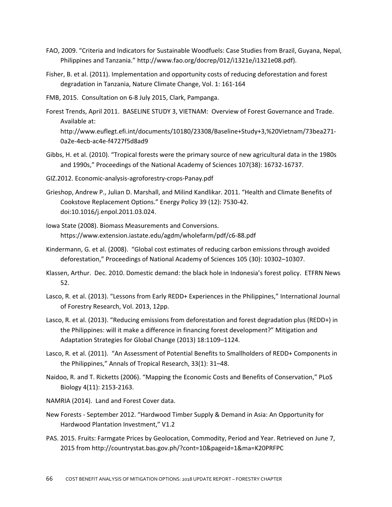- FAO, 2009. "Criteria and Indicators for Sustainable Woodfuels: Case Studies from Brazil, Guyana, Nepal, Philippines and Tanzania." http://www.fao.org/docrep/012/i1321e/i1321e08.pdf).
- Fisher, B. et al. (2011). Implementation and opportunity costs of reducing deforestation and forest degradation in Tanzania, Nature Climate Change, Vol. 1: 161‐164
- FMB, 2015. Consultation on 6‐8 July 2015, Clark, Pampanga.
- Forest Trends, April 2011. BASELINE STUDY 3, VIETNAM: Overview of Forest Governance and Trade. Available at: http://www.euflegt.efi.int/documents/10180/23308/Baseline+Study+3,%20Vietnam/73bea271‐ 0a2e‐4ecb‐ac4e‐f4727f5d8ad9
- Gibbs, H. et al. (2010). "Tropical forests were the primary source of new agricultural data in the 1980s and 1990s," Proceedings of the National Academy of Sciences 107(38): 16732‐16737.
- GIZ.2012. Economic‐analysis‐agroforestry‐crops‐Panay.pdf
- Grieshop, Andrew P., Julian D. Marshall, and Milind Kandlikar. 2011. "Health and Climate Benefits of Cookstove Replacement Options." Energy Policy 39 (12): 7530‐42. doi:10.1016/j.enpol.2011.03.024.
- Iowa State (2008). Biomass Measurements and Conversions. https://www.extension.iastate.edu/agdm/wholefarm/pdf/c6‐88.pdf
- Kindermann, G. et al. (2008). "Global cost estimates of reducing carbon emissions through avoided deforestation," Proceedings of National Academy of Sciences 105 (30): 10302–10307.
- Klassen, Arthur. Dec. 2010. Domestic demand: the black hole in Indonesia's forest policy. ETFRN News 52.
- Lasco, R. et al. (2013). "Lessons from Early REDD+ Experiences in the Philippines," International Journal of Forestry Research, Vol. 2013, 12pp.
- Lasco, R. et al. (2013). "Reducing emissions from deforestation and forest degradation plus (REDD+) in the Philippines: will it make a difference in financing forest development?" Mitigation and Adaptation Strategies for Global Change (2013) 18:1109–1124.
- Lasco, R. et al. (2011). "An Assessment of Potential Benefits to Smallholders of REDD+ Components in the Philippines," Annals of Tropical Research, 33(1): 31–48.
- Naidoo, R. and T. Ricketts (2006). "Mapping the Economic Costs and Benefits of Conservation," PLoS Biology 4(11): 2153‐2163.
- NAMRIA (2014). Land and Forest Cover data.
- New Forests ‐ September 2012. "Hardwood Timber Supply & Demand in Asia: An Opportunity for Hardwood Plantation Investment," V1.2
- PAS. 2015. Fruits: Farmgate Prices by Geolocation, Commodity, Period and Year. Retrieved on June 7, 2015 from http://countrystat.bas.gov.ph/?cont=10&pageid=1&ma=K20PRFPC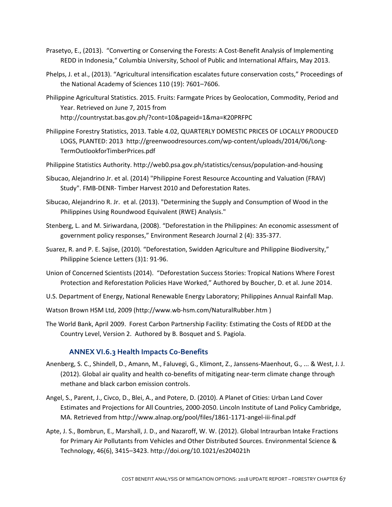- Prasetyo, E., (2013). "Converting or Conserving the Forests: A Cost‐Benefit Analysis of Implementing REDD in Indonesia," Columbia University, School of Public and International Affairs, May 2013.
- Phelps, J. et al., (2013). "Agricultural intensification escalates future conservation costs," Proceedings of the National Academy of Sciences 110 (19): 7601–7606.
- Philippine Agricultural Statistics. 2015. Fruits: Farmgate Prices by Geolocation, Commodity, Period and Year. Retrieved on June 7, 2015 from http://countrystat.bas.gov.ph/?cont=10&pageid=1&ma=K20PRFPC
- Philippine Forestry Statistics, 2013. Table 4.02, QUARTERLY DOMESTIC PRICES OF LOCALLY PRODUCED LOGS, PLANTED: 2013 http://greenwoodresources.com/wp‐content/uploads/2014/06/Long‐ TermOutlookforTimberPrices.pdf
- Philippine Statistics Authority. http://web0.psa.gov.ph/statistics/census/population‐and‐housing
- Sibucao, Alejandrino Jr. et al. (2014) "Philippine Forest Resource Accounting and Valuation (FRAV) Study". FMB‐DENR‐ Timber Harvest 2010 and Deforestation Rates.
- Sibucao, Alejandrino R. Jr. et al. (2013). "Determining the Supply and Consumption of Wood in the Philippines Using Roundwood Equivalent (RWE) Analysis."
- Stenberg, L. and M. Siriwardana, (2008). "Deforestation in the Philippines: An economic assessment of government policy responses," Environment Research Journal 2 (4): 335‐377.
- Suarez, R. and P. E. Sajise, (2010). "Deforestation, Swidden Agriculture and Philippine Biodiversity," Philippine Science Letters (3)1: 91‐96.
- Union of Concerned Scientists (2014). "Deforestation Success Stories: Tropical Nations Where Forest Protection and Reforestation Policies Have Worked," Authored by Boucher, D. et al. June 2014.
- U.S. Department of Energy, National Renewable Energy Laboratory; Philippines Annual Rainfall Map.
- Watson Brown HSM Ltd, 2009 (http://www.wb-hsm.com/NaturalRubber.htm)
- The World Bank, April 2009. Forest Carbon Partnership Facility: Estimating the Costs of REDD at the Country Level, Version 2. Authored by B. Bosquet and S. Pagiola.

## **ANNEX VI.6.3 Health Impacts Co‐Benefits**

- Anenberg, S. C., Shindell, D., Amann, M., Faluvegi, G., Klimont, Z., Janssens‐Maenhout, G., ... & West, J. J. (2012). Global air quality and health co-benefits of mitigating near-term climate change through methane and black carbon emission controls.
- Angel, S., Parent, J., Civco, D., Blei, A., and Potere, D. (2010). A Planet of Cities: Urban Land Cover Estimates and Projections for All Countries, 2000‐2050. Lincoln Institute of Land Policy Cambridge, MA. Retrieved from http://www.alnap.org/pool/files/1861‐1171‐angel‐iii‐final.pdf
- Apte, J. S., Bombrun, E., Marshall, J. D., and Nazaroff, W. W. (2012). Global Intraurban Intake Fractions for Primary Air Pollutants from Vehicles and Other Distributed Sources. Environmental Science & Technology, 46(6), 3415–3423. http://doi.org/10.1021/es204021h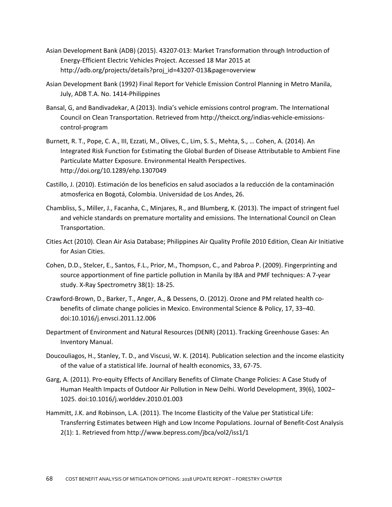- Asian Development Bank (ADB) (2015). 43207‐013: Market Transformation through Introduction of Energy‐Efficient Electric Vehicles Project. Accessed 18 Mar 2015 at http://adb.org/projects/details?proj\_id=43207‐013&page=overview
- Asian Development Bank (1992) Final Report for Vehicle Emission Control Planning in Metro Manila, July, ADB T.A. No. 1414‐Philippines
- Bansal, G, and Bandivadekar, A (2013). India's vehicle emissions control program. The International Council on Clean Transportation. Retrieved from http://theicct.org/indias‐vehicle‐emissions‐ control‐program
- Burnett, R. T., Pope, C. A., III, Ezzati, M., Olives, C., Lim, S. S., Mehta, S., … Cohen, A. (2014). An Integrated Risk Function for Estimating the Global Burden of Disease Attributable to Ambient Fine Particulate Matter Exposure. Environmental Health Perspectives. http://doi.org/10.1289/ehp.1307049
- Castillo, J. (2010). Estimación de los beneficios en salud asociados a la reducción de la contaminación atmosferica en Bogotá, Colombia. Universidad de Los Andes, 26.
- Chambliss, S., Miller, J., Facanha, C., Minjares, R., and Blumberg, K. (2013). The impact of stringent fuel and vehicle standards on premature mortality and emissions. The International Council on Clean Transportation.
- Cities Act (2010). Clean Air Asia Database; Philippines Air Quality Profile 2010 Edition, Clean Air Initiative for Asian Cities.
- Cohen, D.D., Stelcer, E., Santos, F.L., Prior, M., Thompson, C., and Pabroa P. (2009). Fingerprinting and source apportionment of fine particle pollution in Manila by IBA and PMF techniques: A 7‐year study. X‐Ray Spectrometry 38(1): 18‐25.
- Crawford‐Brown, D., Barker, T., Anger, A., & Dessens, O. (2012). Ozone and PM related health co‐ benefits of climate change policies in Mexico. Environmental Science & Policy, 17, 33–40. doi:10.1016/j.envsci.2011.12.006
- Department of Environment and Natural Resources (DENR) (2011). Tracking Greenhouse Gases: An Inventory Manual.
- Doucouliagos, H., Stanley, T. D., and Viscusi, W. K. (2014). Publication selection and the income elasticity of the value of a statistical life. Journal of health economics, 33, 67‐75.
- Garg, A. (2011). Pro‐equity Effects of Ancillary Benefits of Climate Change Policies: A Case Study of Human Health Impacts of Outdoor Air Pollution in New Delhi. World Development, 39(6), 1002– 1025. doi:10.1016/j.worlddev.2010.01.003
- Hammitt, J.K. and Robinson, L.A. (2011). The Income Elasticity of the Value per Statistical Life: Transferring Estimates between High and Low Income Populations. Journal of Benefit‐Cost Analysis 2(1): 1. Retrieved from http://www.bepress.com/jbca/vol2/iss1/1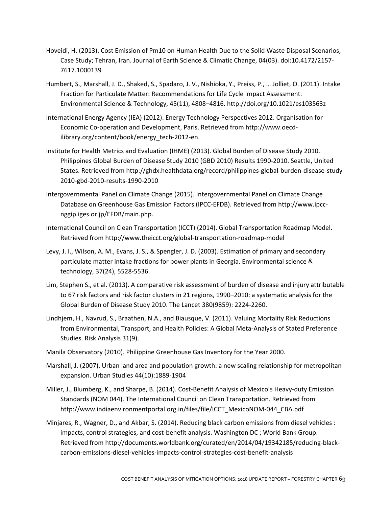- Hoveidi, H. (2013). Cost Emission of Pm10 on Human Health Due to the Solid Waste Disposal Scenarios, Case Study; Tehran, Iran. Journal of Earth Science & Climatic Change, 04(03). doi:10.4172/2157‐ 7617.1000139
- Humbert, S., Marshall, J. D., Shaked, S., Spadaro, J. V., Nishioka, Y., Preiss, P., … Jolliet, O. (2011). Intake Fraction for Particulate Matter: Recommendations for Life Cycle Impact Assessment. Environmental Science & Technology, 45(11), 4808–4816. http://doi.org/10.1021/es103563z
- International Energy Agency (IEA) (2012). Energy Technology Perspectives 2012. Organisation for Economic Co‐operation and Development, Paris. Retrieved from http://www.oecd‐ ilibrary.org/content/book/energy\_tech‐2012‐en.
- Institute for Health Metrics and Evaluation (IHME) (2013). Global Burden of Disease Study 2010. Philippines Global Burden of Disease Study 2010 (GBD 2010) Results 1990-2010. Seattle, United States. Retrieved from http://ghdx.healthdata.org/record/philippines‐global‐burden‐disease‐study‐ 2010‐gbd‐2010‐results‐1990‐2010
- Intergovernmental Panel on Climate Change (2015). Intergovernmental Panel on Climate Change Database on Greenhouse Gas Emission Factors (IPCC‐EFDB). Retrieved from http://www.ipcc‐ nggip.iges.or.jp/EFDB/main.php.
- International Council on Clean Transportation (ICCT) (2014). Global Transportation Roadmap Model. Retrieved from http://www.theicct.org/global‐transportation‐roadmap‐model
- Levy, J. I., Wilson, A. M., Evans, J. S., & Spengler, J. D. (2003). Estimation of primary and secondary particulate matter intake fractions for power plants in Georgia. Environmental science & technology, 37(24), 5528‐5536.
- Lim, Stephen S., et al. (2013). A comparative risk assessment of burden of disease and injury attributable to 67 risk factors and risk factor clusters in 21 regions, 1990–2010: a systematic analysis for the Global Burden of Disease Study 2010. The Lancet 380(9859): 2224‐2260.
- Lindhjem, H., Navrud, S., Braathen, N.A., and Biausque, V. (2011). Valuing Mortality Risk Reductions from Environmental, Transport, and Health Policies: A Global Meta‐Analysis of Stated Preference Studies. Risk Analysis 31(9).
- Manila Observatory (2010). Philippine Greenhouse Gas Inventory for the Year 2000.
- Marshall, J. (2007). Urban land area and population growth: a new scaling relationship for metropolitan expansion. Urban Studies 44(10):1889‐1904
- Miller, J., Blumberg, K., and Sharpe, B. (2014). Cost‐Benefit Analysis of Mexico's Heavy‐duty Emission Standards (NOM 044). The International Council on Clean Transportation. Retrieved from http://www.indiaenvironmentportal.org.in/files/file/ICCT\_MexicoNOM‐044\_CBA.pdf
- Minjares, R., Wagner, D., and Akbar, S. (2014). Reducing black carbon emissions from diesel vehicles : impacts, control strategies, and cost‐benefit analysis. Washington DC ; World Bank Group. Retrieved from http://documents.worldbank.org/curated/en/2014/04/19342185/reducing-blackcarbon‐emissions‐diesel‐vehicles‐impacts‐control‐strategies‐cost‐benefit‐analysis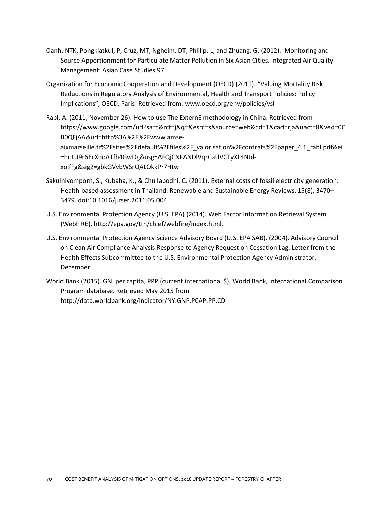- Oanh, NTK, Pongkiatkul, P, Cruz, MT, Ngheim, DT, Phillip, L, and Zhuang, G. (2012). Monitoring and Source Apportionment for Particulate Matter Pollution in Six Asian Cities. Integrated Air Quality Management: Asian Case Studies 97.
- Organization for Economic Cooperation and Development (OECD) (2011). "Valuing Mortality Risk Reductions in Regulatory Analysis of Environmental, Health and Transport Policies: Policy Implications", OECD, Paris. Retrieved from: www.oecd.org/env/policies/vsl
- Rabl, A. (2011, November 26). How to use The ExternE methodology in China. Retrieved from https://www.google.com/url?sa=t&rct=j&q=&esrc=s&source=web&cd=1&cad=rja&uact=8&ved=0C B0QFjAA&url=http%3A%2F%2Fwww.amse‐ aixmarseille.fr%2Fsites%2Fdefault%2Ffiles%2F\_valorisation%2Fcontrats%2Fpaper\_4.1\_rabl.pdf&ei =hritU9r6EcXdoATfh4GwDg&usg=AFQjCNFANDlVqrCaUVCTyXL4NJd‐ xojfFg&sig2=gbkGVvbWSrQALOkkPr7Htw
- Sakulniyomporn, S., Kubaha, K., & Chullabodhi, C. (2011). External costs of fossil electricity generation: Health-based assessment in Thailand. Renewable and Sustainable Energy Reviews, 15(8), 3470– 3479. doi:10.1016/j.rser.2011.05.004
- U.S. Environmental Protection Agency (U.S. EPA) (2014). Web Factor Information Retrieval System (WebFIRE). http://epa.gov/ttn/chief/webfire/index.html.
- U.S. Environmental Protection Agency Science Advisory Board (U.S. EPA SAB). (2004). Advisory Council on Clean Air Compliance Analysis Response to Agency Request on Cessation Lag. Letter from the Health Effects Subcommittee to the U.S. Environmental Protection Agency Administrator. December
- World Bank (2015). GNI per capita, PPP (current international \$). World Bank, International Comparison Program database. Retrieved May 2015 from http://data.worldbank.org/indicator/NY.GNP.PCAP.PP.CD